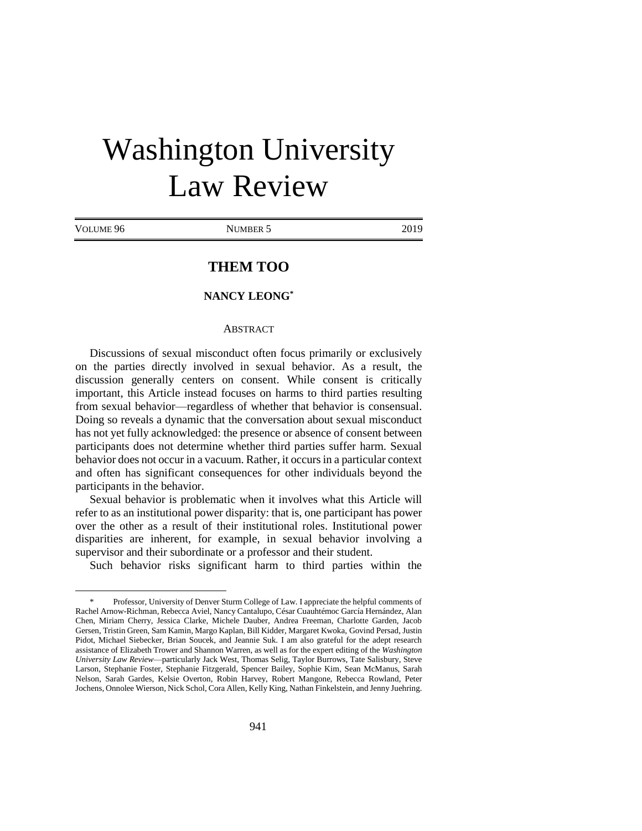# Washington University Law Review

| VOLUME 96 |  |
|-----------|--|
|-----------|--|

 $\overline{a}$ 

NUMBER 5 2019

# **THEM TOO**

# **NANCY LEONG\***

#### **ABSTRACT**

Discussions of sexual misconduct often focus primarily or exclusively on the parties directly involved in sexual behavior. As a result, the discussion generally centers on consent. While consent is critically important, this Article instead focuses on harms to third parties resulting from sexual behavior—regardless of whether that behavior is consensual. Doing so reveals a dynamic that the conversation about sexual misconduct has not yet fully acknowledged: the presence or absence of consent between participants does not determine whether third parties suffer harm. Sexual behavior does not occur in a vacuum. Rather, it occurs in a particular context and often has significant consequences for other individuals beyond the participants in the behavior.

Sexual behavior is problematic when it involves what this Article will refer to as an institutional power disparity: that is, one participant has power over the other as a result of their institutional roles. Institutional power disparities are inherent, for example, in sexual behavior involving a supervisor and their subordinate or a professor and their student.

Such behavior risks significant harm to third parties within the

Professor, University of Denver Sturm College of Law. I appreciate the helpful comments of Rachel Arnow-Richman, Rebecca Aviel, Nancy Cantalupo, César Cuauhtémoc García Hernández, Alan Chen, Miriam Cherry, Jessica Clarke, Michele Dauber, Andrea Freeman, Charlotte Garden, Jacob Gersen, Tristin Green, Sam Kamin, Margo Kaplan, Bill Kidder, Margaret Kwoka, Govind Persad, Justin Pidot, Michael Siebecker, Brian Soucek, and Jeannie Suk. I am also grateful for the adept research assistance of Elizabeth Trower and Shannon Warren, as well as for the expert editing of the *Washington University Law Review*—particularly Jack West, Thomas Selig, Taylor Burrows, Tate Salisbury, Steve Larson, Stephanie Foster, Stephanie Fitzgerald, Spencer Bailey, Sophie Kim, Sean McManus, Sarah Nelson, Sarah Gardes, Kelsie Overton, Robin Harvey, Robert Mangone, Rebecca Rowland, Peter Jochens, Onnolee Wierson, Nick Schol, Cora Allen, Kelly King, Nathan Finkelstein, and Jenny Juehring.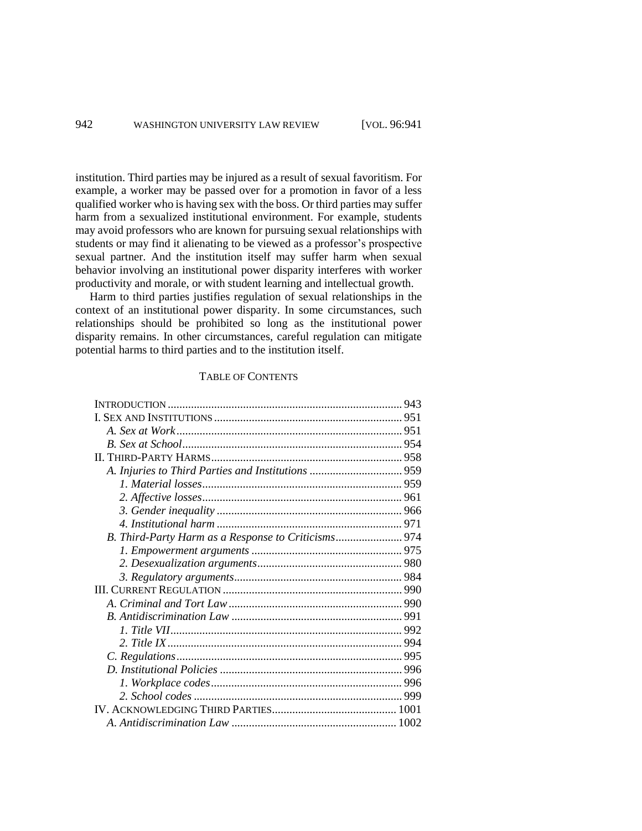institution. Third parties may be injured as a result of sexual favoritism. For example, a worker may be passed over for a promotion in favor of a less qualified worker who is having sex with the boss. Or third parties may suffer harm from a sexualized institutional environment. For example, students may avoid professors who are known for pursuing sexual relationships with students or may find it alienating to be viewed as a professor's prospective sexual partner. And the institution itself may suffer harm when sexual behavior involving an institutional power disparity interferes with worker productivity and morale, or with student learning and intellectual growth.

Harm to third parties justifies regulation of sexual relationships in the context of an institutional power disparity. In some circumstances, such relationships should be prohibited so long as the institutional power disparity remains. In other circumstances, careful regulation can mitigate potential harms to third parties and to the institution itself.

# TABLE OF CONTENTS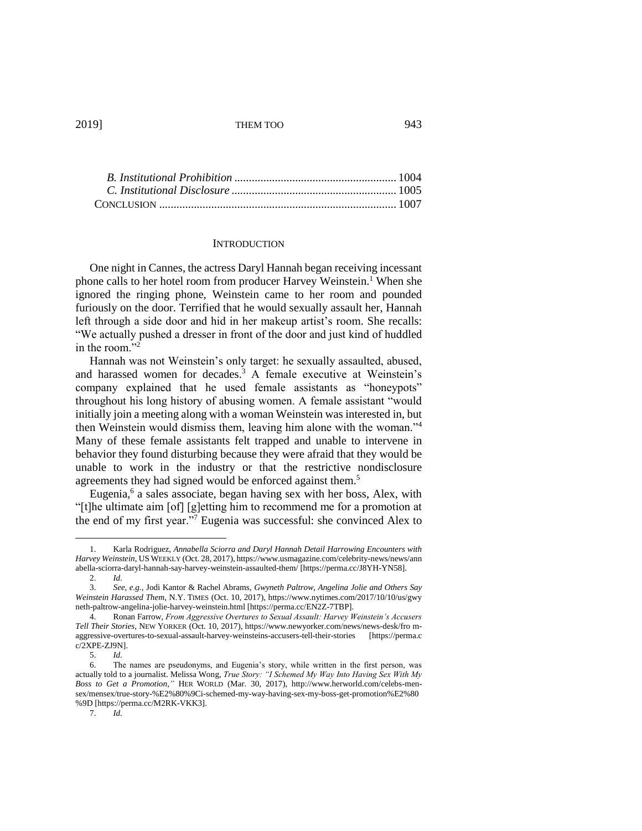#### **INTRODUCTION**

One night in Cannes, the actress Daryl Hannah began receiving incessant phone calls to her hotel room from producer Harvey Weinstein.<sup>1</sup> When she ignored the ringing phone, Weinstein came to her room and pounded furiously on the door. Terrified that he would sexually assault her, Hannah left through a side door and hid in her makeup artist's room. She recalls: "We actually pushed a dresser in front of the door and just kind of huddled in the room."<sup>2</sup>

Hannah was not Weinstein's only target: he sexually assaulted, abused, and harassed women for decades.<sup>3</sup> A female executive at Weinstein's company explained that he used female assistants as "honeypots" throughout his long history of abusing women. A female assistant "would initially join a meeting along with a woman Weinstein was interested in, but then Weinstein would dismiss them, leaving him alone with the woman."<sup>4</sup> Many of these female assistants felt trapped and unable to intervene in behavior they found disturbing because they were afraid that they would be unable to work in the industry or that the restrictive nondisclosure agreements they had signed would be enforced against them.<sup>5</sup>

Eugenia,<sup>6</sup> a sales associate, began having sex with her boss, Alex, with "[t]he ultimate aim [of] [g]etting him to recommend me for a promotion at the end of my first year."<sup>7</sup> Eugenia was successful: she convinced Alex to

<sup>1.</sup> Karla Rodriguez, *Annabella Sciorra and Daryl Hannah Detail Harrowing Encounters with Harvey Weinstein*, US WEEKLY (Oct. 28, 2017), https://www.usmagazine.com/celebrity-news/news/ann abella-sciorra-daryl-hannah-say-harvey-weinstein-assaulted-them/ [https://perma.cc/J8YH-YN58].

<sup>2.</sup> *Id.* 3. *See, e.g.*, Jodi Kantor & Rachel Abrams, *Gwyneth Paltrow, Angelina Jolie and Others Say Weinstein Harassed Them*, N.Y. TIMES (Oct. 10, 2017), https://www.nytimes.com/2017/10/10/us/gwy neth-paltrow-angelina-jolie-harvey-weinstein.html [https://perma.cc/EN2Z-7TBP].

<sup>4.</sup> Ronan Farrow, *From Aggressive Overtures to Sexual Assault: Harvey Weinstein's Accusers Tell Their Stories*, NEW YORKER (Oct. 10, 2017), https://www.newyorker.com/news/news-desk/fro maggressive-overtures-to-sexual-assault-harvey-weinsteins-accusers-tell-their-stories [https://perma.c c/2XPE-ZJ9N].

<sup>5.</sup> *Id.*

<sup>6.</sup> The names are pseudonyms, and Eugenia's story, while written in the first person, was actually told to a journalist. Melissa Wong, *True Story: "I Schemed My Way Into Having Sex With My Boss to Get a Promotion*,*"* HER WORLD (Mar. 30, 2017), http://www.herworld.com/celebs-mensex/mensex/true-story-%E2%80%9Ci-schemed-my-way-having-sex-my-boss-get-promotion%E2%80 %9D [https://perma.cc/M2RK-VKK3].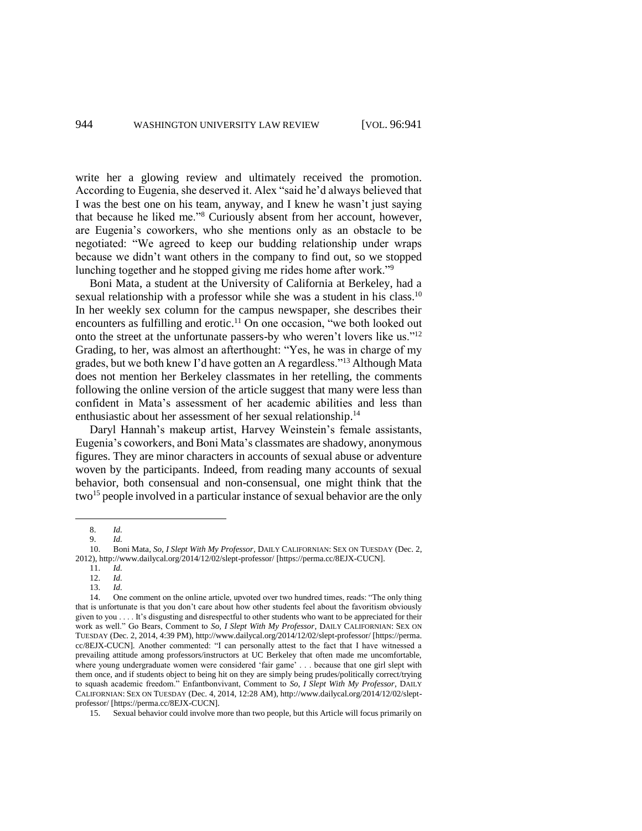write her a glowing review and ultimately received the promotion. According to Eugenia, she deserved it. Alex "said he'd always believed that I was the best one on his team, anyway, and I knew he wasn't just saying that because he liked me."<sup>8</sup> Curiously absent from her account, however, are Eugenia's coworkers, who she mentions only as an obstacle to be negotiated: "We agreed to keep our budding relationship under wraps because we didn't want others in the company to find out, so we stopped lunching together and he stopped giving me rides home after work."<sup>9</sup>

Boni Mata, a student at the University of California at Berkeley, had a sexual relationship with a professor while she was a student in his class.<sup>10</sup> In her weekly sex column for the campus newspaper, she describes their encounters as fulfilling and erotic.<sup>11</sup> On one occasion, "we both looked out onto the street at the unfortunate passers-by who weren't lovers like us."<sup>12</sup> Grading, to her, was almost an afterthought: "Yes, he was in charge of my grades, but we both knew I'd have gotten an A regardless."<sup>13</sup> Although Mata does not mention her Berkeley classmates in her retelling, the comments following the online version of the article suggest that many were less than confident in Mata's assessment of her academic abilities and less than enthusiastic about her assessment of her sexual relationship.<sup>14</sup>

Daryl Hannah's makeup artist, Harvey Weinstein's female assistants, Eugenia's coworkers, and Boni Mata's classmates are shadowy, anonymous figures. They are minor characters in accounts of sexual abuse or adventure woven by the participants. Indeed, from reading many accounts of sexual behavior, both consensual and non-consensual, one might think that the two <sup>15</sup> people involved in a particular instance of sexual behavior are the only

<sup>8.</sup> *Id.*

<sup>9.</sup> *Id.*

<sup>10.</sup> Boni Mata, *So, I Slept With My Professor*, DAILY CALIFORNIAN: SEX ON TUESDAY (Dec. 2, 2012), http://www.dailycal.org/2014/12/02/slept-professor/ [https://perma.cc/8EJX-CUCN].

<sup>11.</sup> *Id.*

<sup>12.</sup> *Id.*

<sup>13.</sup> *Id.*

<sup>14.</sup> One comment on the online article, upvoted over two hundred times, reads: "The only thing that is unfortunate is that you don't care about how other students feel about the favoritism obviously given to you . . . . It's disgusting and disrespectful to other students who want to be appreciated for their work as well." Go Bears, Comment to *So, I Slept With My Professor*, DAILY CALIFORNIAN: SEX ON TUESDAY (Dec. 2, 2014, 4:39 PM), http://www.dailycal.org/2014/12/02/slept-professor/ [https://perma. cc/8EJX-CUCN]. Another commented: "I can personally attest to the fact that I have witnessed a prevailing attitude among professors/instructors at UC Berkeley that often made me uncomfortable, where young undergraduate women were considered 'fair game' . . . because that one girl slept with them once, and if students object to being hit on they are simply being prudes/politically correct/trying to squash academic freedom." Enfantbonvivant, Comment to *So, I Slept With My Professor*, DAILY CALIFORNIAN: SEX ON TUESDAY (Dec. 4, 2014, 12:28 AM), http://www.dailycal.org/2014/12/02/sleptprofessor/ [https://perma.cc/8EJX-CUCN].

<sup>15.</sup> Sexual behavior could involve more than two people, but this Article will focus primarily on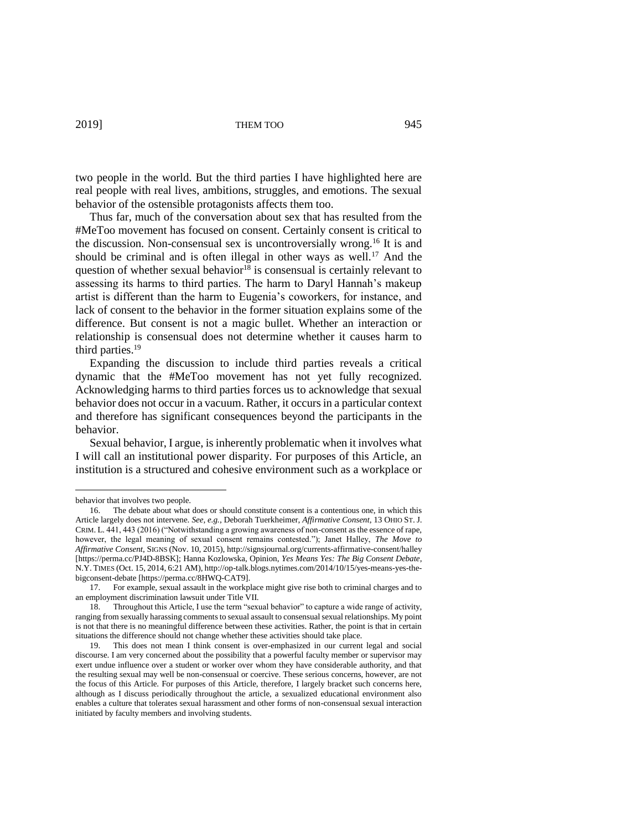two people in the world. But the third parties I have highlighted here are real people with real lives, ambitions, struggles, and emotions. The sexual behavior of the ostensible protagonists affects them too.

Thus far, much of the conversation about sex that has resulted from the #MeToo movement has focused on consent. Certainly consent is critical to the discussion. Non-consensual sex is uncontroversially wrong.<sup>16</sup> It is and should be criminal and is often illegal in other ways as well.<sup>17</sup> And the question of whether sexual behavior<sup>18</sup> is consensual is certainly relevant to assessing its harms to third parties. The harm to Daryl Hannah's makeup artist is different than the harm to Eugenia's coworkers, for instance, and lack of consent to the behavior in the former situation explains some of the difference. But consent is not a magic bullet. Whether an interaction or relationship is consensual does not determine whether it causes harm to third parties.<sup>19</sup>

Expanding the discussion to include third parties reveals a critical dynamic that the #MeToo movement has not yet fully recognized. Acknowledging harms to third parties forces us to acknowledge that sexual behavior does not occur in a vacuum. Rather, it occurs in a particular context and therefore has significant consequences beyond the participants in the behavior.

Sexual behavior, I argue, is inherently problematic when it involves what I will call an institutional power disparity. For purposes of this Article, an institution is a structured and cohesive environment such as a workplace or

behavior that involves two people.

<sup>16.</sup> The debate about what does or should constitute consent is a contentious one, in which this Article largely does not intervene. *See, e.g.*, Deborah Tuerkheimer, *Affirmative Consent*, 13 OHIO ST. J. CRIM. L. 441, 443 (2016) ("Notwithstanding a growing awareness of non-consent as the essence of rape, however, the legal meaning of sexual consent remains contested."); Janet Halley, *The Move to Affirmative Consent*, SIGNS (Nov. 10, 2015), http://signsjournal.org/currents-affirmative-consent/halley [https://perma.cc/PJ4D-8BSK]; Hanna Kozlowska, Opinion, *Yes Means Yes: The Big Consent Debate*, N.Y. TIMES (Oct. 15, 2014, 6:21 AM), http://op-talk.blogs.nytimes.com/2014/10/15/yes-means-yes-thebigconsent-debate [https://perma.cc/8HWQ-CAT9].<br>17 For example, sexual assault in the workp.

<sup>17.</sup> For example, sexual assault in the workplace might give rise both to criminal charges and to an employment discrimination lawsuit under Title VII.

<sup>18.</sup> Throughout this Article, I use the term "sexual behavior" to capture a wide range of activity, ranging from sexually harassing comments to sexual assault to consensual sexual relationships. My point is not that there is no meaningful difference between these activities. Rather, the point is that in certain situations the difference should not change whether these activities should take place.

<sup>19.</sup> This does not mean I think consent is over-emphasized in our current legal and social discourse. I am very concerned about the possibility that a powerful faculty member or supervisor may exert undue influence over a student or worker over whom they have considerable authority, and that the resulting sexual may well be non-consensual or coercive. These serious concerns, however, are not the focus of this Article. For purposes of this Article, therefore, I largely bracket such concerns here, although as I discuss periodically throughout the article, a sexualized educational environment also enables a culture that tolerates sexual harassment and other forms of non-consensual sexual interaction initiated by faculty members and involving students.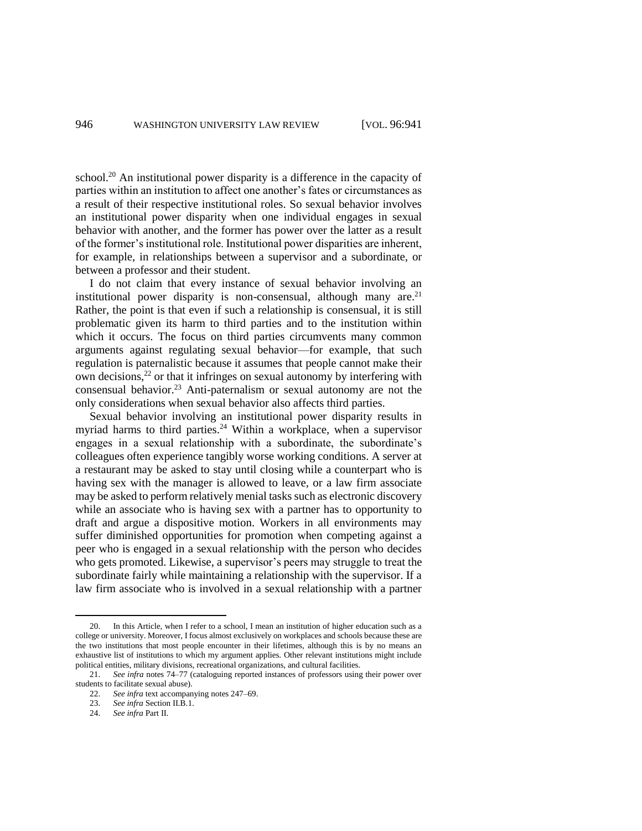school.<sup>20</sup> An institutional power disparity is a difference in the capacity of parties within an institution to affect one another's fates or circumstances as a result of their respective institutional roles. So sexual behavior involves an institutional power disparity when one individual engages in sexual behavior with another, and the former has power over the latter as a result of the former's institutional role. Institutional power disparities are inherent, for example, in relationships between a supervisor and a subordinate, or between a professor and their student.

I do not claim that every instance of sexual behavior involving an institutional power disparity is non-consensual, although many are. $21$ Rather, the point is that even if such a relationship is consensual, it is still problematic given its harm to third parties and to the institution within which it occurs. The focus on third parties circumvents many common arguments against regulating sexual behavior—for example, that such regulation is paternalistic because it assumes that people cannot make their own decisions, $^{22}$  or that it infringes on sexual autonomy by interfering with consensual behavior.<sup>23</sup> Anti-paternalism or sexual autonomy are not the only considerations when sexual behavior also affects third parties.

Sexual behavior involving an institutional power disparity results in myriad harms to third parties.<sup>24</sup> Within a workplace, when a supervisor engages in a sexual relationship with a subordinate, the subordinate's colleagues often experience tangibly worse working conditions. A server at a restaurant may be asked to stay until closing while a counterpart who is having sex with the manager is allowed to leave, or a law firm associate may be asked to perform relatively menial tasks such as electronic discovery while an associate who is having sex with a partner has to opportunity to draft and argue a dispositive motion. Workers in all environments may suffer diminished opportunities for promotion when competing against a peer who is engaged in a sexual relationship with the person who decides who gets promoted. Likewise, a supervisor's peers may struggle to treat the subordinate fairly while maintaining a relationship with the supervisor. If a law firm associate who is involved in a sexual relationship with a partner

<sup>20.</sup> In this Article, when I refer to a school, I mean an institution of higher education such as a college or university. Moreover, I focus almost exclusively on workplaces and schools because these are the two institutions that most people encounter in their lifetimes, although this is by no means an exhaustive list of institutions to which my argument applies. Other relevant institutions might include political entities, military divisions, recreational organizations, and cultural facilities.

<sup>21.</sup> *See infra* notes 74–77 (cataloguing reported instances of professors using their power over students to facilitate sexual abuse).

<sup>22.</sup> *See infra* text accompanying notes 247–69.

<sup>23.</sup> *See infra* Section II.B.1.

<sup>24.</sup> *See infra* Part II.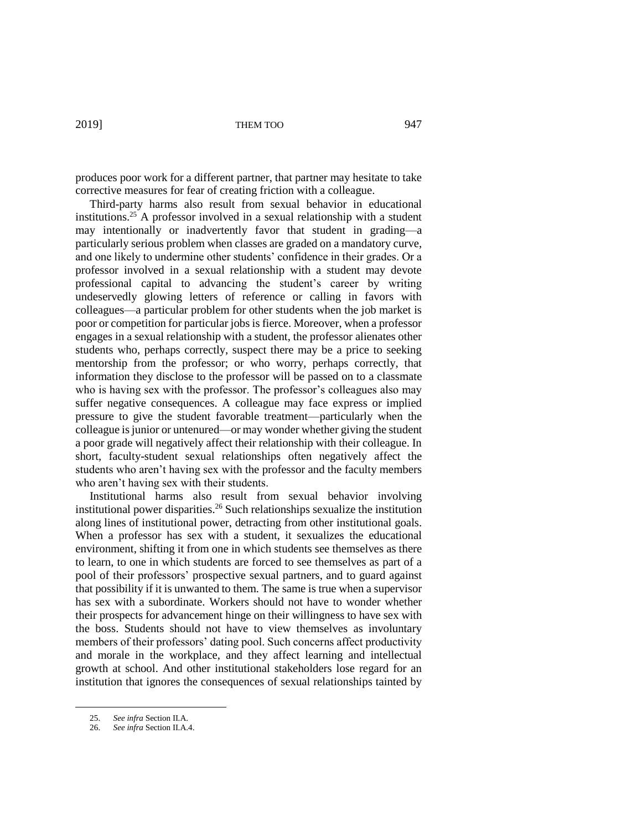produces poor work for a different partner, that partner may hesitate to take corrective measures for fear of creating friction with a colleague.

Third-party harms also result from sexual behavior in educational institutions.<sup>25</sup> A professor involved in a sexual relationship with a student may intentionally or inadvertently favor that student in grading—a particularly serious problem when classes are graded on a mandatory curve, and one likely to undermine other students' confidence in their grades. Or a professor involved in a sexual relationship with a student may devote professional capital to advancing the student's career by writing undeservedly glowing letters of reference or calling in favors with colleagues—a particular problem for other students when the job market is poor or competition for particular jobs is fierce. Moreover, when a professor engages in a sexual relationship with a student, the professor alienates other students who, perhaps correctly, suspect there may be a price to seeking mentorship from the professor; or who worry, perhaps correctly, that information they disclose to the professor will be passed on to a classmate who is having sex with the professor. The professor's colleagues also may suffer negative consequences. A colleague may face express or implied pressure to give the student favorable treatment—particularly when the colleague is junior or untenured—or may wonder whether giving the student a poor grade will negatively affect their relationship with their colleague. In short, faculty-student sexual relationships often negatively affect the students who aren't having sex with the professor and the faculty members who aren't having sex with their students.

Institutional harms also result from sexual behavior involving institutional power disparities. <sup>26</sup> Such relationships sexualize the institution along lines of institutional power, detracting from other institutional goals. When a professor has sex with a student, it sexualizes the educational environment, shifting it from one in which students see themselves as there to learn, to one in which students are forced to see themselves as part of a pool of their professors' prospective sexual partners, and to guard against that possibility if it is unwanted to them. The same is true when a supervisor has sex with a subordinate. Workers should not have to wonder whether their prospects for advancement hinge on their willingness to have sex with the boss. Students should not have to view themselves as involuntary members of their professors' dating pool. Such concerns affect productivity and morale in the workplace, and they affect learning and intellectual growth at school. And other institutional stakeholders lose regard for an institution that ignores the consequences of sexual relationships tainted by

<sup>25.</sup> *See infra* Section II.A.

<sup>26.</sup> *See infra* Section II.A.4.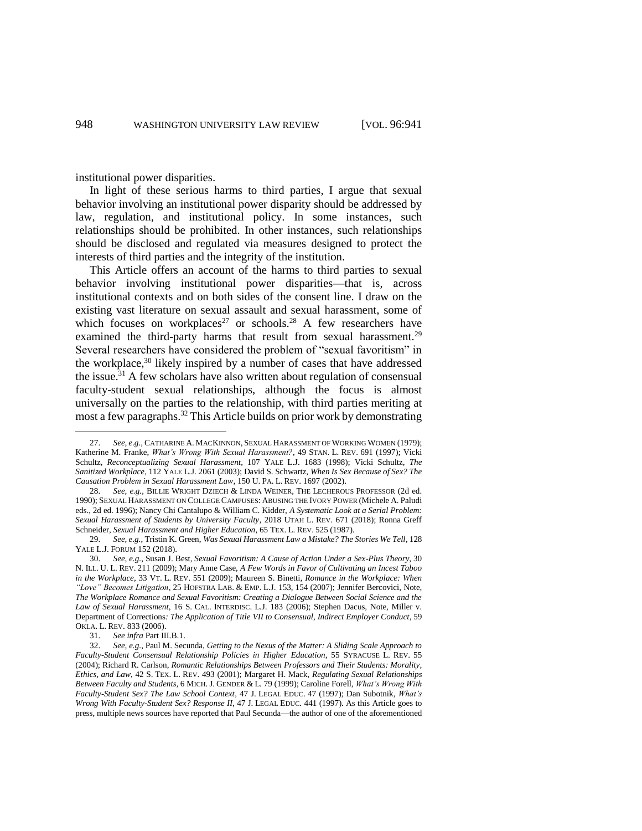institutional power disparities.

In light of these serious harms to third parties, I argue that sexual behavior involving an institutional power disparity should be addressed by law, regulation, and institutional policy. In some instances, such relationships should be prohibited. In other instances, such relationships should be disclosed and regulated via measures designed to protect the interests of third parties and the integrity of the institution.

This Article offers an account of the harms to third parties to sexual behavior involving institutional power disparities—that is, across institutional contexts and on both sides of the consent line. I draw on the existing vast literature on sexual assault and sexual harassment, some of which focuses on workplaces<sup>27</sup> or schools.<sup>28</sup> A few researchers have examined the third-party harms that result from sexual harassment.<sup>29</sup> Several researchers have considered the problem of "sexual favoritism" in the workplace,<sup>30</sup> likely inspired by a number of cases that have addressed the issue.<sup>31</sup> A few scholars have also written about regulation of consensual faculty-student sexual relationships, although the focus is almost universally on the parties to the relationship, with third parties meriting at most a few paragraphs.<sup>32</sup> This Article builds on prior work by demonstrating

<sup>27.</sup> *See, e.g.*, CATHARINE A. MACKINNON, SEXUAL HARASSMENT OF WORKING WOMEN (1979); Katherine M. Franke, *What's Wrong With Sexual Harassment?*, 49 STAN. L. REV. 691 (1997); Vicki Schultz, *Reconceptualizing Sexual Harassment*, 107 YALE L.J. 1683 (1998); Vicki Schultz, *The Sanitized Workplace*, 112 YALE L.J. 2061 (2003); David S. Schwartz, *When Is Sex Because of Sex? The Causation Problem in Sexual Harassment Law*, 150 U. PA. L. REV. 1697 (2002).

<sup>28.</sup> *See, e.g.*, BILLIE WRIGHT DZIECH & LINDA WEINER, THE LECHEROUS PROFESSOR (2d ed. 1990); SEXUAL HARASSMENT ON COLLEGE CAMPUSES: ABUSING THE IVORY POWER (Michele A. Paludi eds., 2d ed. 1996); Nancy Chi Cantalupo & William C. Kidder, *A Systematic Look at a Serial Problem: Sexual Harassment of Students by University Faculty*, 2018 UTAH L. REV. 671 (2018); Ronna Greff Schneider, *Sexual Harassment and Higher Education*, 65 TEX. L. REV. 525 (1987).

<sup>29.</sup> *See, e.g.*, Tristin K. Green, *Was Sexual Harassment Law a Mistake? The Stories We Tell*, 128 YALE L.J. FORUM 152 (2018).

<sup>30.</sup> *See, e.g.*, Susan J. Best, *Sexual Favoritism: A Cause of Action Under a Sex-Plus Theory*, 30 N. ILL. U. L. REV. 211 (2009); Mary Anne Case, *A Few Words in Favor of Cultivating an Incest Taboo in the Workplace*, 33 VT. L. REV. 551 (2009); Maureen S. Binetti, *Romance in the Workplace: When "Love" Becomes Litigation*, 25 HOFSTRA LAB. & EMP. L.J. 153, 154 (2007); Jennifer Bercovici, Note, *The Workplace Romance and Sexual Favoritism: Creating a Dialogue Between Social Science and the Law of Sexual Harassment*, 16 S. CAL. INTERDISC. L.J. 183 (2006); Stephen Dacus, Note, Miller v. Department of Corrections*: The Application of Title VII to Consensual, Indirect Employer Conduct*, 59 OKLA. L. REV. 833 (2006).

<sup>31.</sup> *See infra* Part III.B.1.

<sup>32.</sup> *See, e.g.*, Paul M. Secunda, *Getting to the Nexus of the Matter: A Sliding Scale Approach to Faculty-Student Consensual Relationship Policies in Higher Education*, 55 SYRACUSE L. REV. 55 (2004); Richard R. Carlson, *Romantic Relationships Between Professors and Their Students: Morality, Ethics, and Law*, 42 S. TEX. L. REV. 493 (2001); Margaret H. Mack, *Regulating Sexual Relationships Between Faculty and Students*, 6 MICH. J. GENDER & L. 79 (1999); Caroline Forell, *What's Wrong With Faculty-Student Sex? The Law School Context*, 47 J. LEGAL EDUC. 47 (1997); Dan Subotnik, *What's Wrong With Faculty-Student Sex? Response II*, 47 J. LEGAL EDUC. 441 (1997). As this Article goes to press, multiple news sources have reported that Paul Secunda—the author of one of the aforementioned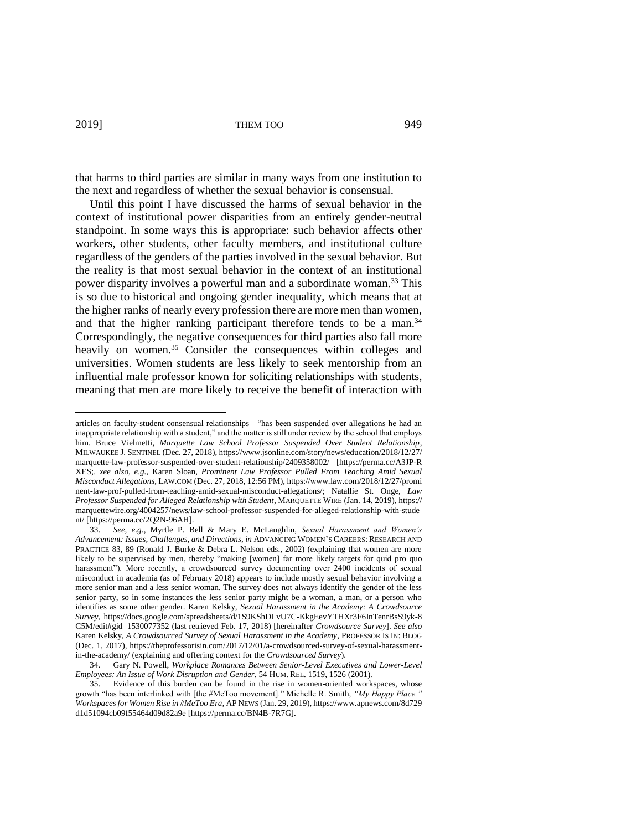that harms to third parties are similar in many ways from one institution to the next and regardless of whether the sexual behavior is consensual.

Until this point I have discussed the harms of sexual behavior in the context of institutional power disparities from an entirely gender-neutral standpoint. In some ways this is appropriate: such behavior affects other workers, other students, other faculty members, and institutional culture regardless of the genders of the parties involved in the sexual behavior. But the reality is that most sexual behavior in the context of an institutional power disparity involves a powerful man and a subordinate woman.<sup>33</sup> This is so due to historical and ongoing gender inequality, which means that at the higher ranks of nearly every profession there are more men than women, and that the higher ranking participant therefore tends to be a man.<sup>34</sup> Correspondingly, the negative consequences for third parties also fall more heavily on women.<sup>35</sup> Consider the consequences within colleges and universities. Women students are less likely to seek mentorship from an influential male professor known for soliciting relationships with students, meaning that men are more likely to receive the benefit of interaction with

articles on faculty-student consensual relationships—"has been suspended over allegations he had an inappropriate relationship with a student," and the matter is still under review by the school that employs him. Bruce Vielmetti, *Marquette Law School Professor Suspended Over Student Relationship*, MILWAUKEE J. SENTINEL (Dec. 27, 2018), https://www.jsonline.com/story/news/education/2018/12/27/ marquette-law-professor-suspended-over-student-relationship/2409358002/ [https://perma.cc/A3JP-R XES;. *xee also, e.g.*, Karen Sloan, *Prominent Law Professor Pulled From Teaching Amid Sexual Misconduct Allegations*, LAW.COM (Dec. 27, 2018, 12:56 PM), https://www.law.com/2018/12/27/promi nent-law-prof-pulled-from-teaching-amid-sexual-misconduct-allegations/; Natallie St. Onge, *Law Professor Suspended for Alleged Relationship with Student*, MARQUETTE WIRE (Jan. 14, 2019), https:// marquettewire.org/4004257/news/law-school-professor-suspended-for-alleged-relationship-with-stude nt/ [https://perma.cc/2Q2N-96AH].

<sup>33.</sup> *See, e.g.*, Myrtle P. Bell & Mary E. McLaughlin, *Sexual Harassment and Women's Advancement: Issues, Challenges, and Directions*, *in* ADVANCING WOMEN'S CAREERS: RESEARCH AND PRACTICE 83, 89 (Ronald J. Burke & Debra L. Nelson eds., 2002) (explaining that women are more likely to be supervised by men, thereby "making [women] far more likely targets for quid pro quo harassment"). More recently, a crowdsourced survey documenting over 2400 incidents of sexual misconduct in academia (as of February 2018) appears to include mostly sexual behavior involving a more senior man and a less senior woman. The survey does not always identify the gender of the less senior party, so in some instances the less senior party might be a woman, a man, or a person who identifies as some other gender. Karen Kelsky, *Sexual Harassment in the Academy: A Crowdsource Survey*, https://docs.google.com/spreadsheets/d/1S9KShDLvU7C-KkgEevYTHXr3F6InTenrBsS9yk-8 C5M/edit#gid=1530077352 (last retrieved Feb. 17, 2018) [hereinafter *Crowdsource Survey*]. *See also*  Karen Kelsky, *A Crowdsourced Survey of Sexual Harassment in the Academy*, PROFESSOR IS IN: BLOG (Dec. 1, 2017), https://theprofessorisin.com/2017/12/01/a-crowdsourced-survey-of-sexual-harassmentin-the-academy/ (explaining and offering context for the *Crowdsourced Survey*).

<sup>34.</sup> Gary N. Powell, *Workplace Romances Between Senior-Level Executives and Lower-Level Employees: An Issue of Work Disruption and Gender*, 54 HUM. REL. 1519, 1526 (2001).

<sup>35.</sup> Evidence of this burden can be found in the rise in women-oriented workspaces, whose growth "has been interlinked with [the #MeToo movement]." Michelle R. Smith, *"My Happy Place." Workspaces for Women Rise in #MeToo Era*, AP NEWS (Jan. 29, 2019), https://www.apnews.com/8d729 d1d51094cb09f55464d09d82a9e [https://perma.cc/BN4B-7R7G].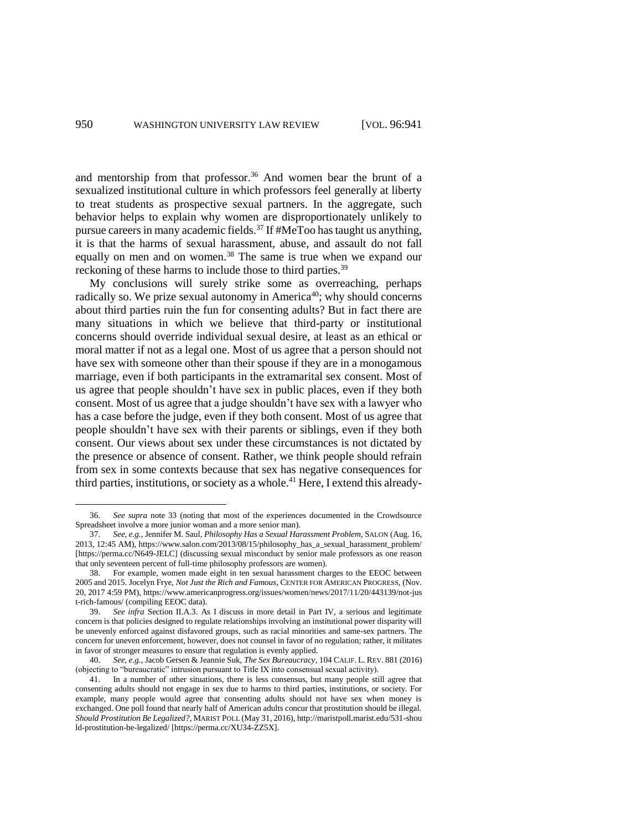and mentorship from that professor.<sup>36</sup> And women bear the brunt of a sexualized institutional culture in which professors feel generally at liberty to treat students as prospective sexual partners. In the aggregate, such behavior helps to explain why women are disproportionately unlikely to pursue careers in many academic fields.<sup>37</sup> If #MeToo has taught us anything, it is that the harms of sexual harassment, abuse, and assault do not fall equally on men and on women.<sup>38</sup> The same is true when we expand our reckoning of these harms to include those to third parties.<sup>39</sup>

My conclusions will surely strike some as overreaching, perhaps radically so. We prize sexual autonomy in America<sup>40</sup>; why should concerns about third parties ruin the fun for consenting adults? But in fact there are many situations in which we believe that third-party or institutional concerns should override individual sexual desire, at least as an ethical or moral matter if not as a legal one. Most of us agree that a person should not have sex with someone other than their spouse if they are in a monogamous marriage, even if both participants in the extramarital sex consent. Most of us agree that people shouldn't have sex in public places, even if they both consent. Most of us agree that a judge shouldn't have sex with a lawyer who has a case before the judge, even if they both consent. Most of us agree that people shouldn't have sex with their parents or siblings, even if they both consent. Our views about sex under these circumstances is not dictated by the presence or absence of consent. Rather, we think people should refrain from sex in some contexts because that sex has negative consequences for third parties, institutions, or society as a whole.<sup>41</sup> Here, I extend this already-

<sup>36.</sup> *See supra* note 33 (noting that most of the experiences documented in the Crowdsource Spreadsheet involve a more junior woman and a more senior man).

<sup>37.</sup> *See, e.g.*, Jennifer M. Saul, *Philosophy Has a Sexual Harassment Problem*, SALON (Aug. 16, 2013, 12:45 AM), https://www.salon.com/2013/08/15/philosophy\_has\_a\_sexual\_harassment\_problem/ [https://perma.cc/N649-JELC] (discussing sexual misconduct by senior male professors as one reason that only seventeen percent of full-time philosophy professors are women).

<sup>38.</sup> For example, women made eight in ten sexual harassment charges to the EEOC between 2005 and 2015. Jocelyn Frye, *Not Just the Rich and Famous*, CENTER FOR AMERICAN PROGRESS, (Nov. 20, 2017 4:59 PM), https://www.americanprogress.org/issues/women/news/2017/11/20/443139/not-jus t-rich-famous/ (compiling EEOC data).

<sup>39.</sup> *See infra* Section II.A.3. As I discuss in more detail in Part IV, a serious and legitimate concern is that policies designed to regulate relationships involving an institutional power disparity will be unevenly enforced against disfavored groups, such as racial minorities and same-sex partners. The concern for uneven enforcement, however, does not counsel in favor of no regulation; rather, it militates in favor of stronger measures to ensure that regulation is evenly applied.

<sup>40.</sup> *See, e.g.*, Jacob Gersen & Jeannie Suk, *The Sex Bureaucracy*, 104 CALIF. L. REV. 881 (2016) (objecting to "bureaucratic" intrusion pursuant to Title IX into consensual sexual activity).

<sup>41.</sup> In a number of other situations, there is less consensus, but many people still agree that consenting adults should not engage in sex due to harms to third parties, institutions, or society. For example, many people would agree that consenting adults should not have sex when money is exchanged. One poll found that nearly half of American adults concur that prostitution should be illegal. *Should Prostitution Be Legalized?*, MARIST POLL (May 31, 2016), http://maristpoll.marist.edu/531-shou ld-prostitution-be-legalized/ [https://perma.cc/XU34-ZZ5X].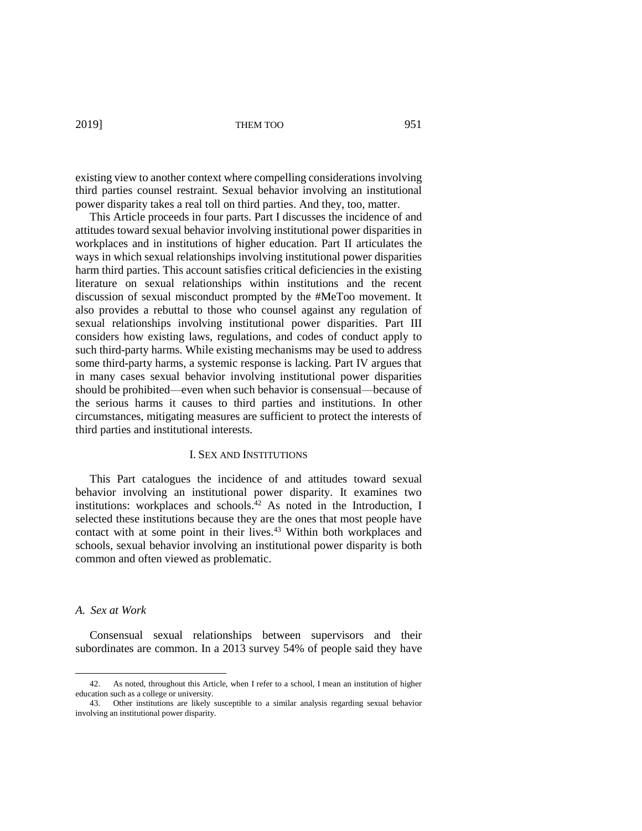existing view to another context where compelling considerations involving third parties counsel restraint. Sexual behavior involving an institutional power disparity takes a real toll on third parties. And they, too, matter.

This Article proceeds in four parts. Part I discusses the incidence of and attitudes toward sexual behavior involving institutional power disparities in workplaces and in institutions of higher education. Part II articulates the ways in which sexual relationships involving institutional power disparities harm third parties. This account satisfies critical deficiencies in the existing literature on sexual relationships within institutions and the recent discussion of sexual misconduct prompted by the #MeToo movement. It also provides a rebuttal to those who counsel against any regulation of sexual relationships involving institutional power disparities. Part III considers how existing laws, regulations, and codes of conduct apply to such third-party harms. While existing mechanisms may be used to address some third-party harms, a systemic response is lacking. Part IV argues that in many cases sexual behavior involving institutional power disparities should be prohibited—even when such behavior is consensual—because of the serious harms it causes to third parties and institutions. In other circumstances, mitigating measures are sufficient to protect the interests of third parties and institutional interests.

#### I. SEX AND INSTITUTIONS

This Part catalogues the incidence of and attitudes toward sexual behavior involving an institutional power disparity. It examines two institutions: workplaces and schools. <sup>42</sup> As noted in the Introduction, I selected these institutions because they are the ones that most people have contact with at some point in their lives.<sup>43</sup> Within both workplaces and schools, sexual behavior involving an institutional power disparity is both common and often viewed as problematic.

# *A. Sex at Work*

 $\overline{a}$ 

Consensual sexual relationships between supervisors and their subordinates are common. In a 2013 survey 54% of people said they have

<sup>42.</sup> As noted, throughout this Article, when I refer to a school, I mean an institution of higher education such as a college or university.

<sup>43.</sup> Other institutions are likely susceptible to a similar analysis regarding sexual behavior involving an institutional power disparity.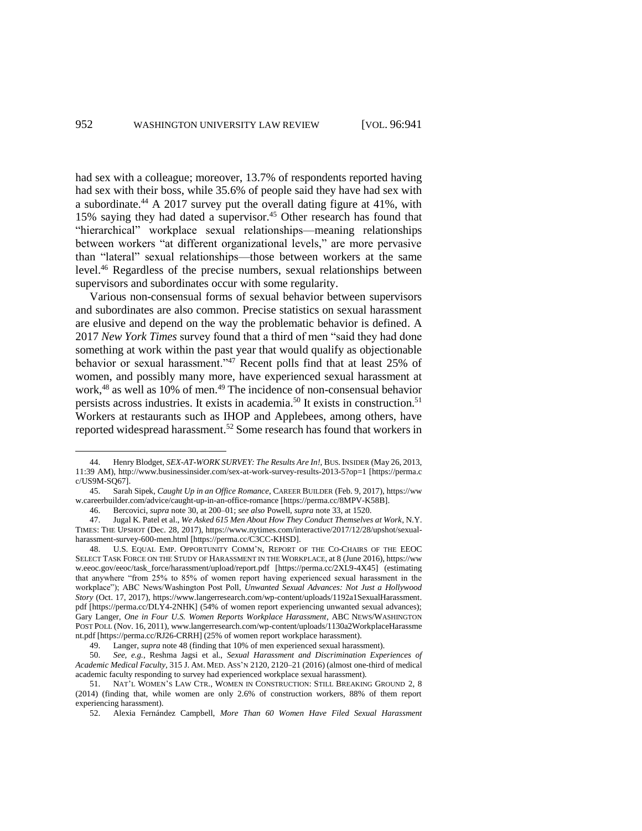had sex with a colleague; moreover, 13.7% of respondents reported having had sex with their boss, while 35.6% of people said they have had sex with a subordinate.<sup>44</sup> A 2017 survey put the overall dating figure at 41%, with 15% saying they had dated a supervisor.<sup>45</sup> Other research has found that "hierarchical" workplace sexual relationships—meaning relationships between workers "at different organizational levels," are more pervasive than "lateral" sexual relationships—those between workers at the same level.<sup>46</sup> Regardless of the precise numbers, sexual relationships between supervisors and subordinates occur with some regularity.

Various non-consensual forms of sexual behavior between supervisors and subordinates are also common. Precise statistics on sexual harassment are elusive and depend on the way the problematic behavior is defined. A 2017 *New York Times* survey found that a third of men "said they had done something at work within the past year that would qualify as objectionable behavior or sexual harassment."<sup>47</sup> Recent polls find that at least 25% of women, and possibly many more, have experienced sexual harassment at work,<sup>48</sup> as well as 10% of men.<sup>49</sup> The incidence of non-consensual behavior persists across industries. It exists in academia.<sup>50</sup> It exists in construction.<sup>51</sup> Workers at restaurants such as IHOP and Applebees, among others, have reported widespread harassment.<sup>52</sup> Some research has found that workers in

<sup>44.</sup> Henry Blodget, *SEX-AT-WORK SURVEY: The Results Are In!*, BUS. INSIDER (May 26, 2013, 11:39 AM), http://www.businessinsider.com/sex-at-work-survey-results-2013-5?op=1 [https://perma.c c/US9M-SQ67].

<sup>45.</sup> Sarah Sipek, *Caught Up in an Office Romance*, CAREER BUILDER (Feb. 9, 2017), https://ww w.careerbuilder.com/advice/caught-up-in-an-office-romance [https://perma.cc/8MPV-K58B].

<sup>46.</sup> Bercovici, *supra* note 30, at 200–01; *see also* Powell, *supra* note 33, at 1520.

<sup>47.</sup> Jugal K. Patel et al., *We Asked 615 Men About How They Conduct Themselves at Work*, N.Y. TIMES: THE UPSHOT (Dec. 28, 2017), https://www.nytimes.com/interactive/2017/12/28/upshot/sexualharassment-survey-600-men.html [https://perma.cc/C3CC-KHSD].

<sup>48.</sup> U.S. EQUAL EMP. OPPORTUNITY COMM'N, REPORT OF THE CO-CHAIRS OF THE EEOC SELECT TASK FORCE ON THE STUDY OF HARASSMENT IN THE WORKPLACE, at 8 (June 2016), https://ww w.eeoc.gov/eeoc/task\_force/harassment/upload/report.pdf [https://perma.cc/2XL9-4X45] (estimating that anywhere "from 25% to 85% of women report having experienced sexual harassment in the workplace"); ABC News/Washington Post Poll, *Unwanted Sexual Advances: Not Just a Hollywood Story* (Oct. 17, 2017), https://www.langerresearch.com/wp-content/uploads/1192a1SexualHarassment. pdf [https://perma.cc/DLY4-2NHK] (54% of women report experiencing unwanted sexual advances); Gary Langer, *One in Four U.S. Women Reports Workplace Harassment*, ABC NEWS/WASHINGTON POST POLL (Nov. 16, 2011), www.langerresearch.com/wp-content/uploads/1130a2WorkplaceHarassme nt.pdf [https://perma.cc/RJ26-CRRH] (25% of women report workplace harassment).

<sup>49.</sup> Langer, *supra* note 48 (finding that 10% of men experienced sexual harassment).<br>50. See, e.e., Reshma Jagsi et al., Sexual Harassment and Discrimination Expe

<sup>50.</sup> *See, e.g.*, Reshma Jagsi et al., *Sexual Harassment and Discrimination Experiences of Academic Medical Faculty*, 315 J. AM. MED. ASS'N 2120, 2120–21 (2016) (almost one-third of medical academic faculty responding to survey had experienced workplace sexual harassment).

<sup>51.</sup> NAT'L WOMEN'S LAW CTR., WOMEN IN CONSTRUCTION: STILL BREAKING GROUND 2, 8 (2014) (finding that, while women are only 2.6% of construction workers, 88% of them report experiencing harassment).

<sup>52.</sup> Alexia Fernández Campbell, *More Than 60 Women Have Filed Sexual Harassment*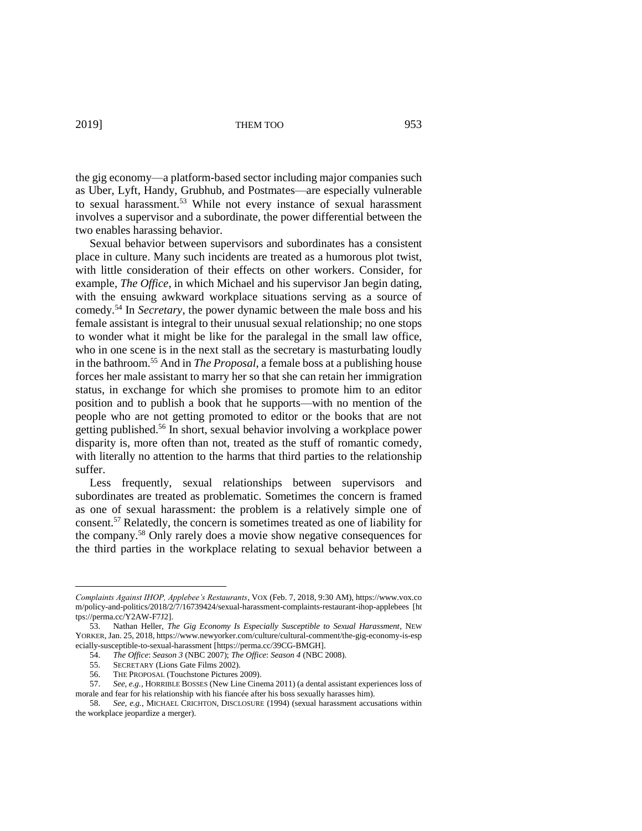the gig economy—a platform-based sector including major companies such as Uber, Lyft, Handy, Grubhub, and Postmates—are especially vulnerable to sexual harassment.<sup>53</sup> While not every instance of sexual harassment involves a supervisor and a subordinate, the power differential between the two enables harassing behavior.

Sexual behavior between supervisors and subordinates has a consistent place in culture. Many such incidents are treated as a humorous plot twist, with little consideration of their effects on other workers. Consider, for example, *The Office*, in which Michael and his supervisor Jan begin dating, with the ensuing awkward workplace situations serving as a source of comedy. <sup>54</sup> In *Secretary*, the power dynamic between the male boss and his female assistant is integral to their unusual sexual relationship; no one stops to wonder what it might be like for the paralegal in the small law office, who in one scene is in the next stall as the secretary is masturbating loudly in the bathroom. <sup>55</sup> And in *The Proposal*, a female boss at a publishing house forces her male assistant to marry her so that she can retain her immigration status, in exchange for which she promises to promote him to an editor position and to publish a book that he supports—with no mention of the people who are not getting promoted to editor or the books that are not getting published. <sup>56</sup> In short, sexual behavior involving a workplace power disparity is, more often than not, treated as the stuff of romantic comedy, with literally no attention to the harms that third parties to the relationship suffer.

Less frequently, sexual relationships between supervisors and subordinates are treated as problematic. Sometimes the concern is framed as one of sexual harassment: the problem is a relatively simple one of consent.<sup>57</sup> Relatedly, the concern is sometimes treated as one of liability for the company.<sup>58</sup> Only rarely does a movie show negative consequences for the third parties in the workplace relating to sexual behavior between a

*Complaints Against IHOP, Applebee's Restaurants*, VOX (Feb. 7, 2018, 9:30 AM), https://www.vox.co m/policy-and-politics/2018/2/7/16739424/sexual-harassment-complaints-restaurant-ihop-applebees [ht tps://perma.cc/Y2AW-F7J2].

<sup>53.</sup> Nathan Heller, *The Gig Economy Is Especially Susceptible to Sexual Harassment*, NEW YORKER, Jan. 25, 2018, https://www.newyorker.com/culture/cultural-comment/the-gig-economy-is-esp ecially-susceptible-to-sexual-harassment [https://perma.cc/39CG-BMGH].

<sup>54.</sup> *The Office*: *Season 3* (NBC 2007); *The Office*: *Season 4* (NBC 2008).

SECRETARY (Lions Gate Films 2002).

<sup>56.</sup> THE PROPOSAL (Touchstone Pictures 2009).

<sup>57.</sup> *See, e.g.*, HORRIBLE BOSSES (New Line Cinema 2011) (a dental assistant experiences loss of morale and fear for his relationship with his fiancée after his boss sexually harasses him).

<sup>58.</sup> *See, e.g.*, MICHAEL CRICHTON, DISCLOSURE (1994) (sexual harassment accusations within the workplace jeopardize a merger).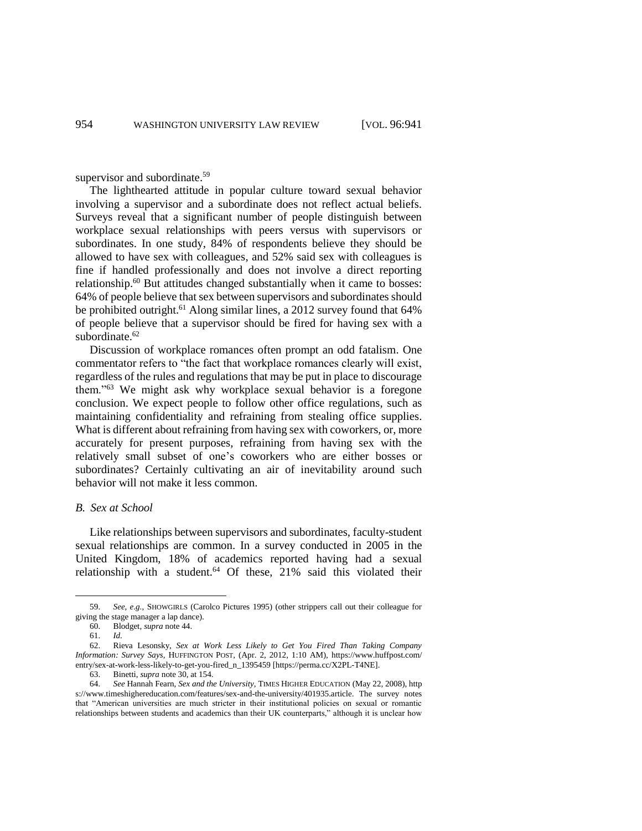supervisor and subordinate.<sup>59</sup>

The lighthearted attitude in popular culture toward sexual behavior involving a supervisor and a subordinate does not reflect actual beliefs. Surveys reveal that a significant number of people distinguish between workplace sexual relationships with peers versus with supervisors or subordinates. In one study, 84% of respondents believe they should be allowed to have sex with colleagues, and 52% said sex with colleagues is fine if handled professionally and does not involve a direct reporting relationship.<sup>60</sup> But attitudes changed substantially when it came to bosses: 64% of people believe that sex between supervisors and subordinates should be prohibited outright.<sup>61</sup> Along similar lines, a 2012 survey found that 64% of people believe that a supervisor should be fired for having sex with a subordinate.<sup>62</sup>

Discussion of workplace romances often prompt an odd fatalism. One commentator refers to "the fact that workplace romances clearly will exist, regardless of the rules and regulations that may be put in place to discourage them."<sup>63</sup> We might ask why workplace sexual behavior is a foregone conclusion. We expect people to follow other office regulations, such as maintaining confidentiality and refraining from stealing office supplies. What is different about refraining from having sex with coworkers, or, more accurately for present purposes, refraining from having sex with the relatively small subset of one's coworkers who are either bosses or subordinates? Certainly cultivating an air of inevitability around such behavior will not make it less common.

# *B. Sex at School*

Like relationships between supervisors and subordinates, faculty-student sexual relationships are common. In a survey conducted in 2005 in the United Kingdom, 18% of academics reported having had a sexual relationship with a student. $64$  Of these, 21% said this violated their

<sup>59.</sup> *See, e.g.*, SHOWGIRLS (Carolco Pictures 1995) (other strippers call out their colleague for giving the stage manager a lap dance).

<sup>60.</sup> Blodget, *supra* note 44.

<sup>61.</sup> *Id.*

<sup>62.</sup> Rieva Lesonsky, *Sex at Work Less Likely to Get You Fired Than Taking Company Information: Survey Says*, HUFFINGTON POST, (Apr. 2, 2012, 1:10 AM), https://www.huffpost.com/ entry/sex-at-work-less-likely-to-get-you-fired\_n\_1395459 [https://perma.cc/X2PL-T4NE].

<sup>63.</sup> Binetti, *supra* note 30, at 154.

<sup>64.</sup> *See* Hannah Fearn, *Sex and the University*, TIMES HIGHER EDUCATION (May 22, 2008), http s://www.timeshighereducation.com/features/sex-and-the-university/401935.article. The survey notes that "American universities are much stricter in their institutional policies on sexual or romantic relationships between students and academics than their UK counterparts," although it is unclear how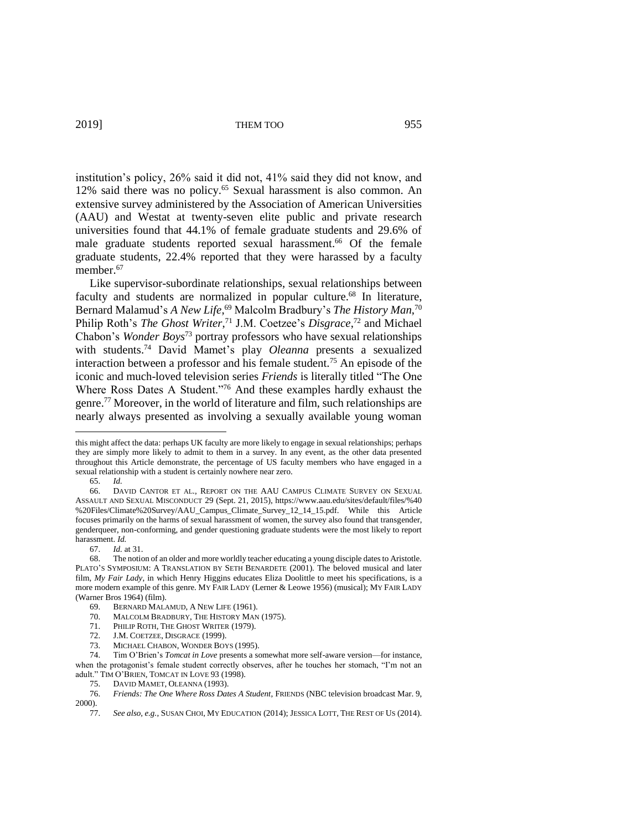institution's policy, 26% said it did not, 41% said they did not know, and 12% said there was no policy.<sup>65</sup> Sexual harassment is also common. An extensive survey administered by the Association of American Universities (AAU) and Westat at twenty-seven elite public and private research universities found that 44.1% of female graduate students and 29.6% of male graduate students reported sexual harassment.<sup>66</sup> Of the female graduate students, 22.4% reported that they were harassed by a faculty member.<sup>67</sup>

Like supervisor-subordinate relationships, sexual relationships between faculty and students are normalized in popular culture.<sup>68</sup> In literature, Bernard Malamud's *A New Life*, <sup>69</sup> Malcolm Bradbury's *The History Man*, 70 Philip Roth's *The Ghost Writer*,<sup>71</sup> J.M. Coetzee's *Disgrace*,<sup>72</sup> and Michael Chabon's *Wonder Boys*<sup>73</sup> portray professors who have sexual relationships with students.<sup>74</sup> David Mamet's play *Oleanna* presents a sexualized interaction between a professor and his female student.<sup>75</sup> An episode of the iconic and much-loved television series *Friends* is literally titled "The One Where Ross Dates A Student."<sup>76</sup> And these examples hardly exhaust the genre. <sup>77</sup> Moreover, in the world of literature and film, such relationships are nearly always presented as involving a sexually available young woman

this might affect the data: perhaps UK faculty are more likely to engage in sexual relationships; perhaps they are simply more likely to admit to them in a survey. In any event, as the other data presented throughout this Article demonstrate, the percentage of US faculty members who have engaged in a sexual relationship with a student is certainly nowhere near zero.

<sup>65.</sup> *Id.*

<sup>66.</sup> DAVID CANTOR ET AL., REPORT ON THE AAU CAMPUS CLIMATE SURVEY ON SEXUAL ASSAULT AND SEXUAL MISCONDUCT 29 (Sept. 21, 2015), https://www.aau.edu/sites/default/files/%40 %20Files/Climate%20Survey/AAU\_Campus\_Climate\_Survey\_12\_14\_15.pdf. While this Article focuses primarily on the harms of sexual harassment of women, the survey also found that transgender, genderqueer, non-conforming, and gender questioning graduate students were the most likely to report harassment. *Id.*

<sup>67.</sup> *Id.* at 31.

<sup>68.</sup> The notion of an older and more worldly teacher educating a young disciple dates to Aristotle. PLATO'S SYMPOSIUM: A TRANSLATION BY SETH BENARDETE (2001). The beloved musical and later film, *My Fair Lady*, in which Henry Higgins educates Eliza Doolittle to meet his specifications, is a more modern example of this genre. MY FAIR LADY (Lerner & Leowe 1956) (musical); MY FAIR LADY (Warner Bros 1964) (film).

BERNARD MALAMUD, A NEW LIFE (1961).

<sup>70.</sup> MALCOLM BRADBURY, THE HISTORY MAN (1975).

<sup>71.</sup> PHILIP ROTH, THE GHOST WRITER (1979).

<sup>72.</sup> J.M. COETZEE, DISGRACE (1999).

<sup>73.</sup> MICHAEL CHABON, WONDER BOYS (1995).

<sup>74.</sup> Tim O'Brien's *Tomcat in Love* presents a somewhat more self-aware version—for instance, when the protagonist's female student correctly observes, after he touches her stomach, "I'm not an adult." TIM O'BRIEN, TOMCAT IN LOVE 93 (1998).

<sup>75.</sup> DAVID MAMET, OLEANNA (1993).

<sup>76.</sup> *Friends: The One Where Ross Dates A Student*, FRIENDS (NBC television broadcast Mar. 9, 2000).

<sup>77.</sup> *See also, e.g.*, SUSAN CHOI, MY EDUCATION (2014); JESSICA LOTT, THE REST OF US (2014).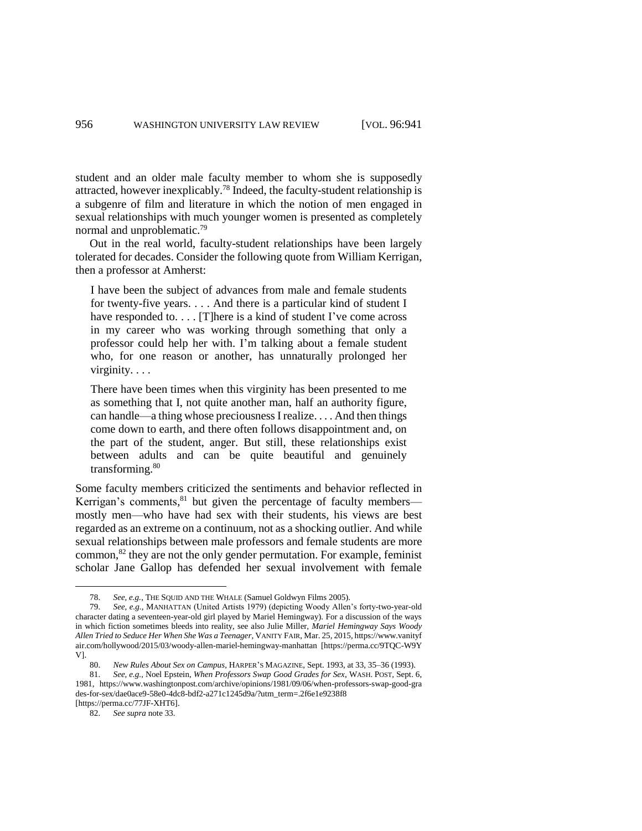student and an older male faculty member to whom she is supposedly attracted, however inexplicably. <sup>78</sup> Indeed, the faculty-student relationship is a subgenre of film and literature in which the notion of men engaged in sexual relationships with much younger women is presented as completely normal and unproblematic.<sup>79</sup>

Out in the real world, faculty-student relationships have been largely tolerated for decades. Consider the following quote from William Kerrigan, then a professor at Amherst:

I have been the subject of advances from male and female students for twenty-five years. . . . And there is a particular kind of student I have responded to. . . . [T]here is a kind of student I've come across in my career who was working through something that only a professor could help her with. I'm talking about a female student who, for one reason or another, has unnaturally prolonged her virginity. . . .

There have been times when this virginity has been presented to me as something that I, not quite another man, half an authority figure, can handle—a thing whose preciousness I realize. . . . And then things come down to earth, and there often follows disappointment and, on the part of the student, anger. But still, these relationships exist between adults and can be quite beautiful and genuinely transforming.<sup>80</sup>

Some faculty members criticized the sentiments and behavior reflected in Kerrigan's comments, <sup>81</sup> but given the percentage of faculty membersmostly men—who have had sex with their students, his views are best regarded as an extreme on a continuum, not as a shocking outlier. And while sexual relationships between male professors and female students are more common, $82$  they are not the only gender permutation. For example, feminist scholar Jane Gallop has defended her sexual involvement with female

82. *See supra* note 33.

<sup>78.</sup> *See, e.g.*, THE SQUID AND THE WHALE (Samuel Goldwyn Films 2005).

<sup>79.</sup> *See, e.g.*, MANHATTAN (United Artists 1979) (depicting Woody Allen's forty-two-year-old character dating a seventeen-year-old girl played by Mariel Hemingway). For a discussion of the ways in which fiction sometimes bleeds into reality, see also Julie Miller, *Mariel Hemingway Says Woody Allen Tried to Seduce Her When She Was a Teenager*, VANITY FAIR, Mar. 25, 2015, https://www.vanityf air.com/hollywood/2015/03/woody-allen-mariel-hemingway-manhattan [https://perma.cc/9TQC-W9Y V].

<sup>80.</sup> *New Rules About Sex on Campus*, HARPER'S MAGAZINE, Sept. 1993, at 33, 35–36 (1993).

<sup>81.</sup> *See, e.g.*, Noel Epstein, *When Professors Swap Good Grades for Sex*, WASH. POST, Sept. 6, 1981, https://www.washingtonpost.com/archive/opinions/1981/09/06/when-professors-swap-good-gra des-for-sex/dae0ace9-58e0-4dc8-bdf2-a271c1245d9a/?utm\_term=.2f6e1e9238f8 [https://perma.cc/77JF-XHT6].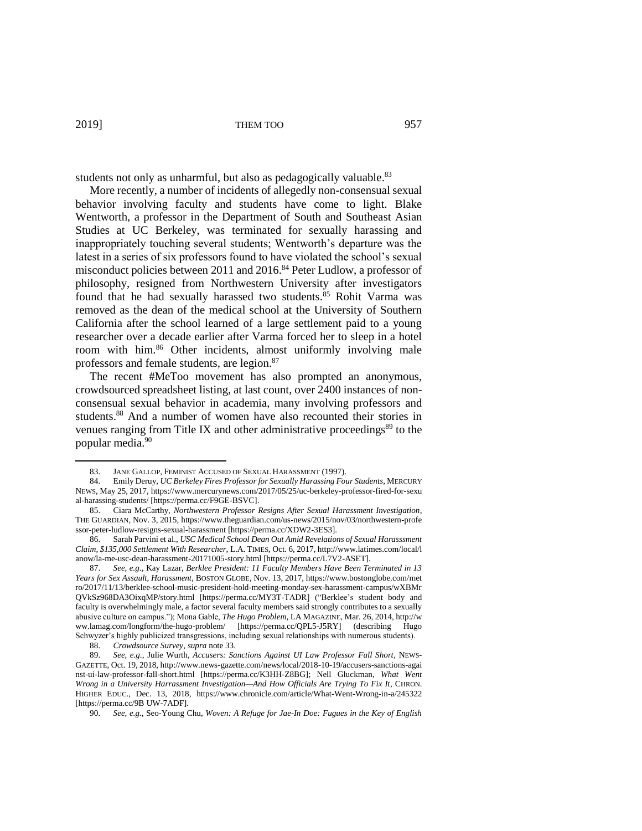students not only as unharmful, but also as pedagogically valuable.<sup>83</sup>

More recently, a number of incidents of allegedly non-consensual sexual behavior involving faculty and students have come to light. Blake Wentworth, a professor in the Department of South and Southeast Asian Studies at UC Berkeley, was terminated for sexually harassing and inappropriately touching several students; Wentworth's departure was the latest in a series of six professors found to have violated the school's sexual misconduct policies between 2011 and 2016.<sup>84</sup> Peter Ludlow, a professor of philosophy, resigned from Northwestern University after investigators found that he had sexually harassed two students.<sup>85</sup> Rohit Varma was removed as the dean of the medical school at the University of Southern California after the school learned of a large settlement paid to a young researcher over a decade earlier after Varma forced her to sleep in a hotel room with him. <sup>86</sup> Other incidents, almost uniformly involving male professors and female students, are legion.<sup>87</sup>

The recent #MeToo movement has also prompted an anonymous, crowdsourced spreadsheet listing, at last count, over 2400 instances of nonconsensual sexual behavior in academia, many involving professors and students. <sup>88</sup> And a number of women have also recounted their stories in venues ranging from Title IX and other administrative proceedings $89$  to the popular media.<sup>90</sup>

<sup>83.</sup> JANE GALLOP*,* FEMINIST ACCUSED OF SEXUAL HARASSMENT (1997).

<sup>84.</sup> Emily Deruy, *UC Berkeley Fires Professor for Sexually Harassing Four Students*, MERCURY NEWS, May 25, 2017, https://www.mercurynews.com/2017/05/25/uc-berkeley-professor-fired-for-sexu al-harassing-students/ [https://perma.cc/F9GE-BSVC].

<sup>85.</sup> Ciara McCarthy, *Northwestern Professor Resigns After Sexual Harassment Investigation*, THE GUARDIAN, Nov. 3, 2015, https://www.theguardian.com/us-news/2015/nov/03/northwestern-profe ssor-peter-ludlow-resigns-sexual-harassment [https://perma.cc/XDW2-3ES3].

<sup>86.</sup> Sarah Parvini et al., *USC Medical School Dean Out Amid Revelations of Sexual Harasssment Claim, \$135,000 Settlement With Researcher*, L.A. TIMES, Oct. 6, 2017, http://www.latimes.com/local/l anow/la-me-usc-dean-harassment-20171005-story.html [https://perma.cc/L7V2-ASET].

<sup>87.</sup> *See, e.g.*, Kay Lazar, *Berklee President: 11 Faculty Members Have Been Terminated in 13 Years for Sex Assault, Harassment*, BOSTON GLOBE, Nov. 13, 2017, https://www.bostonglobe.com/met ro/2017/11/13/berklee-school-music-president-hold-meeting-monday-sex-harassment-campus/wXBMr QVkSz968DA3OixqMP/story.html [https://perma.cc/MY3T-TADR] ("Berklee's student body and faculty is overwhelmingly male, a factor several faculty members said strongly contributes to a sexually abusive culture on campus."); Mona Gable, *The Hugo Problem*, LA MAGAZINE, Mar. 26, 2014, http://w ww.lamag.com/longform/the-hugo-problem/ [https://perma.cc/QPL5-J5RY] (describing Hugo Schwyzer's highly publicized transgressions, including sexual relationships with numerous students).

<sup>88.</sup> *Crowdsource Survey*, *supra* note 33.

<sup>89.</sup> *See, e.g.*, Julie Wurth, *Accusers: Sanctions Against UI Law Professor Fall Short*, NEWS-GAZETTE, Oct. 19, 2018, http://www.news-gazette.com/news/local/2018-10-19/accusers-sanctions-agai nst-ui-law-professor-fall-short.html [https://perma.cc/K3HH-Z8BG]; Nell Gluckman, *What Went Wrong in a University Harrassment Investigation—And How Officials Are Trying To Fix It*, CHRON. HIGHER EDUC., Dec. 13, 2018, https://www.chronicle.com/article/What-Went-Wrong-in-a/245322 [https://perma.cc/9B UW-7ADF].

<sup>90.</sup> *See, e.g.*, Seo-Young Chu, *Woven: A Refuge for Jae-In Doe: Fugues in the Key of English*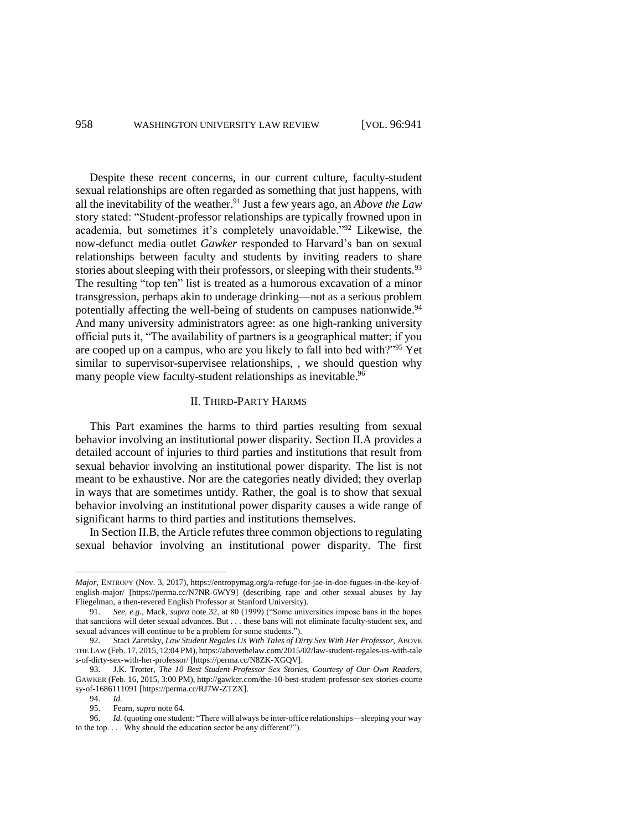Despite these recent concerns, in our current culture, faculty-student sexual relationships are often regarded as something that just happens, with all the inevitability of the weather. <sup>91</sup> Just a few years ago, an *Above the Law* story stated: "Student-professor relationships are typically frowned upon in academia, but sometimes it's completely unavoidable."<sup>92</sup> Likewise, the now-defunct media outlet *Gawker* responded to Harvard's ban on sexual relationships between faculty and students by inviting readers to share stories about sleeping with their professors, or sleeping with their students.<sup>93</sup> The resulting "top ten" list is treated as a humorous excavation of a minor transgression, perhaps akin to underage drinking—not as a serious problem potentially affecting the well-being of students on campuses nationwide.<sup>94</sup> And many university administrators agree: as one high-ranking university official puts it, "The availability of partners is a geographical matter; if you are cooped up on a campus, who are you likely to fall into bed with?"<sup>95</sup> Yet similar to supervisor-supervisee relationships, , we should question why many people view faculty-student relationships as inevitable.<sup>96</sup>

#### II. THIRD-PARTY HARMS

This Part examines the harms to third parties resulting from sexual behavior involving an institutional power disparity. Section II.A provides a detailed account of injuries to third parties and institutions that result from sexual behavior involving an institutional power disparity. The list is not meant to be exhaustive. Nor are the categories neatly divided; they overlap in ways that are sometimes untidy. Rather, the goal is to show that sexual behavior involving an institutional power disparity causes a wide range of significant harms to third parties and institutions themselves.

In Section II.B, the Article refutes three common objections to regulating sexual behavior involving an institutional power disparity. The first

*Major*, ENTROPY (Nov. 3, 2017), https://entropymag.org/a-refuge-for-jae-in-doe-fugues-in-the-key-ofenglish-major/ [https://perma.cc/N7NR-6WY9] (describing rape and other sexual abuses by Jay Fliegelman, a then-revered English Professor at Stanford University).

<sup>91.</sup> *See, e.g.*, Mack, *supra* note 32, at 80 (1999) ("Some universities impose bans in the hopes that sanctions will deter sexual advances. But . . . these bans will not eliminate faculty-student sex, and sexual advances will continue to be a problem for some students.").

<sup>92.</sup> Staci Zaretsky, *Law Student Regales Us With Tales of Dirty Sex With Her Professor,* ABOVE THE LAW (Feb. 17, 2015, 12:04 PM), https://abovethelaw.com/2015/02/law-student-regales-us-with-tale s-of-dirty-sex-with-her-professor/ [https://perma.cc/N8ZK-XGQV].

<sup>93.</sup> J.K. Trotter, *The 10 Best Student-Professor Sex Stories, Courtesy of Our Own Readers*, GAWKER (Feb. 16, 2015, 3:00 PM), http://gawker.com/the-10-best-student-professor-sex-stories-courte sy-of-1686111091 [https://perma.cc/RJ7W-ZTZX].<br>94. Id.

<sup>94.</sup> *Id.*

<sup>95.</sup> Fearn, *supra* note 64.

<sup>96.</sup> *Id.* (quoting one student: "There will always be inter-office relationships—sleeping your way to the top. . . . Why should the education sector be any different?").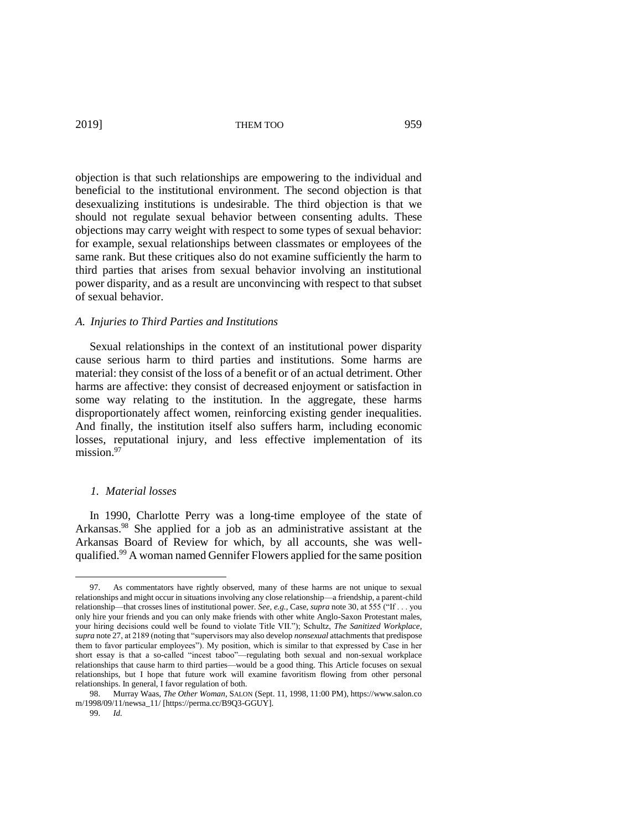objection is that such relationships are empowering to the individual and beneficial to the institutional environment. The second objection is that desexualizing institutions is undesirable. The third objection is that we should not regulate sexual behavior between consenting adults. These objections may carry weight with respect to some types of sexual behavior: for example, sexual relationships between classmates or employees of the same rank. But these critiques also do not examine sufficiently the harm to third parties that arises from sexual behavior involving an institutional power disparity, and as a result are unconvincing with respect to that subset of sexual behavior.

# *A. Injuries to Third Parties and Institutions*

Sexual relationships in the context of an institutional power disparity cause serious harm to third parties and institutions. Some harms are material: they consist of the loss of a benefit or of an actual detriment. Other harms are affective: they consist of decreased enjoyment or satisfaction in some way relating to the institution. In the aggregate, these harms disproportionately affect women, reinforcing existing gender inequalities. And finally, the institution itself also suffers harm, including economic losses, reputational injury, and less effective implementation of its mission.<sup>97</sup>

# *1. Material losses*

In 1990, Charlotte Perry was a long-time employee of the state of Arkansas. <sup>98</sup> She applied for a job as an administrative assistant at the Arkansas Board of Review for which, by all accounts, she was wellqualified.<sup>99</sup> A woman named Gennifer Flowers applied for the same position

As commentators have rightly observed, many of these harms are not unique to sexual relationships and might occur in situations involving any close relationship—a friendship, a parent-child relationship—that crosses lines of institutional power. *See, e.g.*, Case, *supra* note 30, at 555 ("If . . . you only hire your friends and you can only make friends with other white Anglo-Saxon Protestant males, your hiring decisions could well be found to violate Title VII."); Schultz, *The Sanitized Workplace*, *supra* note 27, at 2189 (noting that "supervisors may also develop *nonsexual* attachments that predispose them to favor particular employees"). My position, which is similar to that expressed by Case in her short essay is that a so-called "incest taboo"—regulating both sexual and non-sexual workplace relationships that cause harm to third parties—would be a good thing. This Article focuses on sexual relationships, but I hope that future work will examine favoritism flowing from other personal relationships. In general, I favor regulation of both.

<sup>98.</sup> Murray Waas, *The Other Woman*, SALON (Sept. 11, 1998, 11:00 PM), https://www.salon.co m/1998/09/11/newsa\_11/ [https://perma.cc/B9Q3-GGUY].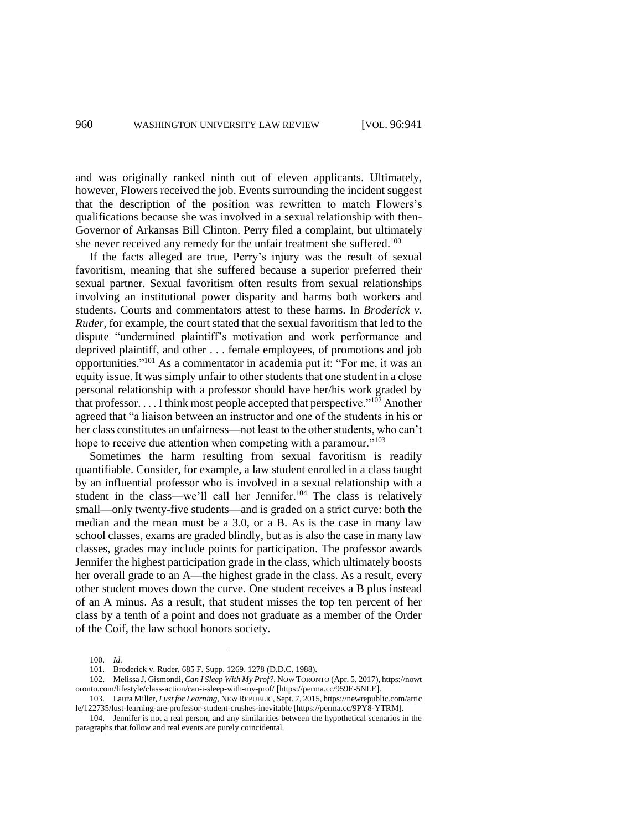and was originally ranked ninth out of eleven applicants. Ultimately, however, Flowers received the job. Events surrounding the incident suggest that the description of the position was rewritten to match Flowers's qualifications because she was involved in a sexual relationship with then-Governor of Arkansas Bill Clinton. Perry filed a complaint, but ultimately she never received any remedy for the unfair treatment she suffered.<sup>100</sup>

If the facts alleged are true, Perry's injury was the result of sexual favoritism, meaning that she suffered because a superior preferred their sexual partner. Sexual favoritism often results from sexual relationships involving an institutional power disparity and harms both workers and students. Courts and commentators attest to these harms. In *Broderick v. Ruder*, for example, the court stated that the sexual favoritism that led to the dispute "undermined plaintiff's motivation and work performance and deprived plaintiff, and other . . . female employees, of promotions and job opportunities." <sup>101</sup> As a commentator in academia put it: "For me, it was an equity issue. It was simply unfair to other students that one student in a close personal relationship with a professor should have her/his work graded by that professor. . . . I think most people accepted that perspective."<sup>102</sup> Another agreed that "a liaison between an instructor and one of the students in his or her class constitutes an unfairness—not least to the other students, who can't hope to receive due attention when competing with a paramour."<sup>103</sup>

Sometimes the harm resulting from sexual favoritism is readily quantifiable. Consider, for example, a law student enrolled in a class taught by an influential professor who is involved in a sexual relationship with a student in the class—we'll call her Jennifer.<sup>104</sup> The class is relatively small—only twenty-five students—and is graded on a strict curve: both the median and the mean must be a 3.0, or a B. As is the case in many law school classes, exams are graded blindly, but as is also the case in many law classes, grades may include points for participation. The professor awards Jennifer the highest participation grade in the class, which ultimately boosts her overall grade to an A—the highest grade in the class. As a result, every other student moves down the curve. One student receives a B plus instead of an A minus. As a result, that student misses the top ten percent of her class by a tenth of a point and does not graduate as a member of the Order of the Coif, the law school honors society.

<sup>100.</sup> *Id.*

<sup>101.</sup> Broderick v. Ruder, 685 F. Supp. 1269, 1278 (D.D.C. 1988).

<sup>102.</sup> Melissa J. Gismondi, *Can I Sleep With My Prof?*, NOW TORONTO (Apr. 5, 2017), https://nowt oronto.com/lifestyle/class-action/can-i-sleep-with-my-prof/ [https://perma.cc/959E-5NLE].

<sup>103.</sup> Laura Miller, *Lust for Learning*, NEW REPUBLIC, Sept. 7, 2015, https://newrepublic.com/artic le/122735/lust-learning-are-professor-student-crushes-inevitable [https://perma.cc/9PY8-YTRM].

<sup>104.</sup> Jennifer is not a real person, and any similarities between the hypothetical scenarios in the paragraphs that follow and real events are purely coincidental.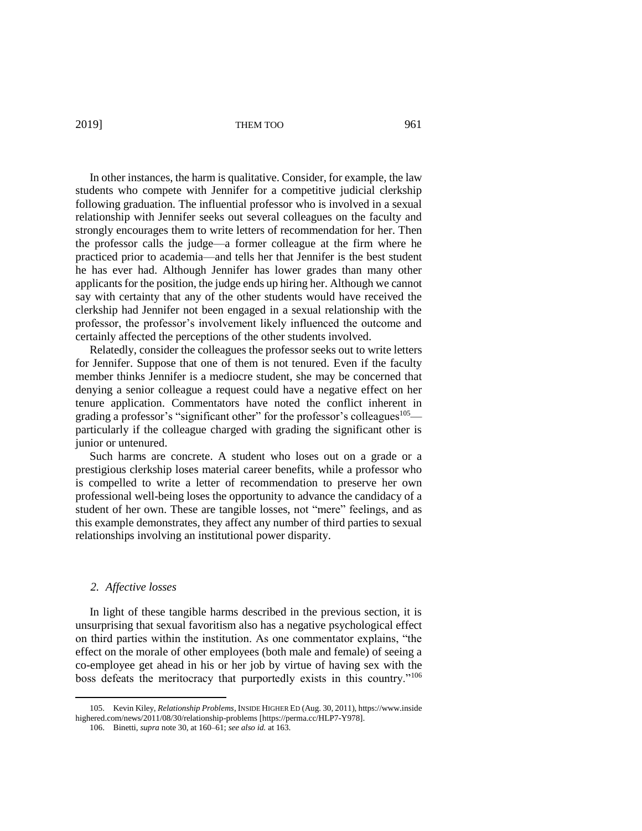In other instances, the harm is qualitative. Consider, for example, the law students who compete with Jennifer for a competitive judicial clerkship following graduation. The influential professor who is involved in a sexual relationship with Jennifer seeks out several colleagues on the faculty and strongly encourages them to write letters of recommendation for her. Then the professor calls the judge—a former colleague at the firm where he practiced prior to academia—and tells her that Jennifer is the best student he has ever had. Although Jennifer has lower grades than many other applicants for the position, the judge ends up hiring her. Although we cannot say with certainty that any of the other students would have received the clerkship had Jennifer not been engaged in a sexual relationship with the professor, the professor's involvement likely influenced the outcome and certainly affected the perceptions of the other students involved.

Relatedly, consider the colleagues the professor seeks out to write letters for Jennifer. Suppose that one of them is not tenured. Even if the faculty member thinks Jennifer is a mediocre student, she may be concerned that denying a senior colleague a request could have a negative effect on her tenure application. Commentators have noted the conflict inherent in grading a professor's "significant other" for the professor's colleagues<sup>105</sup> particularly if the colleague charged with grading the significant other is junior or untenured.

Such harms are concrete. A student who loses out on a grade or a prestigious clerkship loses material career benefits, while a professor who is compelled to write a letter of recommendation to preserve her own professional well-being loses the opportunity to advance the candidacy of a student of her own. These are tangible losses, not "mere" feelings, and as this example demonstrates, they affect any number of third parties to sexual relationships involving an institutional power disparity.

# *2. Affective losses*

 $\overline{a}$ 

In light of these tangible harms described in the previous section, it is unsurprising that sexual favoritism also has a negative psychological effect on third parties within the institution. As one commentator explains, "the effect on the morale of other employees (both male and female) of seeing a co-employee get ahead in his or her job by virtue of having sex with the boss defeats the meritocracy that purportedly exists in this country."<sup>106</sup>

<sup>105.</sup> Kevin Kiley, *Relationship Problems*, INSIDE HIGHER ED (Aug. 30, 2011), https://www.inside highered.com/news/2011/08/30/relationship-problems [https://perma.cc/HLP7-Y978].

<sup>106.</sup> Binetti, *supra* note 30, at 160–61; *see also id.* at 163.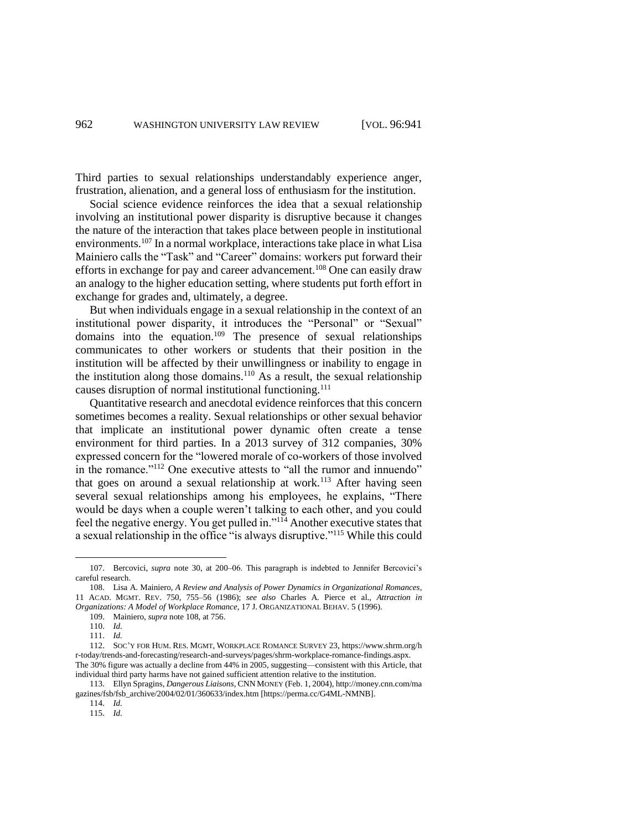Third parties to sexual relationships understandably experience anger, frustration, alienation, and a general loss of enthusiasm for the institution.

Social science evidence reinforces the idea that a sexual relationship involving an institutional power disparity is disruptive because it changes the nature of the interaction that takes place between people in institutional environments.<sup>107</sup> In a normal workplace, interactions take place in what Lisa Mainiero calls the "Task" and "Career" domains: workers put forward their efforts in exchange for pay and career advancement.<sup>108</sup> One can easily draw an analogy to the higher education setting, where students put forth effort in exchange for grades and, ultimately, a degree.

But when individuals engage in a sexual relationship in the context of an institutional power disparity, it introduces the "Personal" or "Sexual" domains into the equation.<sup>109</sup> The presence of sexual relationships communicates to other workers or students that their position in the institution will be affected by their unwillingness or inability to engage in the institution along those domains.<sup>110</sup> As a result, the sexual relationship causes disruption of normal institutional functioning.<sup>111</sup>

Quantitative research and anecdotal evidence reinforces that this concern sometimes becomes a reality. Sexual relationships or other sexual behavior that implicate an institutional power dynamic often create a tense environment for third parties. In a 2013 survey of 312 companies, 30% expressed concern for the "lowered morale of co-workers of those involved in the romance."<sup>112</sup> One executive attests to "all the rumor and innuendo" that goes on around a sexual relationship at work.<sup>113</sup> After having seen several sexual relationships among his employees, he explains, "There would be days when a couple weren't talking to each other, and you could feel the negative energy. You get pulled in."<sup>114</sup> Another executive states that a sexual relationship in the office "is always disruptive."<sup>115</sup> While this could

<sup>107.</sup> Bercovici, *supra* note 30, at 200–06. This paragraph is indebted to Jennifer Bercovici's careful research.

<sup>108.</sup> Lisa A. Mainiero, *A Review and Analysis of Power Dynamics in Organizational Romances*, 11 ACAD. MGMT. REV. 750, 755–56 (1986); *see also* Charles A. Pierce et al., *Attraction in Organizations: A Model of Workplace Romance*, 17 J. ORGANIZATIONAL BEHAV. 5 (1996).

<sup>109.</sup> Mainiero, *supra* note 108, at 756.

<sup>110.</sup> *Id.*

<sup>111.</sup> *Id.*

<sup>112.</sup> SOC'Y FOR HUM. RES. MGMT, WORKPLACE ROMANCE SURVEY 23, https://www.shrm.org/h r-today/trends-and-forecasting/research-and-surveys/pages/shrm-workplace-romance-findings.aspx. The 30% figure was actually a decline from 44% in 2005, suggesting—consistent with this Article, that individual third party harms have not gained sufficient attention relative to the institution.

<sup>113.</sup> Ellyn Spragins, *Dangerous Liaisons*, CNN MONEY (Feb. 1, 2004), http://money.cnn.com/ma gazines/fsb/fsb\_archive/2004/02/01/360633/index.htm [https://perma.cc/G4ML-NMNB].

<sup>114.</sup> *Id.* 115. *Id.*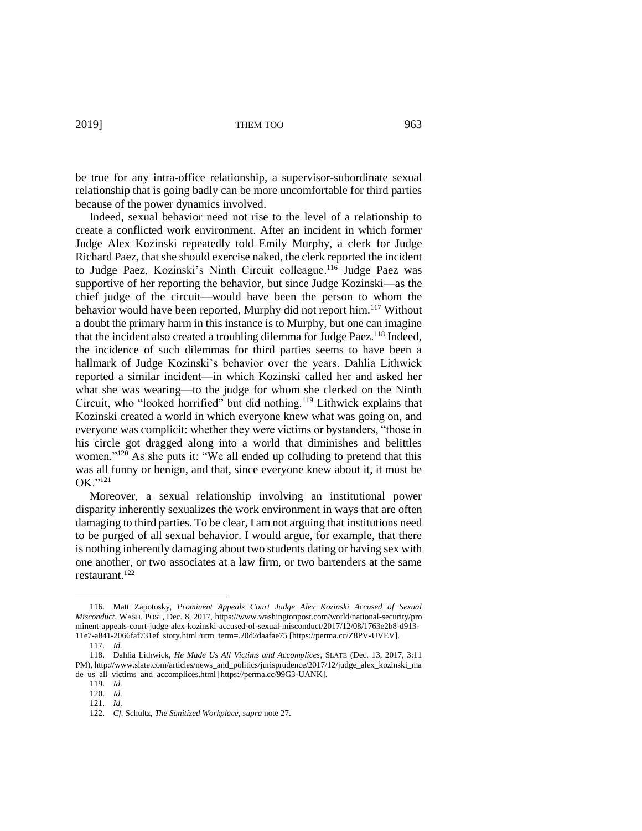be true for any intra-office relationship, a supervisor-subordinate sexual relationship that is going badly can be more uncomfortable for third parties because of the power dynamics involved.

Indeed, sexual behavior need not rise to the level of a relationship to create a conflicted work environment. After an incident in which former Judge Alex Kozinski repeatedly told Emily Murphy, a clerk for Judge Richard Paez, that she should exercise naked, the clerk reported the incident to Judge Paez, Kozinski's Ninth Circuit colleague.<sup>116</sup> Judge Paez was supportive of her reporting the behavior, but since Judge Kozinski—as the chief judge of the circuit—would have been the person to whom the behavior would have been reported, Murphy did not report him.<sup>117</sup> Without a doubt the primary harm in this instance is to Murphy, but one can imagine that the incident also created a troubling dilemma for Judge Paez.<sup>118</sup> Indeed, the incidence of such dilemmas for third parties seems to have been a hallmark of Judge Kozinski's behavior over the years. Dahlia Lithwick reported a similar incident—in which Kozinski called her and asked her what she was wearing—to the judge for whom she clerked on the Ninth Circuit, who "looked horrified" but did nothing.<sup>119</sup> Lithwick explains that Kozinski created a world in which everyone knew what was going on, and everyone was complicit: whether they were victims or bystanders, "those in his circle got dragged along into a world that diminishes and belittles women."<sup>120</sup> As she puts it: "We all ended up colluding to pretend that this was all funny or benign, and that, since everyone knew about it, it must be OK."<sup>121</sup>

Moreover, a sexual relationship involving an institutional power disparity inherently sexualizes the work environment in ways that are often damaging to third parties. To be clear, I am not arguing that institutions need to be purged of all sexual behavior. I would argue, for example, that there is nothing inherently damaging about two students dating or having sex with one another, or two associates at a law firm, or two bartenders at the same restaurant.<sup>122</sup>

<sup>116.</sup> Matt Zapotosky, *Prominent Appeals Court Judge Alex Kozinski Accused of Sexual Misconduct*, WASH. POST, Dec. 8, 2017, https://www.washingtonpost.com/world/national-security/pro minent-appeals-court-judge-alex-kozinski-accused-of-sexual-misconduct/2017/12/08/1763e2b8-d913- 11e7-a841-2066faf731ef\_story.html?utm\_term=.20d2daafae75 [https://perma.cc/Z8PV-UVEV].

<sup>117.</sup> *Id.*

<sup>118.</sup> Dahlia Lithwick, *He Made Us All Victims and Accomplices*, SLATE (Dec. 13, 2017, 3:11 PM), http://www.slate.com/articles/news\_and\_politics/jurisprudence/2017/12/judge\_alex\_kozinski\_ma de\_us\_all\_victims\_and\_accomplices.html [https://perma.cc/99G3-UANK].

<sup>119.</sup> *Id.*

<sup>120.</sup> *Id.*

<sup>121.</sup> *Id.*

<sup>122.</sup> *Cf.* Schultz, *The Sanitized Workplace*, *supra* note 27.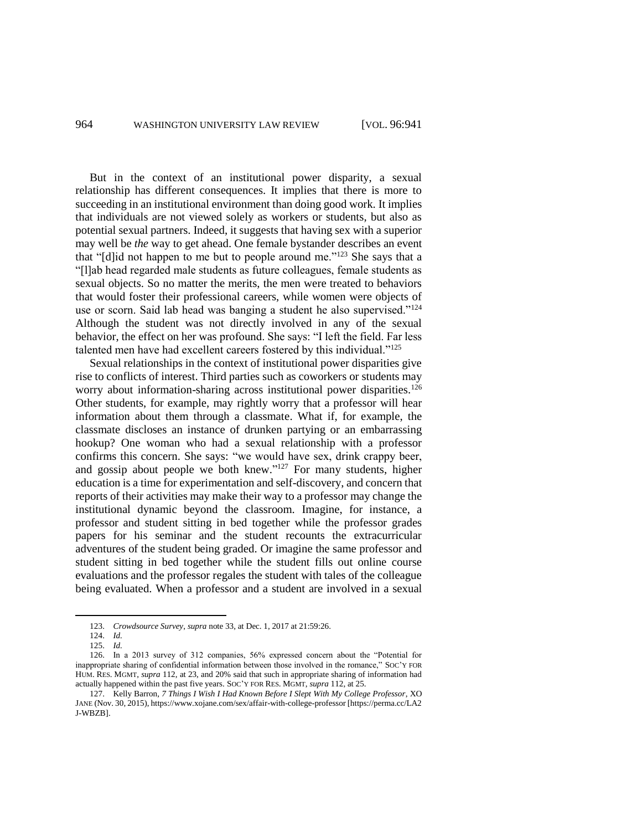But in the context of an institutional power disparity, a sexual relationship has different consequences. It implies that there is more to succeeding in an institutional environment than doing good work. It implies that individuals are not viewed solely as workers or students, but also as potential sexual partners. Indeed, it suggests that having sex with a superior may well be *the* way to get ahead. One female bystander describes an event that "[d]id not happen to me but to people around me."<sup>123</sup> She says that a "[l]ab head regarded male students as future colleagues, female students as sexual objects. So no matter the merits, the men were treated to behaviors that would foster their professional careers, while women were objects of use or scorn. Said lab head was banging a student he also supervised."<sup>124</sup> Although the student was not directly involved in any of the sexual behavior, the effect on her was profound. She says: "I left the field. Far less talented men have had excellent careers fostered by this individual."<sup>125</sup>

Sexual relationships in the context of institutional power disparities give rise to conflicts of interest. Third parties such as coworkers or students may worry about information-sharing across institutional power disparities.<sup>126</sup> Other students, for example, may rightly worry that a professor will hear information about them through a classmate. What if, for example, the classmate discloses an instance of drunken partying or an embarrassing hookup? One woman who had a sexual relationship with a professor confirms this concern. She says: "we would have sex, drink crappy beer, and gossip about people we both knew."<sup>127</sup> For many students, higher education is a time for experimentation and self-discovery, and concern that reports of their activities may make their way to a professor may change the institutional dynamic beyond the classroom. Imagine, for instance, a professor and student sitting in bed together while the professor grades papers for his seminar and the student recounts the extracurricular adventures of the student being graded. Or imagine the same professor and student sitting in bed together while the student fills out online course evaluations and the professor regales the student with tales of the colleague being evaluated. When a professor and a student are involved in a sexual

<sup>123.</sup> *Crowdsource Survey*, *supra* note 33, at Dec. 1, 2017 at 21:59:26.

<sup>124.</sup> *Id.*

<sup>125.</sup> *Id.*

<sup>126.</sup> In a 2013 survey of 312 companies, 56% expressed concern about the "Potential for inappropriate sharing of confidential information between those involved in the romance," SOC'Y FOR HUM. RES. MGMT, *supra* 112, at 23, and 20% said that such in appropriate sharing of information had actually happened within the past five years. SOC'Y FOR RES. MGMT, *supra* 112, at 25.

<sup>127.</sup> Kelly Barron, *7 Things I Wish I Had Known Before I Slept With My College Professor*, XO JANE (Nov. 30, 2015), https://www.xojane.com/sex/affair-with-college-professor [https://perma.cc/LA2 J-WBZB].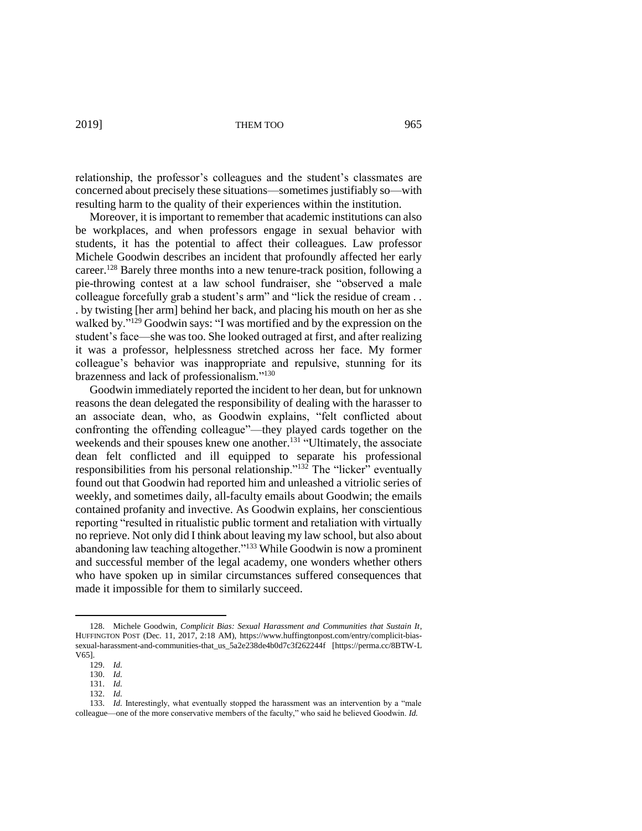relationship, the professor's colleagues and the student's classmates are concerned about precisely these situations—sometimes justifiably so—with resulting harm to the quality of their experiences within the institution.

Moreover, it is important to remember that academic institutions can also be workplaces, and when professors engage in sexual behavior with students, it has the potential to affect their colleagues. Law professor Michele Goodwin describes an incident that profoundly affected her early career.<sup>128</sup> Barely three months into a new tenure-track position, following a pie-throwing contest at a law school fundraiser, she "observed a male colleague forcefully grab a student's arm" and "lick the residue of cream . . . by twisting [her arm] behind her back, and placing his mouth on her as she walked by."<sup>129</sup> Goodwin says: "I was mortified and by the expression on the student's face—she was too. She looked outraged at first, and after realizing it was a professor, helplessness stretched across her face. My former colleague's behavior was inappropriate and repulsive, stunning for its brazenness and lack of professionalism."<sup>130</sup>

Goodwin immediately reported the incident to her dean, but for unknown reasons the dean delegated the responsibility of dealing with the harasser to an associate dean, who, as Goodwin explains, "felt conflicted about confronting the offending colleague"—they played cards together on the weekends and their spouses knew one another.<sup>131</sup> "Ultimately, the associate dean felt conflicted and ill equipped to separate his professional responsibilities from his personal relationship." $132$  The "licker" eventually found out that Goodwin had reported him and unleashed a vitriolic series of weekly, and sometimes daily, all-faculty emails about Goodwin; the emails contained profanity and invective. As Goodwin explains, her conscientious reporting "resulted in ritualistic public torment and retaliation with virtually no reprieve. Not only did I think about leaving my law school, but also about abandoning law teaching altogether."<sup>133</sup> While Goodwin is now a prominent and successful member of the legal academy, one wonders whether others who have spoken up in similar circumstances suffered consequences that made it impossible for them to similarly succeed.

<sup>128.</sup> Michele Goodwin, *Complicit Bias: Sexual Harassment and Communities that Sustain It*, HUFFINGTON POST (Dec. 11, 2017, 2:18 AM), https://www.huffingtonpost.com/entry/complicit-biassexual-harassment-and-communities-that\_us\_5a2e238de4b0d7c3f262244f [https://perma.cc/8BTW-L V65].

<sup>129.</sup> *Id.*

<sup>130.</sup> *Id.*

<sup>131.</sup> *Id.*

<sup>132.</sup> *Id.*

<sup>133.</sup> *Id.* Interestingly, what eventually stopped the harassment was an intervention by a "male colleague—one of the more conservative members of the faculty," who said he believed Goodwin. *Id.*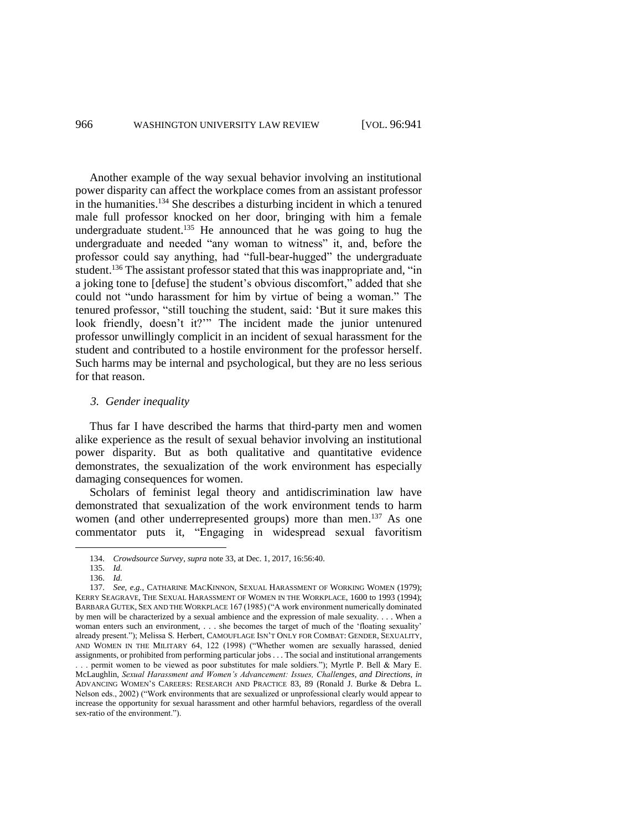Another example of the way sexual behavior involving an institutional power disparity can affect the workplace comes from an assistant professor in the humanities. <sup>134</sup> She describes a disturbing incident in which a tenured male full professor knocked on her door, bringing with him a female undergraduate student.<sup>135</sup> He announced that he was going to hug the undergraduate and needed "any woman to witness" it, and, before the professor could say anything, had "full-bear-hugged" the undergraduate student.<sup>136</sup> The assistant professor stated that this was inappropriate and, "in a joking tone to [defuse] the student's obvious discomfort," added that she could not "undo harassment for him by virtue of being a woman." The tenured professor, "still touching the student, said: 'But it sure makes this look friendly, doesn't it?'" The incident made the junior untenured professor unwillingly complicit in an incident of sexual harassment for the student and contributed to a hostile environment for the professor herself. Such harms may be internal and psychological, but they are no less serious for that reason.

#### *3. Gender inequality*

Thus far I have described the harms that third-party men and women alike experience as the result of sexual behavior involving an institutional power disparity. But as both qualitative and quantitative evidence demonstrates, the sexualization of the work environment has especially damaging consequences for women.

Scholars of feminist legal theory and antidiscrimination law have demonstrated that sexualization of the work environment tends to harm women (and other underrepresented groups) more than men.<sup>137</sup> As one commentator puts it, "Engaging in widespread sexual favoritism

<sup>134.</sup> *Crowdsource Survey, supra* note 33, at Dec. 1, 2017, 16:56:40.

<sup>135.</sup> *Id.*

<sup>136.</sup> *Id.*

<sup>137.</sup> *See, e.g.*, CATHARINE MACKINNON, SEXUAL HARASSMENT OF WORKING WOMEN (1979); KERRY SEAGRAVE, THE SEXUAL HARASSMENT OF WOMEN IN THE WORKPLACE, 1600 to 1993 (1994); BARBARA GUTEK, SEX AND THE WORKPLACE 167 (1985) ("A work environment numerically dominated by men will be characterized by a sexual ambience and the expression of male sexuality. . . . When a woman enters such an environment, . . . she becomes the target of much of the 'floating sexuality' already present."); Melissa S. Herbert, CAMOUFLAGE ISN'T ONLY FOR COMBAT: GENDER, SEXUALITY, AND WOMEN IN THE MILITARY 64, 122 (1998) ("Whether women are sexually harassed, denied assignments, or prohibited from performing particular jobs . . . The social and institutional arrangements

<sup>. . .</sup> permit women to be viewed as poor substitutes for male soldiers."); Myrtle P. Bell & Mary E. McLaughlin, *Sexual Harassment and Women's Advancement: Issues, Challenges, and Directions*, *in* ADVANCING WOMEN'S CAREERS: RESEARCH AND PRACTICE 83, 89 (Ronald J. Burke & Debra L. Nelson eds., 2002) ("Work environments that are sexualized or unprofessional clearly would appear to increase the opportunity for sexual harassment and other harmful behaviors, regardless of the overall sex-ratio of the environment.").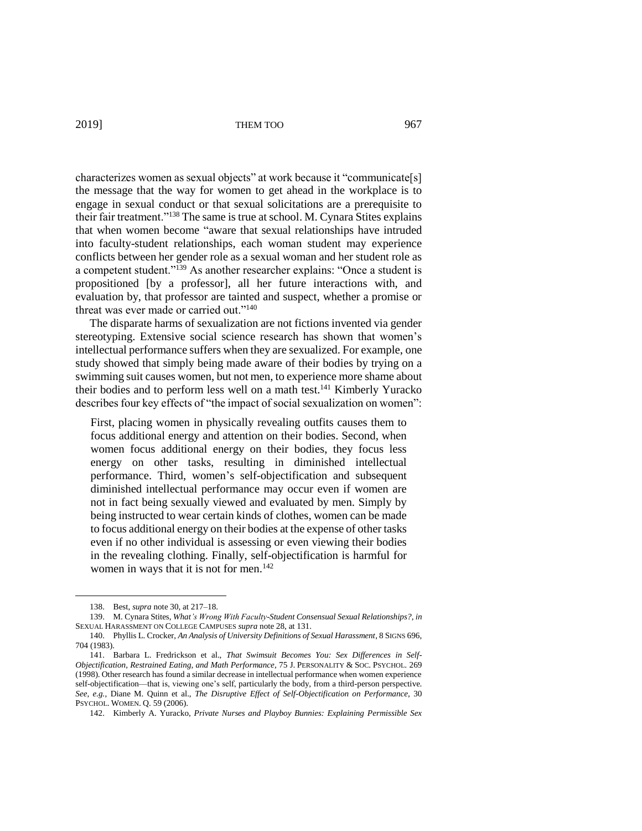characterizes women as sexual objects" at work because it "communicate[s] the message that the way for women to get ahead in the workplace is to engage in sexual conduct or that sexual solicitations are a prerequisite to their fair treatment."<sup>138</sup> The same is true at school. M. Cynara Stites explains that when women become "aware that sexual relationships have intruded into faculty-student relationships, each woman student may experience conflicts between her gender role as a sexual woman and her student role as a competent student."<sup>139</sup> As another researcher explains: "Once a student is propositioned [by a professor], all her future interactions with, and evaluation by, that professor are tainted and suspect, whether a promise or threat was ever made or carried out."<sup>140</sup>

The disparate harms of sexualization are not fictions invented via gender stereotyping. Extensive social science research has shown that women's intellectual performance suffers when they are sexualized. For example, one study showed that simply being made aware of their bodies by trying on a swimming suit causes women, but not men, to experience more shame about their bodies and to perform less well on a math test.<sup>141</sup> Kimberly Yuracko describes four key effects of "the impact of social sexualization on women":

First, placing women in physically revealing outfits causes them to focus additional energy and attention on their bodies. Second, when women focus additional energy on their bodies, they focus less energy on other tasks, resulting in diminished intellectual performance. Third, women's self-objectification and subsequent diminished intellectual performance may occur even if women are not in fact being sexually viewed and evaluated by men. Simply by being instructed to wear certain kinds of clothes, women can be made to focus additional energy on their bodies at the expense of other tasks even if no other individual is assessing or even viewing their bodies in the revealing clothing. Finally, self-objectification is harmful for women in ways that it is not for men.<sup>142</sup>

<sup>138.</sup> Best, *supra* note 30, at 217–18.

<sup>139.</sup> M. Cynara Stites, *What's Wrong With Faculty-Student Consensual Sexual Relationships?*, *in* SEXUAL HARASSMENT ON COLLEGE CAMPUSES *supra* note 28, at 131.

<sup>140.</sup> Phyllis L. Crocker, *An Analysis of University Definitions of Sexual Harassment*, 8 SIGNS 696, 704 (1983).

<sup>141.</sup> Barbara L. Fredrickson et al., *That Swimsuit Becomes You: Sex Differences in Self-Objectification, Restrained Eating, and Math Performance*, 75 J. PERSONALITY & SOC. PSYCHOL. 269 (1998). Other research has found a similar decrease in intellectual performance when women experience self-objectification—that is, viewing one's self, particularly the body, from a third-person perspective. *See, e.g.*, Diane M. Quinn et al., *The Disruptive Effect of Self-Objectification on Performance*, 30 PSYCHOL. WOMEN. Q. 59 (2006).

<sup>142.</sup> Kimberly A. Yuracko, *Private Nurses and Playboy Bunnies: Explaining Permissible Sex*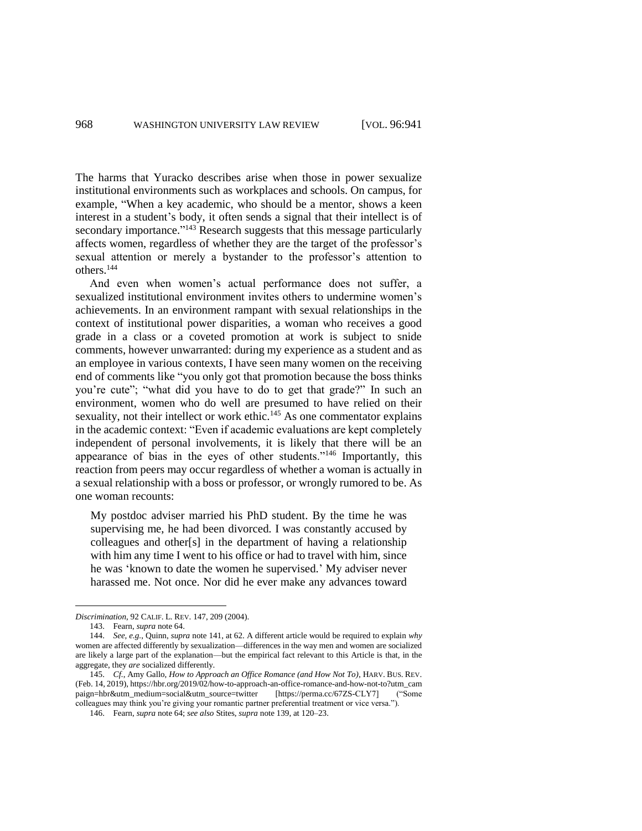The harms that Yuracko describes arise when those in power sexualize institutional environments such as workplaces and schools. On campus, for example, "When a key academic, who should be a mentor, shows a keen interest in a student's body, it often sends a signal that their intellect is of secondary importance."<sup>143</sup> Research suggests that this message particularly affects women, regardless of whether they are the target of the professor's sexual attention or merely a bystander to the professor's attention to others.<sup>144</sup>

And even when women's actual performance does not suffer, a sexualized institutional environment invites others to undermine women's achievements. In an environment rampant with sexual relationships in the context of institutional power disparities, a woman who receives a good grade in a class or a coveted promotion at work is subject to snide comments, however unwarranted: during my experience as a student and as an employee in various contexts, I have seen many women on the receiving end of comments like "you only got that promotion because the boss thinks you're cute"; "what did you have to do to get that grade?" In such an environment, women who do well are presumed to have relied on their sexuality, not their intellect or work ethic.<sup>145</sup> As one commentator explains in the academic context: "Even if academic evaluations are kept completely independent of personal involvements, it is likely that there will be an appearance of bias in the eyes of other students."<sup>146</sup> Importantly, this reaction from peers may occur regardless of whether a woman is actually in a sexual relationship with a boss or professor, or wrongly rumored to be. As one woman recounts:

My postdoc adviser married his PhD student. By the time he was supervising me, he had been divorced. I was constantly accused by colleagues and other[s] in the department of having a relationship with him any time I went to his office or had to travel with him, since he was 'known to date the women he supervised.' My adviser never harassed me. Not once. Nor did he ever make any advances toward

*Discrimination*, 92 CALIF. L. REV. 147, 209 (2004).

<sup>143.</sup> Fearn, *supra* note 64.

<sup>144.</sup> *See, e.g.*, Quinn, *supra* note 141, at 62. A different article would be required to explain *why* women are affected differently by sexualization—differences in the way men and women are socialized are likely a large part of the explanation—but the empirical fact relevant to this Article is that, in the aggregate, they *are* socialized differently.

<sup>145.</sup> *Cf.*, Amy Gallo, *How to Approach an Office Romance (and How Not To)*, HARV. BUS. REV. (Feb. 14, 2019), https://hbr.org/2019/02/how-to-approach-an-office-romance-and-how-not-to?utm\_cam paign=hbr&utm\_medium=social&utm\_source=twitter [https://perma.cc/67ZS-CLY7] ("Some colleagues may think you're giving your romantic partner preferential treatment or vice versa.").

<sup>146.</sup> Fearn, *supra* note 64; *see also* Stites, *supra* note 139, at 120–23.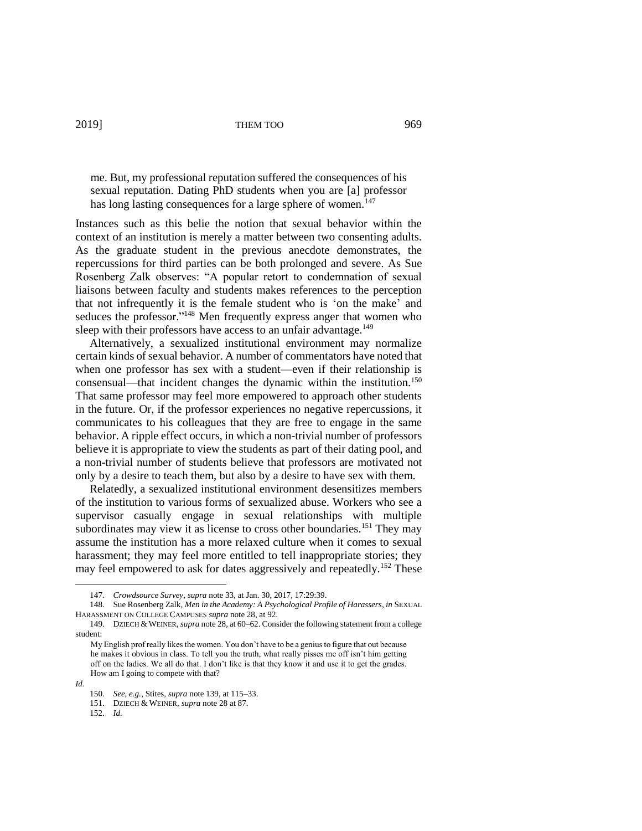me. But, my professional reputation suffered the consequences of his sexual reputation. Dating PhD students when you are [a] professor has long lasting consequences for a large sphere of women.<sup>147</sup>

Instances such as this belie the notion that sexual behavior within the context of an institution is merely a matter between two consenting adults. As the graduate student in the previous anecdote demonstrates, the repercussions for third parties can be both prolonged and severe. As Sue Rosenberg Zalk observes: "A popular retort to condemnation of sexual liaisons between faculty and students makes references to the perception that not infrequently it is the female student who is 'on the make' and seduces the professor."<sup>148</sup> Men frequently express anger that women who sleep with their professors have access to an unfair advantage.<sup>149</sup>

Alternatively, a sexualized institutional environment may normalize certain kinds of sexual behavior. A number of commentators have noted that when one professor has sex with a student—even if their relationship is consensual—that incident changes the dynamic within the institution.<sup>150</sup> That same professor may feel more empowered to approach other students in the future. Or, if the professor experiences no negative repercussions, it communicates to his colleagues that they are free to engage in the same behavior. A ripple effect occurs, in which a non-trivial number of professors believe it is appropriate to view the students as part of their dating pool, and a non-trivial number of students believe that professors are motivated not only by a desire to teach them, but also by a desire to have sex with them.

Relatedly, a sexualized institutional environment desensitizes members of the institution to various forms of sexualized abuse. Workers who see a supervisor casually engage in sexual relationships with multiple subordinates may view it as license to cross other boundaries.<sup>151</sup> They may assume the institution has a more relaxed culture when it comes to sexual harassment; they may feel more entitled to tell inappropriate stories; they may feel empowered to ask for dates aggressively and repeatedly.<sup>152</sup> These

<sup>147.</sup> *Crowdsource Survey*, *supra* note 33, at Jan. 30, 2017, 17:29:39.

<sup>148.</sup> Sue Rosenberg Zalk, *Men in the Academy: A Psychological Profile of Harassers*, *in* SEXUAL HARASSMENT ON COLLEGE CAMPUSES *supra* note 28, at 92.

<sup>149.</sup> DZIECH & WEINER, *supra* note 28, at 60–62. Consider the following statement from a college student:

My English prof really likes the women. You don't have to be a genius to figure that out because he makes it obvious in class. To tell you the truth, what really pisses me off isn't him getting off on the ladies. We all do that. I don't like is that they know it and use it to get the grades. How am I going to compete with that?

*Id.*

<sup>150.</sup> *See, e.g.*, Stites, *supra* note 139, at 115–33.

<sup>151.</sup> DZIECH & WEINER, *supra* note 28 at 87.

<sup>152.</sup> *Id.*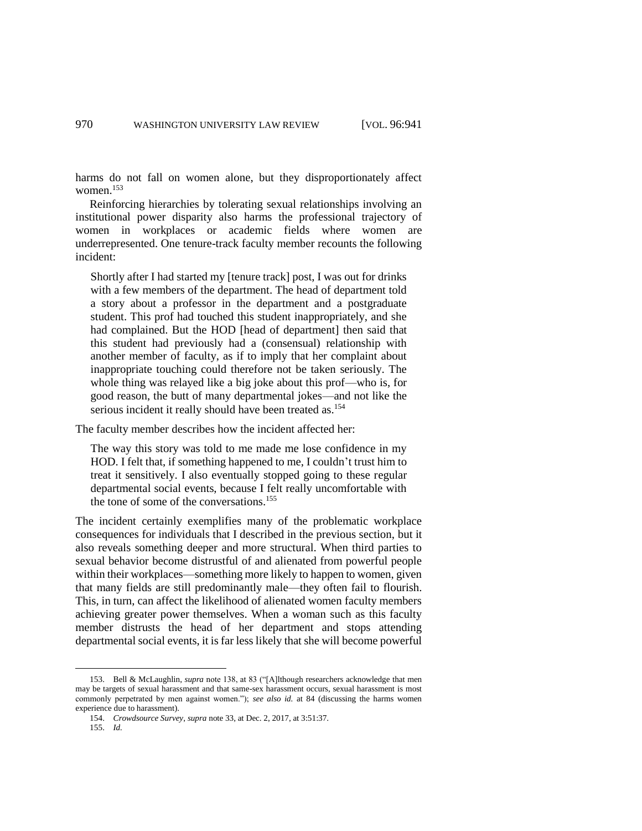harms do not fall on women alone, but they disproportionately affect women.<sup>153</sup>

Reinforcing hierarchies by tolerating sexual relationships involving an institutional power disparity also harms the professional trajectory of women in workplaces or academic fields where women are underrepresented. One tenure-track faculty member recounts the following incident:

Shortly after I had started my [tenure track] post, I was out for drinks with a few members of the department. The head of department told a story about a professor in the department and a postgraduate student. This prof had touched this student inappropriately, and she had complained. But the HOD [head of department] then said that this student had previously had a (consensual) relationship with another member of faculty, as if to imply that her complaint about inappropriate touching could therefore not be taken seriously. The whole thing was relayed like a big joke about this prof—who is, for good reason, the butt of many departmental jokes—and not like the serious incident it really should have been treated as.<sup>154</sup>

The faculty member describes how the incident affected her:

The way this story was told to me made me lose confidence in my HOD. I felt that, if something happened to me, I couldn't trust him to treat it sensitively. I also eventually stopped going to these regular departmental social events, because I felt really uncomfortable with the tone of some of the conversations.<sup>155</sup>

The incident certainly exemplifies many of the problematic workplace consequences for individuals that I described in the previous section, but it also reveals something deeper and more structural. When third parties to sexual behavior become distrustful of and alienated from powerful people within their workplaces—something more likely to happen to women, given that many fields are still predominantly male—they often fail to flourish. This, in turn, can affect the likelihood of alienated women faculty members achieving greater power themselves. When a woman such as this faculty member distrusts the head of her department and stops attending departmental social events, it is far less likely that she will become powerful

<sup>153.</sup> Bell & McLaughlin, *supra* note 138, at 83 ("[A]lthough researchers acknowledge that men may be targets of sexual harassment and that same-sex harassment occurs, sexual harassment is most commonly perpetrated by men against women."); *see also id.* at 84 (discussing the harms women experience due to harassment).

<sup>154.</sup> *Crowdsource Survey*, *supra* note 33, at Dec. 2, 2017, at 3:51:37.

<sup>155.</sup> *Id.*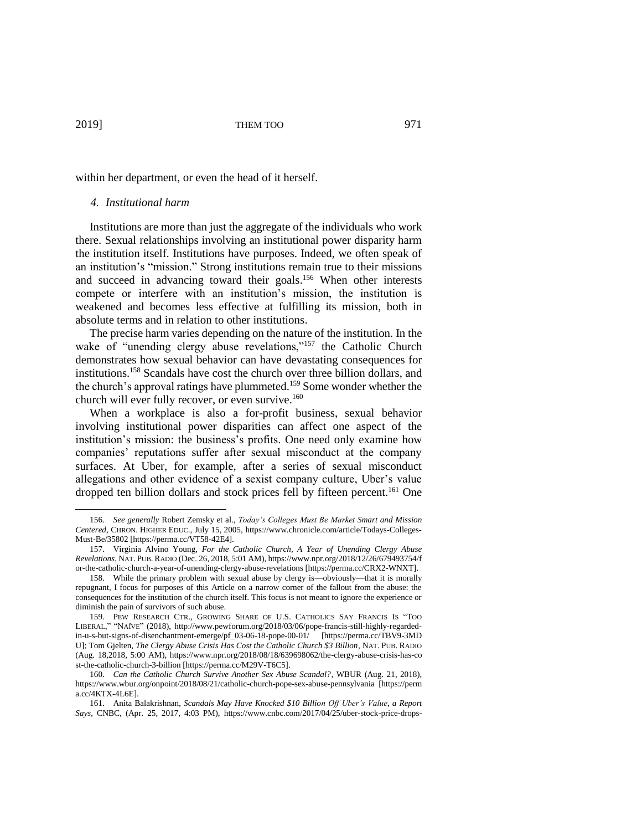within her department, or even the head of it herself.

#### *4. Institutional harm*

Institutions are more than just the aggregate of the individuals who work there. Sexual relationships involving an institutional power disparity harm the institution itself. Institutions have purposes. Indeed, we often speak of an institution's "mission." Strong institutions remain true to their missions and succeed in advancing toward their goals. <sup>156</sup> When other interests compete or interfere with an institution's mission, the institution is weakened and becomes less effective at fulfilling its mission, both in absolute terms and in relation to other institutions.

The precise harm varies depending on the nature of the institution. In the wake of "unending clergy abuse revelations,"<sup>157</sup> the Catholic Church demonstrates how sexual behavior can have devastating consequences for institutions.<sup>158</sup> Scandals have cost the church over three billion dollars, and the church's approval ratings have plummeted.<sup>159</sup> Some wonder whether the church will ever fully recover, or even survive. 160

When a workplace is also a for-profit business, sexual behavior involving institutional power disparities can affect one aspect of the institution's mission: the business's profits. One need only examine how companies' reputations suffer after sexual misconduct at the company surfaces. At Uber, for example, after a series of sexual misconduct allegations and other evidence of a sexist company culture, Uber's value dropped ten billion dollars and stock prices fell by fifteen percent.<sup>161</sup> One

<sup>156.</sup> *See generally* Robert Zemsky et al., *Today's Colleges Must Be Market Smart and Mission Centered*, CHRON. HIGHER EDUC., July 15, 2005, https://www.chronicle.com/article/Todays-Colleges-Must-Be/35802 [https://perma.cc/VT58-42E4].

<sup>157.</sup> Virginia Alvino Young, *For the Catholic Church, A Year of Unending Clergy Abuse Revelations*, NAT. PUB. RADIO (Dec. 26, 2018, 5:01 AM), https://www.npr.org/2018/12/26/679493754/f or-the-catholic-church-a-year-of-unending-clergy-abuse-revelations [https://perma.cc/CRX2-WNXT].

<sup>158.</sup> While the primary problem with sexual abuse by clergy is—obviously—that it is morally repugnant, I focus for purposes of this Article on a narrow corner of the fallout from the abuse: the consequences for the institution of the church itself. This focus is not meant to ignore the experience or diminish the pain of survivors of such abuse.

<sup>159.</sup> PEW RESEARCH CTR., GROWING SHARE OF U.S. CATHOLICS SAY FRANCIS IS "TOO LIBERAL," "NAÏVE" (2018), http://www.pewforum.org/2018/03/06/pope-francis-still-highly-regardedin-u-s-but-signs-of-disenchantment-emerge/pf\_03-06-18-pope-00-01/ [https://perma.cc/TBV9-3MD U]; Tom Gjelten, *The Clergy Abuse Crisis Has Cost the Catholic Church \$3 Billion*, NAT. PUB. RADIO (Aug. 18,2018, 5:00 AM), https://www.npr.org/2018/08/18/639698062/the-clergy-abuse-crisis-has-co st-the-catholic-church-3-billion [https://perma.cc/M29V-T6C5].

<sup>160.</sup> *Can the Catholic Church Survive Another Sex Abuse Scandal?*, WBUR (Aug. 21, 2018), https://www.wbur.org/onpoint/2018/08/21/catholic-church-pope-sex-abuse-pennsylvania [https://perm a.cc/4KTX-4L6E].

<sup>161.</sup> Anita Balakrishnan, *Scandals May Have Knocked \$10 Billion Off Uber's Value*, *a Report Says*, CNBC, (Apr. 25, 2017, 4:03 PM), https://www.cnbc.com/2017/04/25/uber-stock-price-drops-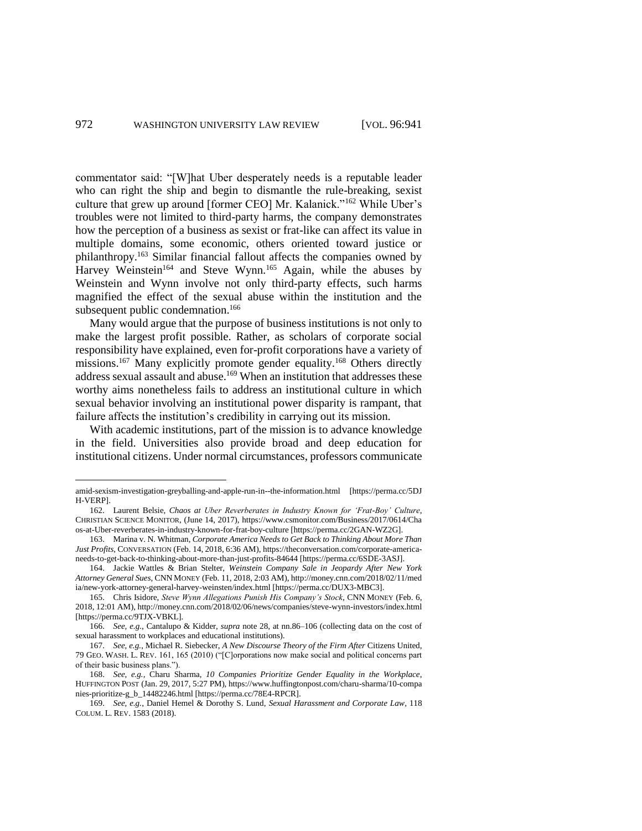commentator said: "[W]hat Uber desperately needs is a reputable leader who can right the ship and begin to dismantle the rule-breaking, sexist culture that grew up around [former CEO] Mr. Kalanick."<sup>162</sup> While Uber's troubles were not limited to third-party harms, the company demonstrates how the perception of a business as sexist or frat-like can affect its value in multiple domains, some economic, others oriented toward justice or philanthropy.<sup>163</sup> Similar financial fallout affects the companies owned by Harvey Weinstein<sup>164</sup> and Steve Wynn.<sup>165</sup> Again, while the abuses by Weinstein and Wynn involve not only third-party effects, such harms magnified the effect of the sexual abuse within the institution and the subsequent public condemnation.<sup>166</sup>

Many would argue that the purpose of business institutions is not only to make the largest profit possible. Rather, as scholars of corporate social responsibility have explained, even for-profit corporations have a variety of missions.<sup>167</sup> Many explicitly promote gender equality.<sup>168</sup> Others directly address sexual assault and abuse.<sup>169</sup> When an institution that addresses these worthy aims nonetheless fails to address an institutional culture in which sexual behavior involving an institutional power disparity is rampant, that failure affects the institution's credibility in carrying out its mission.

With academic institutions, part of the mission is to advance knowledge in the field. Universities also provide broad and deep education for institutional citizens. Under normal circumstances, professors communicate

amid-sexism-investigation-greyballing-and-apple-run-in--the-information.html [https://perma.cc/5DJ H-VERP].

<sup>162.</sup> Laurent Belsie, *Chaos at Uber Reverberates in Industry Known for 'Frat-Boy' Culture*, CHRISTIAN SCIENCE MONITOR, (June 14, 2017), https://www.csmonitor.com/Business/2017/0614/Cha os-at-Uber-reverberates-in-industry-known-for-frat-boy-culture [https://perma.cc/2GAN-WZ2G].

<sup>163.</sup> Marina v. N. Whitman, *Corporate America Needs to Get Back to Thinking About More Than Just Profits*, CONVERSATION (Feb. 14, 2018, 6:36 AM), https://theconversation.com/corporate-americaneeds-to-get-back-to-thinking-about-more-than-just-profits-84644 [https://perma.cc/6SDE-3ASJ].

<sup>164.</sup> Jackie Wattles & Brian Stelter, *Weinstein Company Sale in Jeopardy After New York Attorney General Sues*, CNN MONEY (Feb. 11, 2018, 2:03 AM), http://money.cnn.com/2018/02/11/med ia/new-york-attorney-general-harvey-weinsten/index.html [https://perma.cc/DUX3-MBC3].

<sup>165.</sup> Chris Isidore, *Steve Wynn Allegations Punish His Company's Stock*, CNN MONEY (Feb. 6, 2018, 12:01 AM), http://money.cnn.com/2018/02/06/news/companies/steve-wynn-investors/index.html [https://perma.cc/9TJX-VBKL].

<sup>166.</sup> *See, e.g.*, Cantalupo & Kidder, *supra* note 28, at nn.86–106 (collecting data on the cost of sexual harassment to workplaces and educational institutions).

<sup>167.</sup> *See, e.g.*, Michael R. Siebecker, *A New Discourse Theory of the Firm After* Citizens United*,* 79 GEO. WASH. L. REV. 161, 165 (2010) ("[C]orporations now make social and political concerns part of their basic business plans.").

<sup>168.</sup> *See, e.g.*, Charu Sharma, *10 Companies Prioritize Gender Equality in the Workplace*, HUFFINGTON POST (Jan. 29, 2017, 5:27 PM), https://www.huffingtonpost.com/charu-sharma/10-compa nies-prioritize-g\_b\_14482246.html [https://perma.cc/78E4-RPCR].

<sup>169.</sup> *See, e.g.*, Daniel Hemel & Dorothy S. Lund, *Sexual Harassment and Corporate Law*, 118 COLUM. L. REV. 1583 (2018).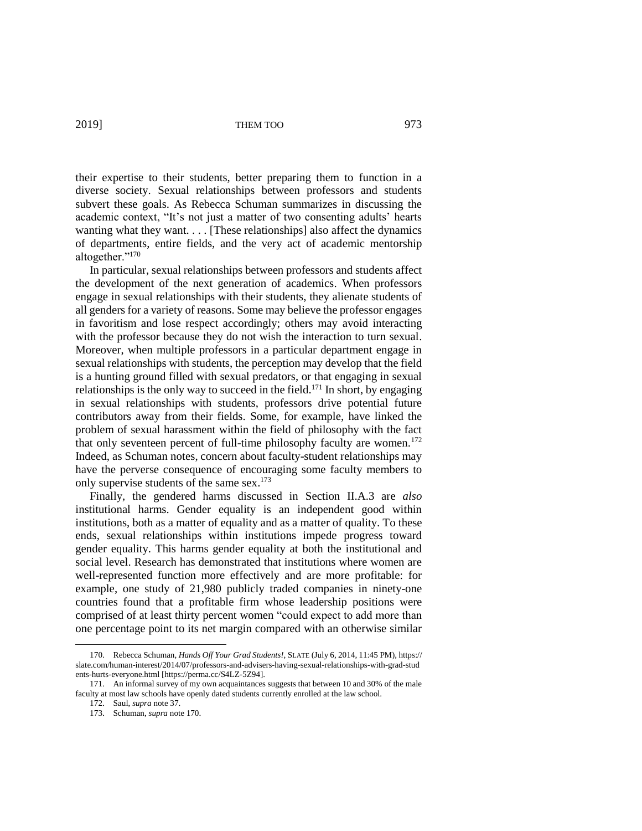their expertise to their students, better preparing them to function in a diverse society. Sexual relationships between professors and students subvert these goals. As Rebecca Schuman summarizes in discussing the academic context, "It's not just a matter of two consenting adults' hearts wanting what they want. . . . [These relationships] also affect the dynamics of departments, entire fields, and the very act of academic mentorship altogether."<sup>170</sup>

In particular, sexual relationships between professors and students affect the development of the next generation of academics. When professors engage in sexual relationships with their students, they alienate students of all genders for a variety of reasons. Some may believe the professor engages in favoritism and lose respect accordingly; others may avoid interacting with the professor because they do not wish the interaction to turn sexual. Moreover, when multiple professors in a particular department engage in sexual relationships with students, the perception may develop that the field is a hunting ground filled with sexual predators, or that engaging in sexual relationships is the only way to succeed in the field.<sup>171</sup> In short, by engaging in sexual relationships with students, professors drive potential future contributors away from their fields. Some, for example, have linked the problem of sexual harassment within the field of philosophy with the fact that only seventeen percent of full-time philosophy faculty are women.<sup>172</sup> Indeed, as Schuman notes, concern about faculty-student relationships may have the perverse consequence of encouraging some faculty members to only supervise students of the same sex. 173

Finally, the gendered harms discussed in Section II.A.3 are *also* institutional harms. Gender equality is an independent good within institutions, both as a matter of equality and as a matter of quality. To these ends, sexual relationships within institutions impede progress toward gender equality. This harms gender equality at both the institutional and social level. Research has demonstrated that institutions where women are well-represented function more effectively and are more profitable: for example, one study of 21,980 publicly traded companies in ninety-one countries found that a profitable firm whose leadership positions were comprised of at least thirty percent women "could expect to add more than one percentage point to its net margin compared with an otherwise similar

<sup>170.</sup> Rebecca Schuman, *Hands Off Your Grad Students!*, SLATE (July 6, 2014, 11:45 PM), https:// slate.com/human-interest/2014/07/professors-and-advisers-having-sexual-relationships-with-grad-stud ents-hurts-everyone.html [https://perma.cc/S4LZ-5Z94].

<sup>171.</sup> An informal survey of my own acquaintances suggests that between 10 and 30% of the male faculty at most law schools have openly dated students currently enrolled at the law school.

<sup>172.</sup> Saul, *supra* note 37.

<sup>173.</sup> Schuman, *supra* note 170.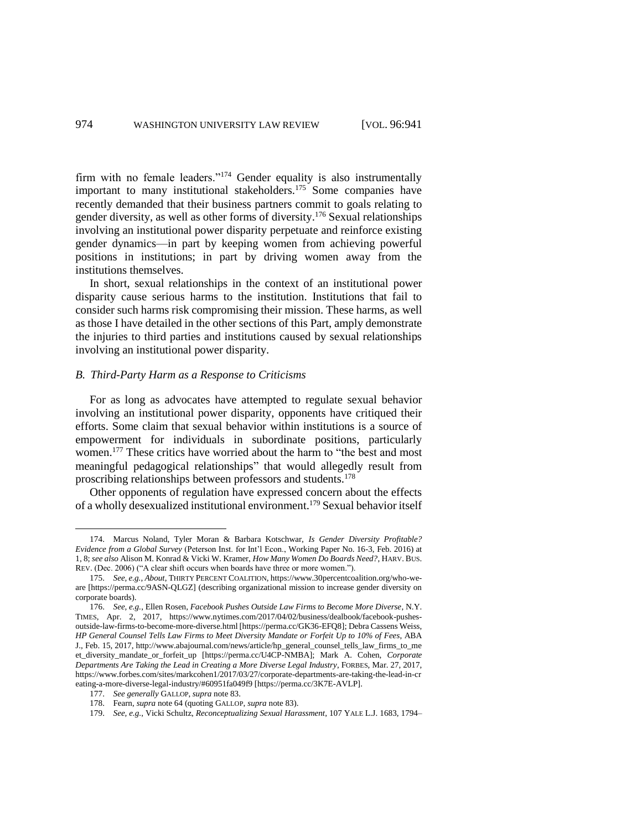firm with no female leaders."<sup>174</sup> Gender equality is also instrumentally important to many institutional stakeholders.<sup>175</sup> Some companies have recently demanded that their business partners commit to goals relating to gender diversity, as well as other forms of diversity. <sup>176</sup> Sexual relationships involving an institutional power disparity perpetuate and reinforce existing gender dynamics—in part by keeping women from achieving powerful positions in institutions; in part by driving women away from the institutions themselves.

In short, sexual relationships in the context of an institutional power disparity cause serious harms to the institution. Institutions that fail to consider such harms risk compromising their mission. These harms, as well as those I have detailed in the other sections of this Part, amply demonstrate the injuries to third parties and institutions caused by sexual relationships involving an institutional power disparity.

# *B. Third-Party Harm as a Response to Criticisms*

For as long as advocates have attempted to regulate sexual behavior involving an institutional power disparity, opponents have critiqued their efforts. Some claim that sexual behavior within institutions is a source of empowerment for individuals in subordinate positions, particularly women.<sup>177</sup> These critics have worried about the harm to "the best and most meaningful pedagogical relationships" that would allegedly result from proscribing relationships between professors and students.<sup>178</sup>

Other opponents of regulation have expressed concern about the effects of a wholly desexualized institutional environment.<sup>179</sup> Sexual behavior itself

<sup>174.</sup> Marcus Noland, Tyler Moran & Barbara Kotschwar, *Is Gender Diversity Profitable? Evidence from a Global Survey* (Peterson Inst. for Int'l Econ., Working Paper No. 16-3, Feb. 2016) at 1, 8; *see also* Alison M. Konrad & Vicki W. Kramer, *How Many Women Do Boards Need?*, HARV. BUS. REV. (Dec. 2006) ("A clear shift occurs when boards have three or more women.").

<sup>175.</sup> *See, e.g.*, *About*, THIRTY PERCENT COALITION, https://www.30percentcoalition.org/who-weare [https://perma.cc/9ASN-QLGZ] (describing organizational mission to increase gender diversity on corporate boards).

<sup>176.</sup> *See, e.g.*, Ellen Rosen, *Facebook Pushes Outside Law Firms to Become More Diverse*, N.Y. TIMES, Apr. 2, 2017, https://www.nytimes.com/2017/04/02/business/dealbook/facebook-pushesoutside-law-firms-to-become-more-diverse.html [https://perma.cc/GK36-EFQ8]; Debra Cassens Weiss, *HP General Counsel Tells Law Firms to Meet Diversity Mandate or Forfeit Up to 10% of Fees*, ABA J., Feb. 15, 2017, http://www.abajournal.com/news/article/hp\_general\_counsel\_tells\_law\_firms\_to\_me et\_diversity\_mandate\_or\_forfeit\_up [https://perma.cc/U4CP-NMBA]; Mark A. Cohen, *Corporate Departments Are Taking the Lead in Creating a More Diverse Legal Industry*, FORBES, Mar. 27, 2017, https://www.forbes.com/sites/markcohen1/2017/03/27/corporate-departments-are-taking-the-lead-in-cr eating-a-more-diverse-legal-industry/#60951fa049f9 [https://perma.cc/3K7E-AVLP].

<sup>177.</sup> *See generally* GALLOP, *supra* note 83.

<sup>178.</sup> Fearn, *supra* note 64 (quoting GALLOP, *supra* note 83).

<sup>179.</sup> *See, e.g.*, Vicki Schultz, *Reconceptualizing Sexual Harassment*, 107 YALE L.J. 1683, 1794–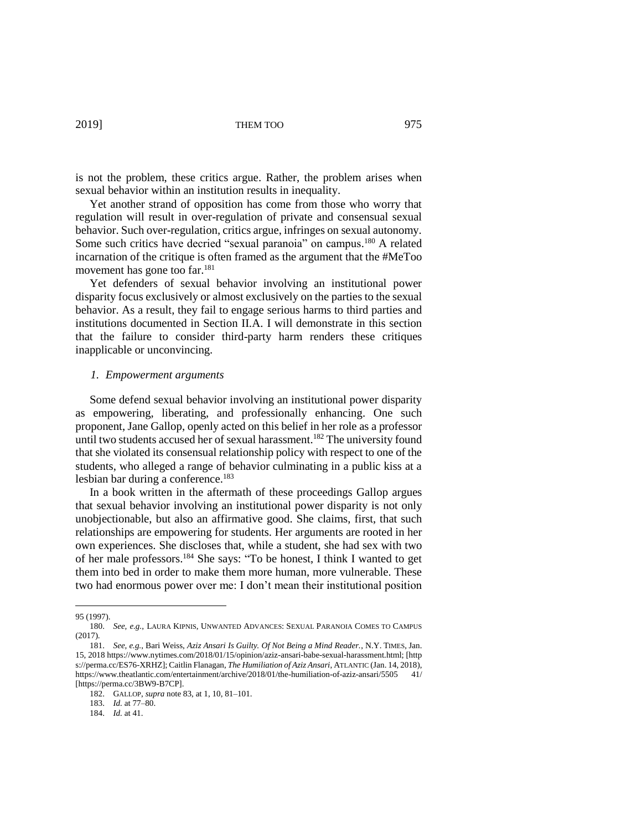is not the problem, these critics argue. Rather, the problem arises when sexual behavior within an institution results in inequality.

Yet another strand of opposition has come from those who worry that regulation will result in over-regulation of private and consensual sexual behavior. Such over-regulation, critics argue, infringes on sexual autonomy. Some such critics have decried "sexual paranoia" on campus.<sup>180</sup> A related incarnation of the critique is often framed as the argument that the #MeToo movement has gone too far.<sup>181</sup>

Yet defenders of sexual behavior involving an institutional power disparity focus exclusively or almost exclusively on the parties to the sexual behavior. As a result, they fail to engage serious harms to third parties and institutions documented in Section II.A. I will demonstrate in this section that the failure to consider third-party harm renders these critiques inapplicable or unconvincing.

# *1. Empowerment arguments*

Some defend sexual behavior involving an institutional power disparity as empowering, liberating, and professionally enhancing. One such proponent, Jane Gallop, openly acted on this belief in her role as a professor until two students accused her of sexual harassment.<sup>182</sup> The university found that she violated its consensual relationship policy with respect to one of the students, who alleged a range of behavior culminating in a public kiss at a lesbian bar during a conference.<sup>183</sup>

In a book written in the aftermath of these proceedings Gallop argues that sexual behavior involving an institutional power disparity is not only unobjectionable, but also an affirmative good. She claims, first, that such relationships are empowering for students. Her arguments are rooted in her own experiences. She discloses that, while a student, she had sex with two of her male professors.<sup>184</sup> She says: "To be honest, I think I wanted to get them into bed in order to make them more human, more vulnerable. These two had enormous power over me: I don't mean their institutional position

 $\overline{a}$ 

183. *Id.* at 77–80.

<sup>95 (1997).</sup>

<sup>180.</sup> *See, e.g.*, LAURA KIPNIS, UNWANTED ADVANCES: SEXUAL PARANOIA COMES TO CAMPUS (2017).

<sup>181.</sup> *See, e.g.*, Bari Weiss, *Aziz Ansari Is Guilty. Of Not Being a Mind Reader.*, N.Y. TIMES, Jan. 15, 2018 https://www.nytimes.com/2018/01/15/opinion/aziz-ansari-babe-sexual-harassment.html; [http s://perma.cc/ES76-XRHZ]; Caitlin Flanagan, *The Humiliation of Aziz Ansari*, ATLANTIC (Jan. 14, 2018), https://www.theatlantic.com/entertainment/archive/2018/01/the-humiliation-of-aziz-ansari/5505 41/ [https://perma.cc/3BW9-B7CP].

<sup>182.</sup> GALLOP, *supra* note 83, at 1, 10, 81–101.

<sup>184.</sup> *Id.* at 41.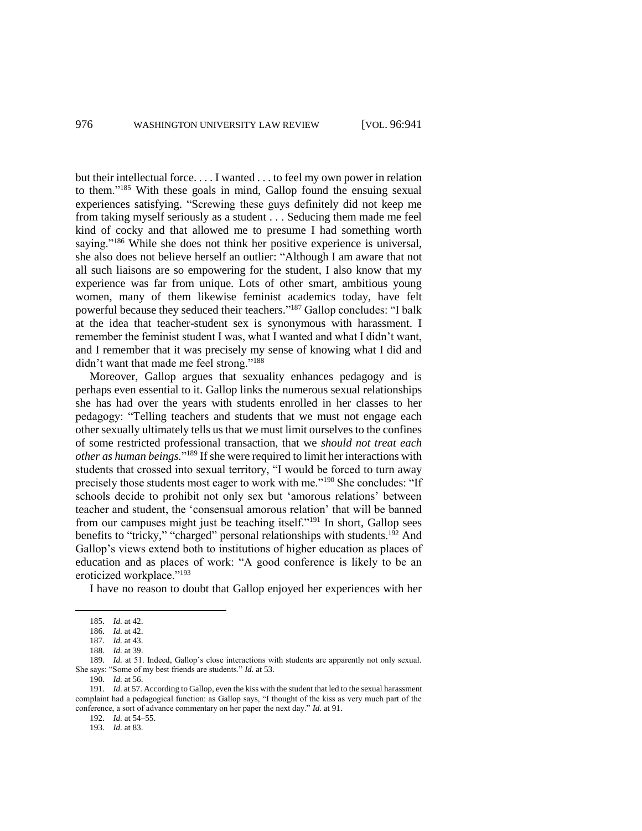but their intellectual force. . . . I wanted . . . to feel my own power in relation to them." <sup>185</sup> With these goals in mind, Gallop found the ensuing sexual experiences satisfying. "Screwing these guys definitely did not keep me from taking myself seriously as a student . . . Seducing them made me feel kind of cocky and that allowed me to presume I had something worth saying."<sup>186</sup> While she does not think her positive experience is universal, she also does not believe herself an outlier: "Although I am aware that not all such liaisons are so empowering for the student, I also know that my experience was far from unique. Lots of other smart, ambitious young women, many of them likewise feminist academics today, have felt powerful because they seduced their teachers."<sup>187</sup> Gallop concludes: "I balk at the idea that teacher-student sex is synonymous with harassment. I remember the feminist student I was, what I wanted and what I didn't want, and I remember that it was precisely my sense of knowing what I did and didn't want that made me feel strong."<sup>188</sup>

Moreover, Gallop argues that sexuality enhances pedagogy and is perhaps even essential to it. Gallop links the numerous sexual relationships she has had over the years with students enrolled in her classes to her pedagogy: "Telling teachers and students that we must not engage each other sexually ultimately tells us that we must limit ourselves to the confines of some restricted professional transaction, that we *should not treat each other as human beings.*" <sup>189</sup> If she were required to limit her interactions with students that crossed into sexual territory, "I would be forced to turn away precisely those students most eager to work with me."<sup>190</sup> She concludes: "If schools decide to prohibit not only sex but 'amorous relations' between teacher and student, the 'consensual amorous relation' that will be banned from our campuses might just be teaching itself."<sup>191</sup> In short, Gallop sees benefits to "tricky," "charged" personal relationships with students.<sup>192</sup> And Gallop's views extend both to institutions of higher education as places of education and as places of work: "A good conference is likely to be an eroticized workplace."<sup>193</sup>

I have no reason to doubt that Gallop enjoyed her experiences with her

 $\overline{a}$ 

190. *Id.* at 56.

192. *Id.* at 54–55.

193. *Id.* at 83.

<sup>185.</sup> *Id.* at 42.

<sup>186.</sup> *Id.* at 42.

<sup>187.</sup> *Id.* at 43.

<sup>188.</sup> *Id.* at 39.

<sup>189.</sup> *Id.* at 51. Indeed, Gallop's close interactions with students are apparently not only sexual. She says: "Some of my best friends are students." *Id.* at 53.

<sup>191.</sup> *Id.* at 57. According to Gallop, even the kiss with the student that led to the sexual harassment complaint had a pedagogical function: as Gallop says, "I thought of the kiss as very much part of the conference, a sort of advance commentary on her paper the next day." *Id.* at 91.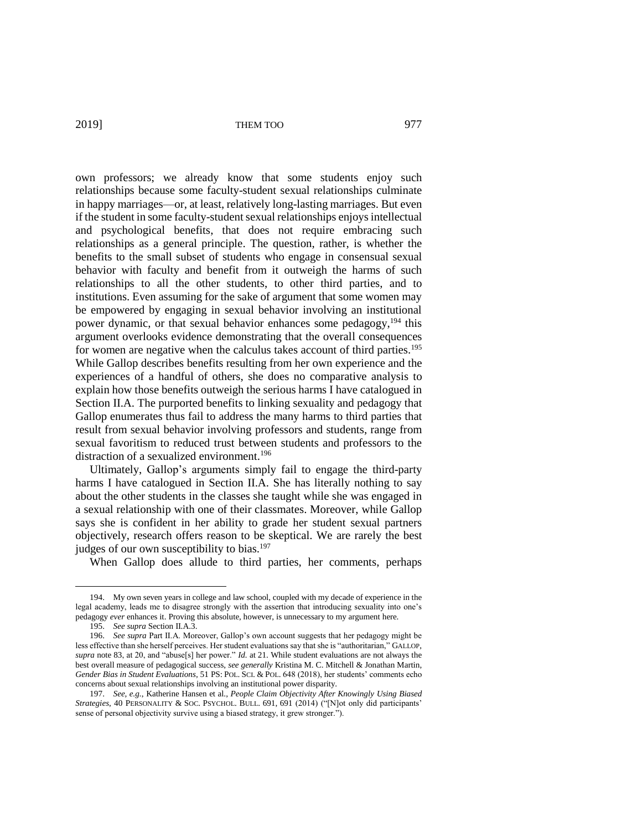own professors; we already know that some students enjoy such relationships because some faculty-student sexual relationships culminate in happy marriages—or, at least, relatively long-lasting marriages. But even if the student in some faculty-student sexual relationships enjoys intellectual and psychological benefits, that does not require embracing such relationships as a general principle. The question, rather, is whether the benefits to the small subset of students who engage in consensual sexual behavior with faculty and benefit from it outweigh the harms of such relationships to all the other students, to other third parties, and to institutions. Even assuming for the sake of argument that some women may be empowered by engaging in sexual behavior involving an institutional power dynamic, or that sexual behavior enhances some pedagogy,<sup>194</sup> this argument overlooks evidence demonstrating that the overall consequences for women are negative when the calculus takes account of third parties.<sup>195</sup> While Gallop describes benefits resulting from her own experience and the experiences of a handful of others, she does no comparative analysis to explain how those benefits outweigh the serious harms I have catalogued in Section II.A. The purported benefits to linking sexuality and pedagogy that Gallop enumerates thus fail to address the many harms to third parties that result from sexual behavior involving professors and students, range from sexual favoritism to reduced trust between students and professors to the distraction of a sexualized environment.<sup>196</sup>

Ultimately, Gallop's arguments simply fail to engage the third-party harms I have catalogued in Section II.A. She has literally nothing to say about the other students in the classes she taught while she was engaged in a sexual relationship with one of their classmates. Moreover, while Gallop says she is confident in her ability to grade her student sexual partners objectively, research offers reason to be skeptical. We are rarely the best judges of our own susceptibility to bias.<sup>197</sup>

When Gallop does allude to third parties, her comments, perhaps

<sup>194.</sup> My own seven years in college and law school, coupled with my decade of experience in the legal academy, leads me to disagree strongly with the assertion that introducing sexuality into one's pedagogy *ever* enhances it. Proving this absolute, however, is unnecessary to my argument here.

<sup>195.</sup> *See supra* Section II.A.3.

<sup>196.</sup> *See supra* Part II.A. Moreover, Gallop's own account suggests that her pedagogy might be less effective than she herself perceives. Her student evaluations say that she is "authoritarian," GALLOP, *supra* note 83, at 20, and "abuse[s] her power." *Id.* at 21. While student evaluations are not always the best overall measure of pedagogical success, *see generally* Kristina M. C. Mitchell & Jonathan Martin, *Gender Bias in Student Evaluations*, 51 PS: POL. SCI. & POL. 648 (2018), her students' comments echo concerns about sexual relationships involving an institutional power disparity.

<sup>197.</sup> *See, e.g.*, Katherine Hansen et al., *People Claim Objectivity After Knowingly Using Biased Strategies*, 40 PERSONALITY & SOC. PSYCHOL. BULL. 691, 691 (2014) ("[N]ot only did participants' sense of personal objectivity survive using a biased strategy, it grew stronger.").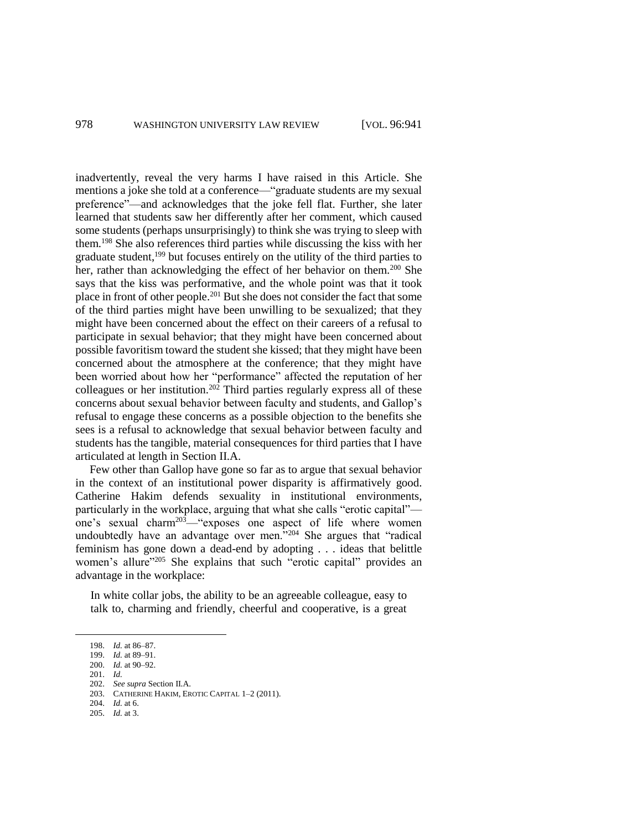inadvertently, reveal the very harms I have raised in this Article. She mentions a joke she told at a conference—"graduate students are my sexual preference"—and acknowledges that the joke fell flat. Further, she later learned that students saw her differently after her comment, which caused some students (perhaps unsurprisingly) to think she was trying to sleep with them.<sup>198</sup> She also references third parties while discussing the kiss with her graduate student,<sup>199</sup> but focuses entirely on the utility of the third parties to her, rather than acknowledging the effect of her behavior on them.<sup>200</sup> She says that the kiss was performative, and the whole point was that it took place in front of other people.<sup>201</sup> But she does not consider the fact that some of the third parties might have been unwilling to be sexualized; that they might have been concerned about the effect on their careers of a refusal to participate in sexual behavior; that they might have been concerned about possible favoritism toward the student she kissed; that they might have been concerned about the atmosphere at the conference; that they might have been worried about how her "performance" affected the reputation of her colleagues or her institution.<sup>202</sup> Third parties regularly express all of these concerns about sexual behavior between faculty and students, and Gallop's refusal to engage these concerns as a possible objection to the benefits she sees is a refusal to acknowledge that sexual behavior between faculty and students has the tangible, material consequences for third parties that I have articulated at length in Section II.A.

Few other than Gallop have gone so far as to argue that sexual behavior in the context of an institutional power disparity is affirmatively good. Catherine Hakim defends sexuality in institutional environments, particularly in the workplace, arguing that what she calls "erotic capital" one's sexual charm<sup>203</sup>—"exposes one aspect of life where women undoubtedly have an advantage over men."<sup>204</sup> She argues that "radical feminism has gone down a dead-end by adopting . . . ideas that belittle women's allure<sup>"205</sup> She explains that such "erotic capital" provides an advantage in the workplace:

In white collar jobs, the ability to be an agreeable colleague, easy to talk to, charming and friendly, cheerful and cooperative, is a great

<sup>198.</sup> *Id.* at 86–87.

<sup>199.</sup> *Id.* at 89–91. 200. *Id.* at 90–92.

<sup>201.</sup> *Id.*

<sup>202.</sup> *See supra* Section II.A.

<sup>203.</sup> CATHERINE HAKIM, EROTIC CAPITAL 1–2 (2011).

<sup>204.</sup> *Id.* at 6.

<sup>205.</sup> *Id.* at 3.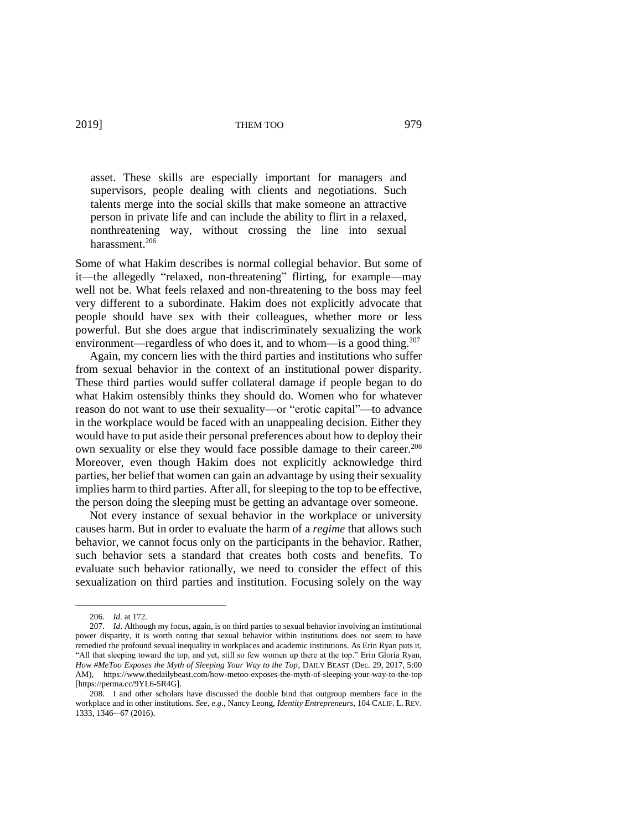asset. These skills are especially important for managers and supervisors, people dealing with clients and negotiations. Such talents merge into the social skills that make someone an attractive person in private life and can include the ability to flirt in a relaxed, nonthreatening way, without crossing the line into sexual harassment.<sup>206</sup>

Some of what Hakim describes is normal collegial behavior. But some of it—the allegedly "relaxed, non-threatening" flirting, for example—may well not be. What feels relaxed and non-threatening to the boss may feel very different to a subordinate. Hakim does not explicitly advocate that people should have sex with their colleagues, whether more or less powerful. But she does argue that indiscriminately sexualizing the work environment—regardless of who does it, and to whom—is a good thing.<sup>207</sup>

Again, my concern lies with the third parties and institutions who suffer from sexual behavior in the context of an institutional power disparity. These third parties would suffer collateral damage if people began to do what Hakim ostensibly thinks they should do. Women who for whatever reason do not want to use their sexuality—or "erotic capital"—to advance in the workplace would be faced with an unappealing decision. Either they would have to put aside their personal preferences about how to deploy their own sexuality or else they would face possible damage to their career.<sup>208</sup> Moreover, even though Hakim does not explicitly acknowledge third parties, her belief that women can gain an advantage by using their sexuality implies harm to third parties. After all, for sleeping to the top to be effective, the person doing the sleeping must be getting an advantage over someone.

Not every instance of sexual behavior in the workplace or university causes harm. But in order to evaluate the harm of a *regime* that allows such behavior, we cannot focus only on the participants in the behavior. Rather, such behavior sets a standard that creates both costs and benefits. To evaluate such behavior rationally, we need to consider the effect of this sexualization on third parties and institution. Focusing solely on the way

<sup>206.</sup> *Id.* at 172.

<sup>207.</sup> *Id*. Although my focus, again, is on third parties to sexual behavior involving an institutional power disparity, it is worth noting that sexual behavior within institutions does not seem to have remedied the profound sexual inequality in workplaces and academic institutions. As Erin Ryan puts it, "All that sleeping toward the top, and yet, still so few women up there at the top." Erin Gloria Ryan, *How #MeToo Exposes the Myth of Sleeping Your Way to the Top*, DAILY BEAST (Dec. 29, 2017, 5:00 AM), https://www.thedailybeast.com/how-metoo-exposes-the-myth-of-sleeping-your-way-to-the-top [https://perma.cc/9YL6-5R4G].

<sup>208.</sup> I and other scholars have discussed the double bind that outgroup members face in the workplace and in other institutions. *See, e.g.*, Nancy Leong, *Identity Entrepreneurs*, 104 CALIF. L. REV. 1333, 1346-–67 (2016).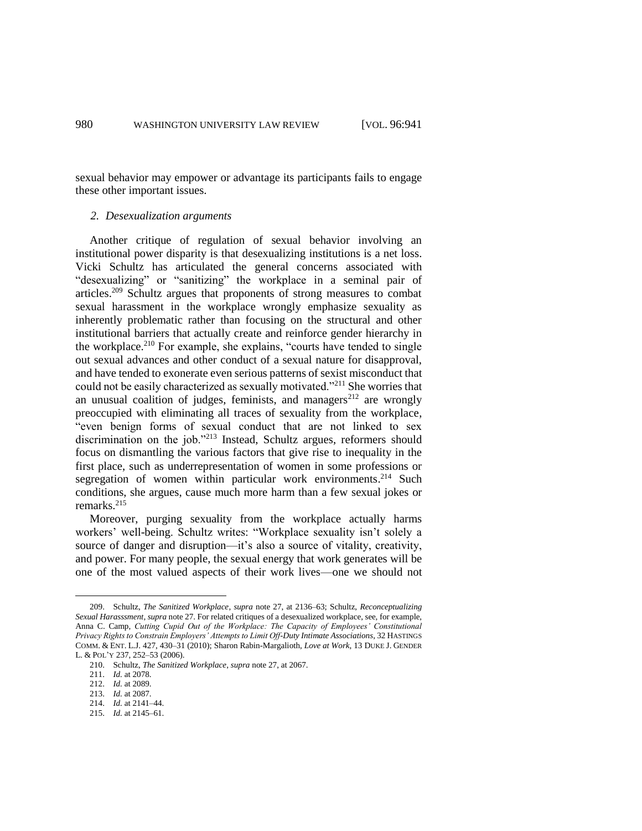sexual behavior may empower or advantage its participants fails to engage these other important issues.

# *2. Desexualization arguments*

Another critique of regulation of sexual behavior involving an institutional power disparity is that desexualizing institutions is a net loss. Vicki Schultz has articulated the general concerns associated with "desexualizing" or "sanitizing" the workplace in a seminal pair of articles.<sup>209</sup> Schultz argues that proponents of strong measures to combat sexual harassment in the workplace wrongly emphasize sexuality as inherently problematic rather than focusing on the structural and other institutional barriers that actually create and reinforce gender hierarchy in the workplace.<sup>210</sup> For example, she explains, "courts have tended to single out sexual advances and other conduct of a sexual nature for disapproval, and have tended to exonerate even serious patterns of sexist misconduct that could not be easily characterized as sexually motivated."<sup>211</sup> She worries that an unusual coalition of judges, feminists, and managers $^{212}$  are wrongly preoccupied with eliminating all traces of sexuality from the workplace, "even benign forms of sexual conduct that are not linked to sex discrimination on the job."<sup>213</sup> Instead, Schultz argues, reformers should focus on dismantling the various factors that give rise to inequality in the first place, such as underrepresentation of women in some professions or segregation of women within particular work environments.<sup>214</sup> Such conditions, she argues, cause much more harm than a few sexual jokes or remarks. 215

Moreover, purging sexuality from the workplace actually harms workers' well-being. Schultz writes: "Workplace sexuality isn't solely a source of danger and disruption—it's also a source of vitality, creativity, and power. For many people, the sexual energy that work generates will be one of the most valued aspects of their work lives—one we should not

<sup>209.</sup> Schultz, *The Sanitized Workplace*, *supra* note 27, at 2136–63; Schultz, *Reconceptualizing Sexual Harasssment*, *supra* note 27. For related critiques of a desexualized workplace, see, for example, Anna C. Camp, *Cutting Cupid Out of the Workplace: The Capacity of Employees' Constitutional Privacy Rights to Constrain Employers' Attempts to Limit Off-Duty Intimate Associations*, 32 HASTINGS COMM. & ENT. L.J. 427, 430–31 (2010); Sharon Rabin-Margalioth, *Love at Work*, 13 DUKE J. GENDER L. & POL'Y 237, 252–53 (2006).

<sup>210.</sup> Schultz, *The Sanitized Workplace*, *supra* note 27, at 2067.

<sup>211.</sup> *Id.* at 2078.

<sup>212.</sup> *Id.* at 2089.

<sup>213.</sup> *Id.* at 2087.

<sup>214.</sup> *Id.* at 2141–44.

<sup>215.</sup> *Id.* at 2145–61.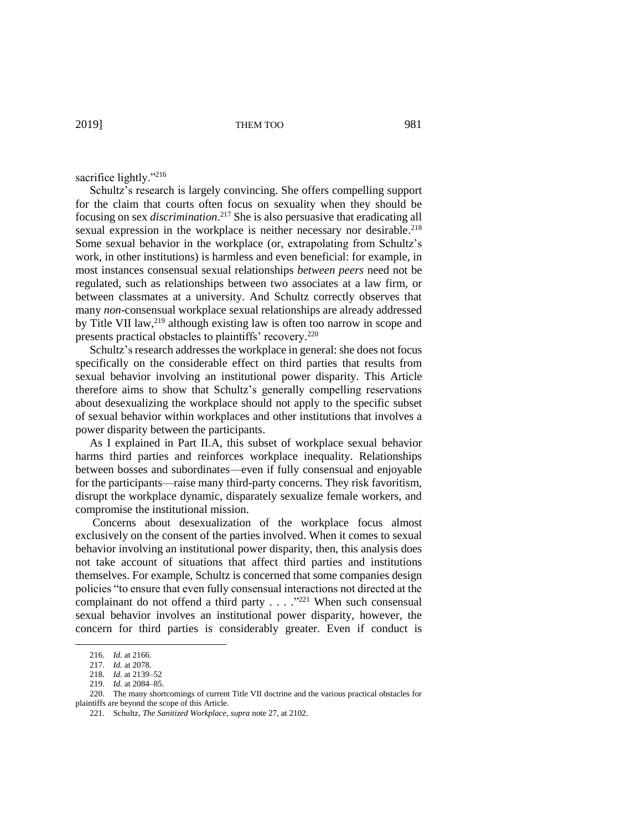#### sacrifice lightly."<sup>216</sup>

Schultz's research is largely convincing. She offers compelling support for the claim that courts often focus on sexuality when they should be focusing on sex *discrimination*. <sup>217</sup> She is also persuasive that eradicating all sexual expression in the workplace is neither necessary nor desirable.<sup>218</sup> Some sexual behavior in the workplace (or, extrapolating from Schultz's work, in other institutions) is harmless and even beneficial: for example, in most instances consensual sexual relationships *between peers* need not be regulated, such as relationships between two associates at a law firm, or between classmates at a university. And Schultz correctly observes that many *non*-consensual workplace sexual relationships are already addressed by Title VII law,<sup>219</sup> although existing law is often too narrow in scope and presents practical obstacles to plaintiffs' recovery. 220

Schultz's research addresses the workplace in general: she does not focus specifically on the considerable effect on third parties that results from sexual behavior involving an institutional power disparity. This Article therefore aims to show that Schultz's generally compelling reservations about desexualizing the workplace should not apply to the specific subset of sexual behavior within workplaces and other institutions that involves a power disparity between the participants.

As I explained in Part II.A, this subset of workplace sexual behavior harms third parties and reinforces workplace inequality. Relationships between bosses and subordinates—even if fully consensual and enjoyable for the participants—raise many third-party concerns. They risk favoritism, disrupt the workplace dynamic, disparately sexualize female workers, and compromise the institutional mission.

Concerns about desexualization of the workplace focus almost exclusively on the consent of the parties involved. When it comes to sexual behavior involving an institutional power disparity, then, this analysis does not take account of situations that affect third parties and institutions themselves. For example, Schultz is concerned that some companies design policies "to ensure that even fully consensual interactions not directed at the complainant do not offend a third party  $\dots$  ."<sup>221</sup> When such consensual sexual behavior involves an institutional power disparity, however, the concern for third parties is considerably greater. Even if conduct is

<sup>216.</sup> *Id.* at 2166.

<sup>217.</sup> *Id.* at 2078.

<sup>218.</sup> *Id.* at 2139–52

<sup>219.</sup> *Id.* at 2084–85.

<sup>220.</sup> The many shortcomings of current Title VII doctrine and the various practical obstacles for plaintiffs are beyond the scope of this Article.

<sup>221.</sup> Schultz, *The Sanitized Workplace*, *supra* note 27, at 2102.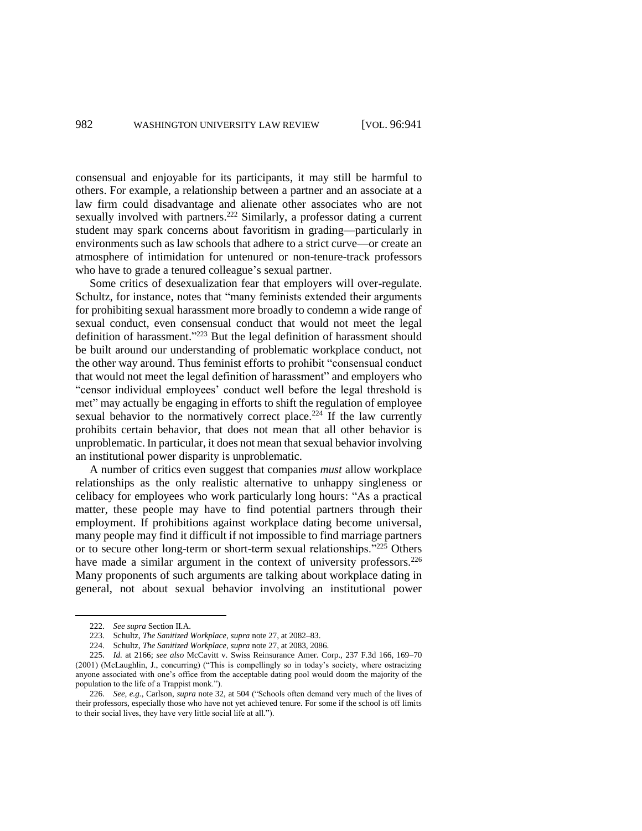consensual and enjoyable for its participants, it may still be harmful to others. For example, a relationship between a partner and an associate at a law firm could disadvantage and alienate other associates who are not sexually involved with partners.<sup>222</sup> Similarly, a professor dating a current student may spark concerns about favoritism in grading—particularly in environments such as law schools that adhere to a strict curve—or create an atmosphere of intimidation for untenured or non-tenure-track professors who have to grade a tenured colleague's sexual partner.

Some critics of desexualization fear that employers will over-regulate. Schultz, for instance, notes that "many feminists extended their arguments for prohibiting sexual harassment more broadly to condemn a wide range of sexual conduct, even consensual conduct that would not meet the legal definition of harassment."<sup>223</sup> But the legal definition of harassment should be built around our understanding of problematic workplace conduct, not the other way around. Thus feminist efforts to prohibit "consensual conduct that would not meet the legal definition of harassment" and employers who "censor individual employees' conduct well before the legal threshold is met" may actually be engaging in efforts to shift the regulation of employee sexual behavior to the normatively correct place.<sup>224</sup> If the law currently prohibits certain behavior, that does not mean that all other behavior is unproblematic. In particular, it does not mean that sexual behavior involving an institutional power disparity is unproblematic.

A number of critics even suggest that companies *must* allow workplace relationships as the only realistic alternative to unhappy singleness or celibacy for employees who work particularly long hours: "As a practical matter, these people may have to find potential partners through their employment. If prohibitions against workplace dating become universal, many people may find it difficult if not impossible to find marriage partners or to secure other long-term or short-term sexual relationships. $1225$  Others have made a similar argument in the context of university professors. $226$ Many proponents of such arguments are talking about workplace dating in general, not about sexual behavior involving an institutional power

<sup>222.</sup> *See supra* Section II.A.

<sup>223.</sup> Schultz, *The Sanitized Workplace*, *supra* note 27, at 2082–83.

<sup>224.</sup> Schultz, *The Sanitized Workplace*, *supra* note 27, at 2083, 2086.

<sup>225.</sup> *Id.* at 2166; *see also* McCavitt v. Swiss Reinsurance Amer. Corp., 237 F.3d 166, 169–70 (2001) (McLaughlin, J., concurring) ("This is compellingly so in today's society, where ostracizing anyone associated with one's office from the acceptable dating pool would doom the majority of the population to the life of a Trappist monk.").

<sup>226.</sup> *See, e.g.*, Carlson, *supra* note 32, at 504 ("Schools often demand very much of the lives of their professors, especially those who have not yet achieved tenure. For some if the school is off limits to their social lives, they have very little social life at all.").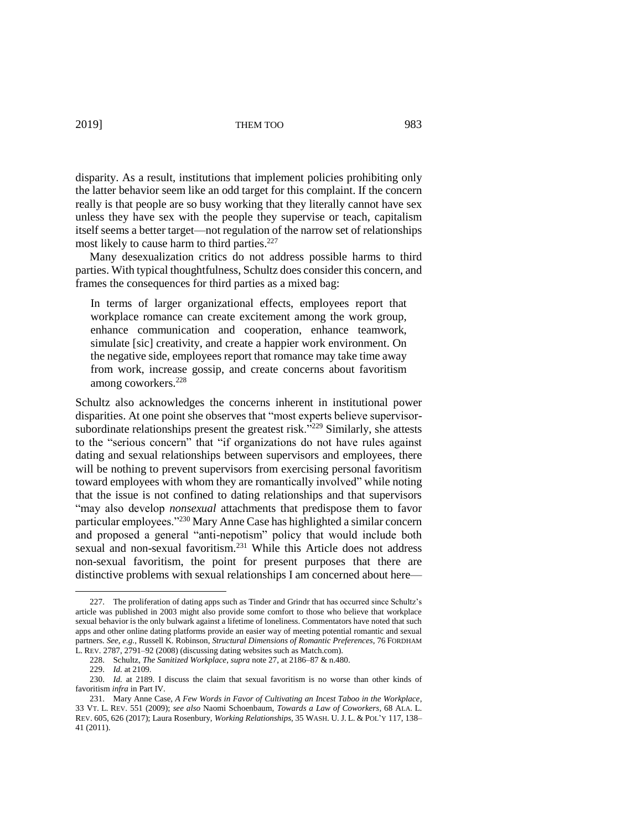disparity. As a result, institutions that implement policies prohibiting only the latter behavior seem like an odd target for this complaint. If the concern really is that people are so busy working that they literally cannot have sex unless they have sex with the people they supervise or teach, capitalism itself seems a better target—not regulation of the narrow set of relationships most likely to cause harm to third parties. 227

Many desexualization critics do not address possible harms to third parties. With typical thoughtfulness, Schultz does consider this concern, and frames the consequences for third parties as a mixed bag:

In terms of larger organizational effects, employees report that workplace romance can create excitement among the work group, enhance communication and cooperation, enhance teamwork, simulate [sic] creativity, and create a happier work environment. On the negative side, employees report that romance may take time away from work, increase gossip, and create concerns about favoritism among coworkers.<sup>228</sup>

Schultz also acknowledges the concerns inherent in institutional power disparities. At one point she observes that "most experts believe supervisorsubordinate relationships present the greatest risk. $\frac{1}{2229}$  Similarly, she attests to the "serious concern" that "if organizations do not have rules against dating and sexual relationships between supervisors and employees, there will be nothing to prevent supervisors from exercising personal favoritism toward employees with whom they are romantically involved" while noting that the issue is not confined to dating relationships and that supervisors "may also develop *nonsexual* attachments that predispose them to favor particular employees."<sup>230</sup> Mary Anne Case has highlighted a similar concern and proposed a general "anti-nepotism" policy that would include both sexual and non-sexual favoritism.<sup>231</sup> While this Article does not address non-sexual favoritism, the point for present purposes that there are distinctive problems with sexual relationships I am concerned about here—

229. *Id.* at 2109.

<sup>227.</sup> The proliferation of dating apps such as Tinder and Grindr that has occurred since Schultz's article was published in 2003 might also provide some comfort to those who believe that workplace sexual behavior is the only bulwark against a lifetime of loneliness. Commentators have noted that such apps and other online dating platforms provide an easier way of meeting potential romantic and sexual partners. *See, e.g.*, Russell K. Robinson, *Structural Dimensions of Romantic Preferences*, 76 FORDHAM L. REV. 2787, 2791–92 (2008) (discussing dating websites such as Match.com).

<sup>228.</sup> Schultz, *The Sanitized Workplace*, *supra* note 27, at 2186–87 & n.480.

<sup>230.</sup> *Id.* at 2189. I discuss the claim that sexual favoritism is no worse than other kinds of favoritism *infra* in Part IV.

<sup>231.</sup> Mary Anne Case, *A Few Words in Favor of Cultivating an Incest Taboo in the Workplace*, 33 VT. L. REV. 551 (2009); *see also* Naomi Schoenbaum, *Towards a Law of Coworkers*, 68 ALA. L. REV. 605, 626 (2017); Laura Rosenbury, *Working Relationships*, 35 WASH. U. J. L. & POL'Y 117, 138– 41 (2011).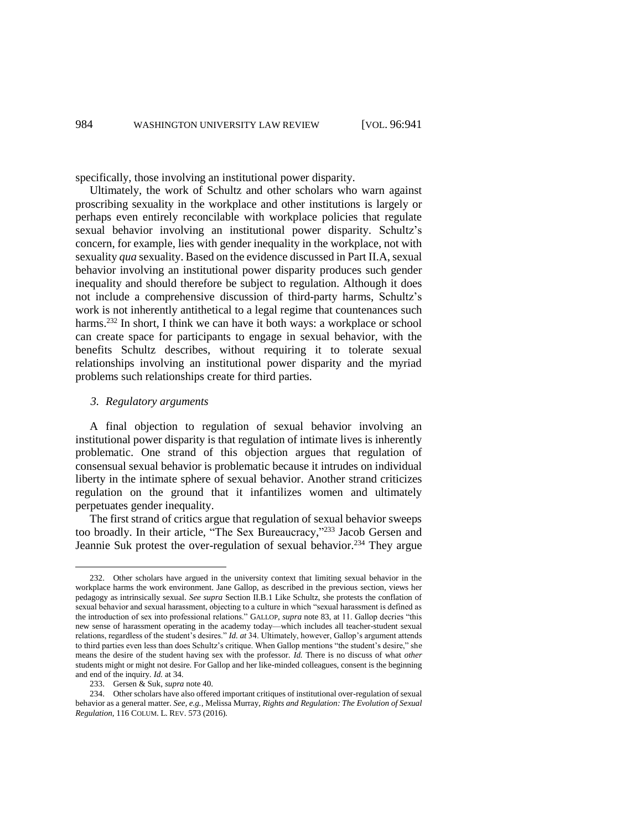specifically, those involving an institutional power disparity.

Ultimately, the work of Schultz and other scholars who warn against proscribing sexuality in the workplace and other institutions is largely or perhaps even entirely reconcilable with workplace policies that regulate sexual behavior involving an institutional power disparity. Schultz's concern, for example, lies with gender inequality in the workplace, not with sexuality *qua* sexuality. Based on the evidence discussed in Part II.A, sexual behavior involving an institutional power disparity produces such gender inequality and should therefore be subject to regulation. Although it does not include a comprehensive discussion of third-party harms, Schultz's work is not inherently antithetical to a legal regime that countenances such harms.<sup>232</sup> In short, I think we can have it both ways: a workplace or school can create space for participants to engage in sexual behavior, with the benefits Schultz describes, without requiring it to tolerate sexual relationships involving an institutional power disparity and the myriad problems such relationships create for third parties.

#### *3. Regulatory arguments*

A final objection to regulation of sexual behavior involving an institutional power disparity is that regulation of intimate lives is inherently problematic. One strand of this objection argues that regulation of consensual sexual behavior is problematic because it intrudes on individual liberty in the intimate sphere of sexual behavior. Another strand criticizes regulation on the ground that it infantilizes women and ultimately perpetuates gender inequality.

The first strand of critics argue that regulation of sexual behavior sweeps too broadly. In their article, "The Sex Bureaucracy," <sup>233</sup> Jacob Gersen and Jeannie Suk protest the over-regulation of sexual behavior.<sup>234</sup> They argue

<sup>232.</sup> Other scholars have argued in the university context that limiting sexual behavior in the workplace harms the work environment. Jane Gallop, as described in the previous section, views her pedagogy as intrinsically sexual. *See supra* Section II.B.1 Like Schultz, she protests the conflation of sexual behavior and sexual harassment, objecting to a culture in which "sexual harassment is defined as the introduction of sex into professional relations." GALLOP, *supra* note 83, at 11. Gallop decries "this new sense of harassment operating in the academy today—which includes all teacher-student sexual relations, regardless of the student's desires." *Id. at* 34. Ultimately, however, Gallop's argument attends to third parties even less than does Schultz's critique. When Gallop mentions "the student's desire," she means the desire of the student having sex with the professor. *Id.* There is no discuss of what *other* students might or might not desire. For Gallop and her like-minded colleagues, consent is the beginning and end of the inquiry. *Id.* at 34.

<sup>233.</sup> Gersen & Suk, *supra* note 40.

<sup>234.</sup> Other scholars have also offered important critiques of institutional over-regulation of sexual behavior as a general matter. *See, e.g.*, Melissa Murray, *Rights and Regulation: The Evolution of Sexual Regulation*, 116 COLUM. L. REV. 573 (2016).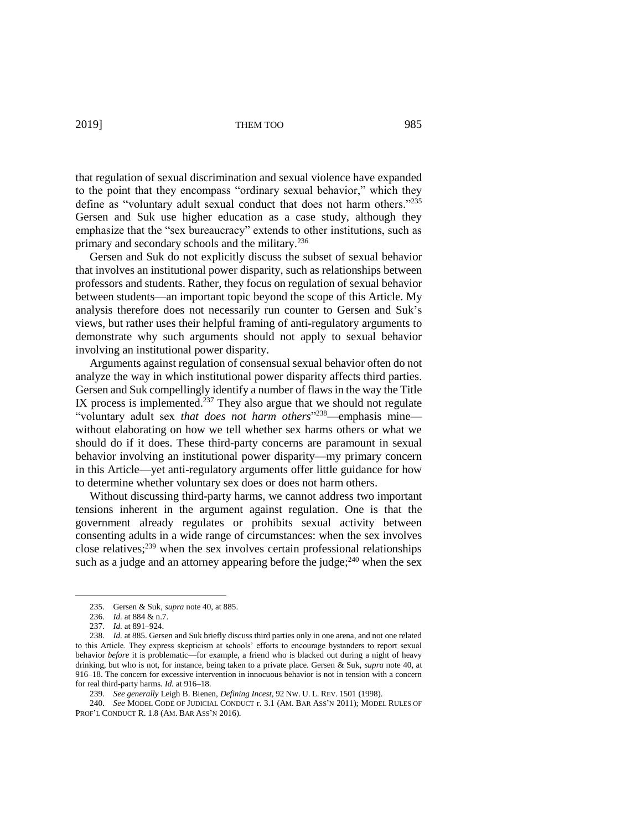that regulation of sexual discrimination and sexual violence have expanded to the point that they encompass "ordinary sexual behavior," which they define as "voluntary adult sexual conduct that does not harm others."<sup>235</sup> Gersen and Suk use higher education as a case study, although they emphasize that the "sex bureaucracy" extends to other institutions, such as primary and secondary schools and the military.<sup>236</sup>

Gersen and Suk do not explicitly discuss the subset of sexual behavior that involves an institutional power disparity, such as relationships between professors and students. Rather, they focus on regulation of sexual behavior between students—an important topic beyond the scope of this Article. My analysis therefore does not necessarily run counter to Gersen and Suk's views, but rather uses their helpful framing of anti-regulatory arguments to demonstrate why such arguments should not apply to sexual behavior involving an institutional power disparity.

Arguments against regulation of consensual sexual behavior often do not analyze the way in which institutional power disparity affects third parties. Gersen and Suk compellingly identify a number of flaws in the way the Title IX process is implemented. $237$  They also argue that we should not regulate "voluntary adult sex *that does not harm others*" <sup>238</sup>—emphasis mine without elaborating on how we tell whether sex harms others or what we should do if it does. These third-party concerns are paramount in sexual behavior involving an institutional power disparity—my primary concern in this Article—yet anti-regulatory arguments offer little guidance for how to determine whether voluntary sex does or does not harm others.

Without discussing third-party harms, we cannot address two important tensions inherent in the argument against regulation. One is that the government already regulates or prohibits sexual activity between consenting adults in a wide range of circumstances: when the sex involves close relatives; <sup>239</sup> when the sex involves certain professional relationships such as a judge and an attorney appearing before the judge; $^{240}$  when the sex

<sup>235.</sup> Gersen & Suk, *supra* note 40, at 885.

<sup>236.</sup> *Id.* at 884 & n.7.

<sup>237.</sup> *Id.* at 891–924.

<sup>238.</sup> *Id.* at 885. Gersen and Suk briefly discuss third parties only in one arena, and not one related to this Article. They express skepticism at schools' efforts to encourage bystanders to report sexual behavior *before* it is problematic—for example, a friend who is blacked out during a night of heavy drinking, but who is not, for instance, being taken to a private place. Gersen & Suk, *supra* note 40, at 916–18. The concern for excessive intervention in innocuous behavior is not in tension with a concern for real third-party harms. *Id.* at 916–18.

<sup>239.</sup> *See generally* Leigh B. Bienen, *Defining Incest*, 92 NW. U. L. REV. 1501 (1998).

<sup>240.</sup> *See* MODEL CODE OF JUDICIAL CONDUCT r. 3.1 (AM. BAR ASS'N 2011); MODEL RULES OF PROF'L CONDUCT R. 1.8 (AM. BAR ASS'N 2016).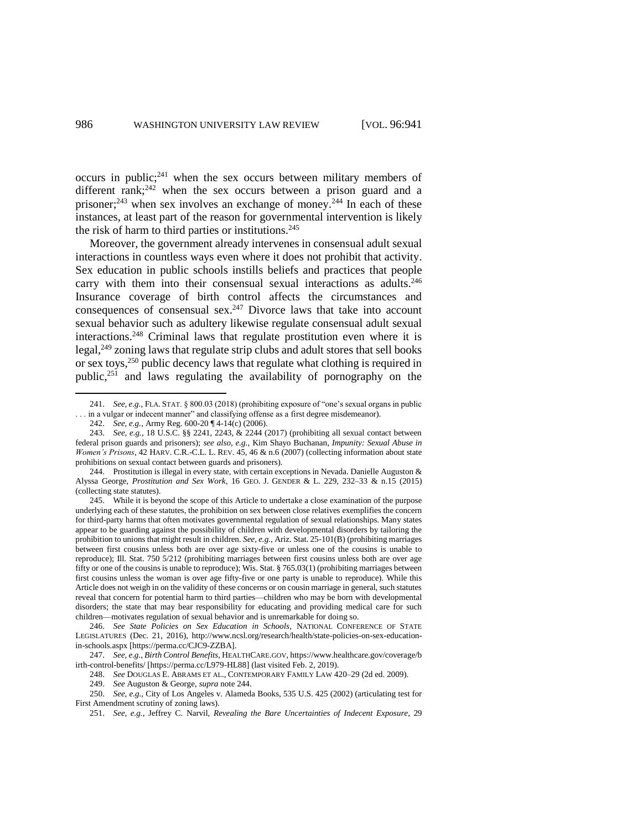occurs in public; $241$  when the sex occurs between military members of different rank;<sup>242</sup> when the sex occurs between a prison guard and a prisoner;<sup>243</sup> when sex involves an exchange of money.<sup>244</sup> In each of these instances, at least part of the reason for governmental intervention is likely the risk of harm to third parties or institutions. $245$ 

Moreover, the government already intervenes in consensual adult sexual interactions in countless ways even where it does not prohibit that activity. Sex education in public schools instills beliefs and practices that people carry with them into their consensual sexual interactions as adults. 246 Insurance coverage of birth control affects the circumstances and consequences of consensual sex.<sup>247</sup> Divorce laws that take into account sexual behavior such as adultery likewise regulate consensual adult sexual interactions. <sup>248</sup> Criminal laws that regulate prostitution even where it is legal,<sup>249</sup> zoning laws that regulate strip clubs and adult stores that sell books or sex toys,<sup>250</sup> public decency laws that regulate what clothing is required in public, <sup>251</sup> and laws regulating the availability of pornography on the

<sup>241.</sup> *See, e.g.*, FLA. STAT. § 800.03 (2018) (prohibiting exposure of "one's sexual organs in public . . . in a vulgar or indecent manner" and classifying offense as a first degree misdemeanor).

<sup>242.</sup> *See, e.g.*, Army Reg. 600-20 ¶ 4-14(c) (2006).

<sup>243.</sup> *See, e.g.*, 18 U.S.C. §§ 2241, 2243, & 2244 (2017) (prohibiting all sexual contact between federal prison guards and prisoners); *see also, e.g.*, Kim Shayo Buchanan, *Impunity: Sexual Abuse in Women's Prisons*, 42 HARV. C.R.-C.L. L. REV. 45, 46 & n.6 (2007) (collecting information about state prohibitions on sexual contact between guards and prisoners).

<sup>244.</sup> Prostitution is illegal in every state, with certain exceptions in Nevada. Danielle Auguston & Alyssa George, *Prostitution and Sex Work*, 16 GEO. J. GENDER & L. 229, 232–33 & n.15 (2015) (collecting state statutes).

<sup>245.</sup> While it is beyond the scope of this Article to undertake a close examination of the purpose underlying each of these statutes, the prohibition on sex between close relatives exemplifies the concern for third-party harms that often motivates governmental regulation of sexual relationships. Many states appear to be guarding against the possibility of children with developmental disorders by tailoring the prohibition to unions that might result in children. *See, e.g.*, Ariz. Stat. 25-101(B) (prohibiting marriages between first cousins unless both are over age sixty-five or unless one of the cousins is unable to reproduce); Ill. Stat. 750 5/212 (prohibiting marriages between first cousins unless both are over age fifty or one of the cousins is unable to reproduce); Wis. Stat. § 765.03(1) (prohibiting marriages between first cousins unless the woman is over age fifty-five or one party is unable to reproduce). While this Article does not weigh in on the validity of these concerns or on cousin marriage in general, such statutes reveal that concern for potential harm to third parties—children who may be born with developmental disorders; the state that may bear responsibility for educating and providing medical care for such children—motivates regulation of sexual behavior and is unremarkable for doing so.

<sup>246.</sup> *See State Policies on Sex Education in Schools*, NATIONAL CONFERENCE OF STATE LEGISLATURES (Dec. 21, 2016), http://www.ncsl.org/research/health/state-policies-on-sex-educationin-schools.aspx [https://perma.cc/CJC9-ZZBA].

<sup>247.</sup> *See, e.g.*, *Birth Control Benefits*, HEALTHCARE.GOV, https://www.healthcare.gov/coverage/b irth-control-benefits/ [https://perma.cc/L979-HL88] (last visited Feb. 2, 2019).

<sup>248.</sup> *See* DOUGLAS E. ABRAMS ET AL., CONTEMPORARY FAMILY LAW 420–29 (2d ed. 2009).

<sup>249.</sup> *See* Auguston & George, *supra* note 244.

<sup>250.</sup> *See, e.g.*, City of Los Angeles v. Alameda Books, 535 U.S. 425 (2002) (articulating test for First Amendment scrutiny of zoning laws).

<sup>251.</sup> *See, e.g.*, Jeffrey C. Narvil, *Revealing the Bare Uncertainties of Indecent Exposure*, 29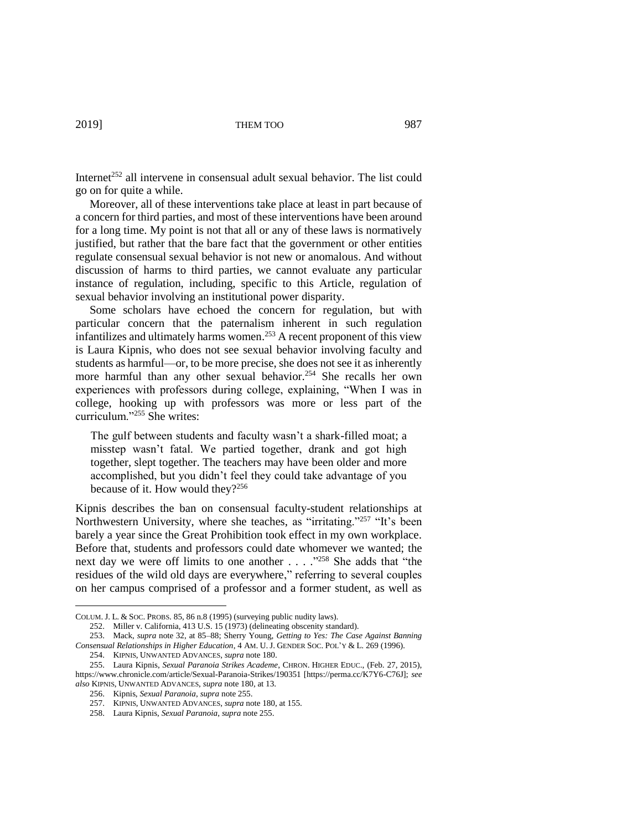Internet<sup> $252$ </sup> all intervene in consensual adult sexual behavior. The list could go on for quite a while.

Moreover, all of these interventions take place at least in part because of a concern for third parties, and most of these interventions have been around for a long time. My point is not that all or any of these laws is normatively justified, but rather that the bare fact that the government or other entities regulate consensual sexual behavior is not new or anomalous. And without discussion of harms to third parties, we cannot evaluate any particular instance of regulation, including, specific to this Article, regulation of sexual behavior involving an institutional power disparity.

Some scholars have echoed the concern for regulation, but with particular concern that the paternalism inherent in such regulation infantilizes and ultimately harms women. <sup>253</sup> A recent proponent of this view is Laura Kipnis, who does not see sexual behavior involving faculty and students as harmful—or, to be more precise, she does not see it as inherently more harmful than any other sexual behavior.<sup>254</sup> She recalls her own experiences with professors during college, explaining, "When I was in college, hooking up with professors was more or less part of the curriculum."<sup>255</sup> She writes:

The gulf between students and faculty wasn't a shark-filled moat; a misstep wasn't fatal. We partied together, drank and got high together, slept together. The teachers may have been older and more accomplished, but you didn't feel they could take advantage of you because of it. How would they? $256$ 

Kipnis describes the ban on consensual faculty-student relationships at Northwestern University, where she teaches, as "irritating."<sup>257</sup> "It's been barely a year since the Great Prohibition took effect in my own workplace. Before that, students and professors could date whomever we wanted; the next day we were off limits to one another . . . . "<sup>258</sup> She adds that "the residues of the wild old days are everywhere," referring to several couples on her campus comprised of a professor and a former student, as well as

COLUM. J. L. & SOC. PROBS. 85, 86 n.8 (1995) (surveying public nudity laws).

<sup>252.</sup> Miller v. California, 413 U.S. 15 (1973) (delineating obscenity standard).

<sup>253.</sup> Mack, *supra* note 32, at 85–88; Sherry Young, *Getting to Yes: The Case Against Banning Consensual Relationships in Higher Education*, 4 AM. U. J. GENDER SOC. POL'Y & L. 269 (1996).

<sup>254.</sup> KIPNIS, UNWANTED ADVANCES, *supra* note 180.

<sup>255.</sup> Laura Kipnis, *Sexual Paranoia Strikes Academe*, CHRON. HIGHER EDUC., (Feb. 27, 2015), https://www.chronicle.com/article/Sexual-Paranoia-Strikes/190351 [https://perma.cc/K7Y6-C76J]; *see also* KIPNIS, UNWANTED ADVANCES, *supra* note 180, at 13.

<sup>256.</sup> Kipnis, *Sexual Paranoia*, *supra* note 255.

<sup>257.</sup> KIPNIS, UNWANTED ADVANCES, *supra* note 180, at 155.

<sup>258.</sup> Laura Kipnis, *Sexual Paranoia*, *supra* note 255.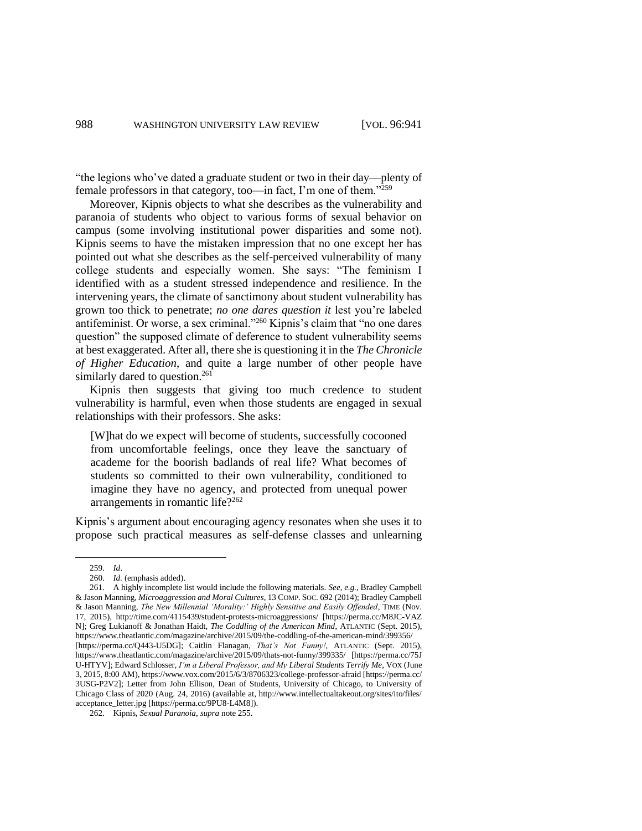"the legions who've dated a graduate student or two in their day—plenty of female professors in that category, too—in fact, I'm one of them."<sup>259</sup>

Moreover, Kipnis objects to what she describes as the vulnerability and paranoia of students who object to various forms of sexual behavior on campus (some involving institutional power disparities and some not). Kipnis seems to have the mistaken impression that no one except her has pointed out what she describes as the self-perceived vulnerability of many college students and especially women. She says: "The feminism I identified with as a student stressed independence and resilience. In the intervening years, the climate of sanctimony about student vulnerability has grown too thick to penetrate; *no one dares question it* lest you're labeled antifeminist. Or worse, a sex criminal."<sup>260</sup> Kipnis's claim that "no one dares question" the supposed climate of deference to student vulnerability seems at best exaggerated. After all, there she is questioning it in the *The Chronicle of Higher Education*, and quite a large number of other people have similarly dared to question.<sup>261</sup>

Kipnis then suggests that giving too much credence to student vulnerability is harmful, even when those students are engaged in sexual relationships with their professors. She asks:

[W]hat do we expect will become of students, successfully cocooned from uncomfortable feelings, once they leave the sanctuary of academe for the boorish badlands of real life? What becomes of students so committed to their own vulnerability, conditioned to imagine they have no agency, and protected from unequal power arrangements in romantic life?<sup>262</sup>

Kipnis's argument about encouraging agency resonates when she uses it to propose such practical measures as self-defense classes and unlearning

<sup>259.</sup> *Id*.

<sup>260.</sup> *Id.* (emphasis added).

<sup>261.</sup> A highly incomplete list would include the following materials. *See, e.g.*, Bradley Campbell & Jason Manning, *Microaggression and Moral Cultures*, 13 COMP. SOC. 692 (2014); Bradley Campbell & Jason Manning, *The New Millennial 'Morality:' Highly Sensitive and Easily Offended*, TIME (Nov. 17, 2015), http://time.com/4115439/student-protests-microaggressions/ [https://perma.cc/M8JC-VAZ N]; Greg Lukianoff & Jonathan Haidt, *The Coddling of the American Mind*, ATLANTIC (Sept. 2015), https://www.theatlantic.com/magazine/archive/2015/09/the-coddling-of-the-american-mind/399356/ [https://perma.cc/Q443-U5DG]; Caitlin Flanagan, *That's Not Funny!*, ATLANTIC (Sept. 2015), https://www.theatlantic.com/magazine/archive/2015/09/thats-not-funny/399335/ [https://perma.cc/75J U-HTYV]; Edward Schlosser, *I'm a Liberal Professor, and My Liberal Students Terrify Me*, VOX (June 3, 2015, 8:00 AM), https://www.vox.com/2015/6/3/8706323/college-professor-afraid [https://perma.cc/ 3USG-P2V2]; Letter from John Ellison, Dean of Students, University of Chicago, to University of Chicago Class of 2020 (Aug. 24, 2016) (available at, http://www.intellectualtakeout.org/sites/ito/files/ acceptance\_letter.jpg [https://perma.cc/9PU8-L4M8]).

<sup>262.</sup> Kipnis, *Sexual Paranoia*, *supra* note 255.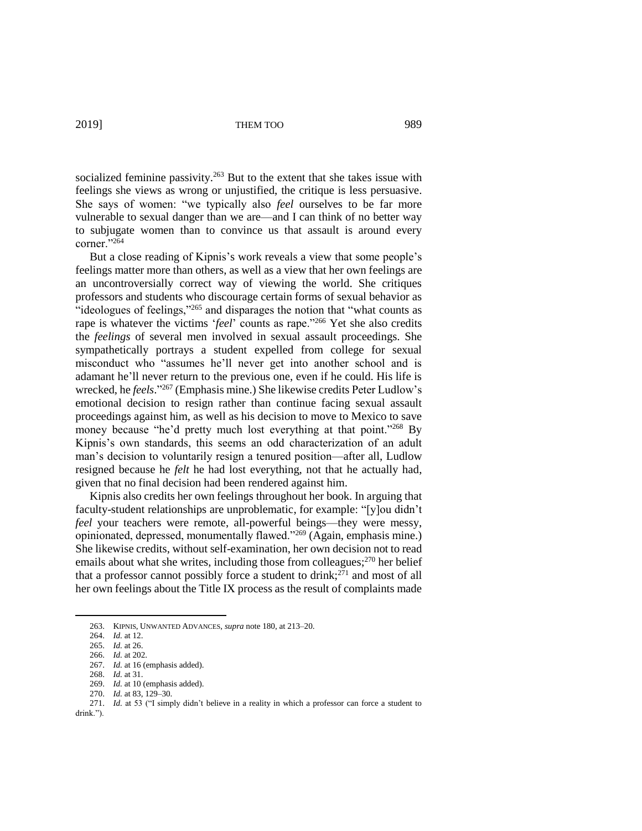socialized feminine passivity.<sup>263</sup> But to the extent that she takes issue with feelings she views as wrong or unjustified, the critique is less persuasive. She says of women: "we typically also *feel* ourselves to be far more vulnerable to sexual danger than we are—and I can think of no better way to subjugate women than to convince us that assault is around every corner."<sup>264</sup>

But a close reading of Kipnis's work reveals a view that some people's feelings matter more than others, as well as a view that her own feelings are an uncontroversially correct way of viewing the world. She critiques professors and students who discourage certain forms of sexual behavior as "ideologues of feelings,"<sup>265</sup> and disparages the notion that "what counts as rape is whatever the victims '*feel*' counts as rape."<sup>266</sup> Yet she also credits the *feelings* of several men involved in sexual assault proceedings. She sympathetically portrays a student expelled from college for sexual misconduct who "assumes he'll never get into another school and is adamant he'll never return to the previous one, even if he could. His life is wrecked, he *feels*." <sup>267</sup> (Emphasis mine.) She likewise credits Peter Ludlow's emotional decision to resign rather than continue facing sexual assault proceedings against him, as well as his decision to move to Mexico to save money because "he'd pretty much lost everything at that point."<sup>268</sup> By Kipnis's own standards, this seems an odd characterization of an adult man's decision to voluntarily resign a tenured position—after all, Ludlow resigned because he *felt* he had lost everything, not that he actually had, given that no final decision had been rendered against him.

Kipnis also credits her own feelings throughout her book. In arguing that faculty-student relationships are unproblematic, for example: "[y]ou didn't *feel* your teachers were remote, all-powerful beings—they were messy, opinionated, depressed, monumentally flawed."<sup>269</sup> (Again, emphasis mine.) She likewise credits, without self-examination, her own decision not to read emails about what she writes, including those from colleagues;<sup>270</sup> her belief that a professor cannot possibly force a student to drink; <sup>271</sup> and most of all her own feelings about the Title IX process as the result of complaints made

<sup>263.</sup> KIPNIS, UNWANTED ADVANCES, *supra* note 180, at 213–20.

<sup>264.</sup> *Id.* at 12.

<sup>265.</sup> *Id.* at 26.

<sup>266.</sup> *Id.* at 202.

<sup>267.</sup> *Id.* at 16 (emphasis added).

<sup>268.</sup> *Id.* at 31.

<sup>269.</sup> *Id.* at 10 (emphasis added).

<sup>270.</sup> *Id.* at 83, 129–30.

<sup>271.</sup> *Id.* at 53 ("I simply didn't believe in a reality in which a professor can force a student to

drink.").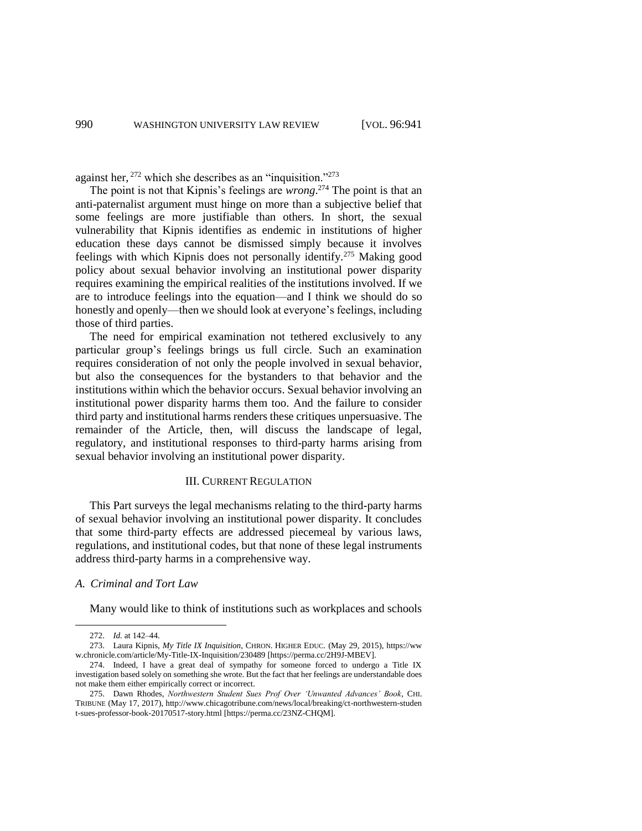against her,  $^{272}$  which she describes as an "inquisition."<sup> $^{273}$ </sup>

The point is not that Kipnis's feelings are *wrong*. <sup>274</sup> The point is that an anti-paternalist argument must hinge on more than a subjective belief that some feelings are more justifiable than others. In short, the sexual vulnerability that Kipnis identifies as endemic in institutions of higher education these days cannot be dismissed simply because it involves feelings with which Kipnis does not personally identify.<sup>275</sup> Making good policy about sexual behavior involving an institutional power disparity requires examining the empirical realities of the institutions involved. If we are to introduce feelings into the equation—and I think we should do so honestly and openly—then we should look at everyone's feelings, including those of third parties.

The need for empirical examination not tethered exclusively to any particular group's feelings brings us full circle. Such an examination requires consideration of not only the people involved in sexual behavior, but also the consequences for the bystanders to that behavior and the institutions within which the behavior occurs. Sexual behavior involving an institutional power disparity harms them too. And the failure to consider third party and institutional harms renders these critiques unpersuasive. The remainder of the Article, then, will discuss the landscape of legal, regulatory, and institutional responses to third-party harms arising from sexual behavior involving an institutional power disparity.

#### III. CURRENT REGULATION

This Part surveys the legal mechanisms relating to the third-party harms of sexual behavior involving an institutional power disparity. It concludes that some third-party effects are addressed piecemeal by various laws, regulations, and institutional codes, but that none of these legal instruments address third-party harms in a comprehensive way.

#### *A. Criminal and Tort Law*

Many would like to think of institutions such as workplaces and schools

<sup>272.</sup> *Id.* at 142–44.

<sup>273.</sup> Laura Kipnis, *My Title IX Inquisition*, CHRON. HIGHER EDUC. (May 29, 2015), https://ww w.chronicle.com/article/My-Title-IX-Inquisition/230489 [https://perma.cc/2H9J-MBEV].

<sup>274.</sup> Indeed, I have a great deal of sympathy for someone forced to undergo a Title IX investigation based solely on something she wrote. But the fact that her feelings are understandable does not make them either empirically correct or incorrect.

<sup>275.</sup> Dawn Rhodes, *Northwestern Student Sues Prof Over 'Unwanted Advances' Book*, CHI. TRIBUNE (May 17, 2017), http://www.chicagotribune.com/news/local/breaking/ct-northwestern-studen t-sues-professor-book-20170517-story.html [https://perma.cc/23NZ-CHQM].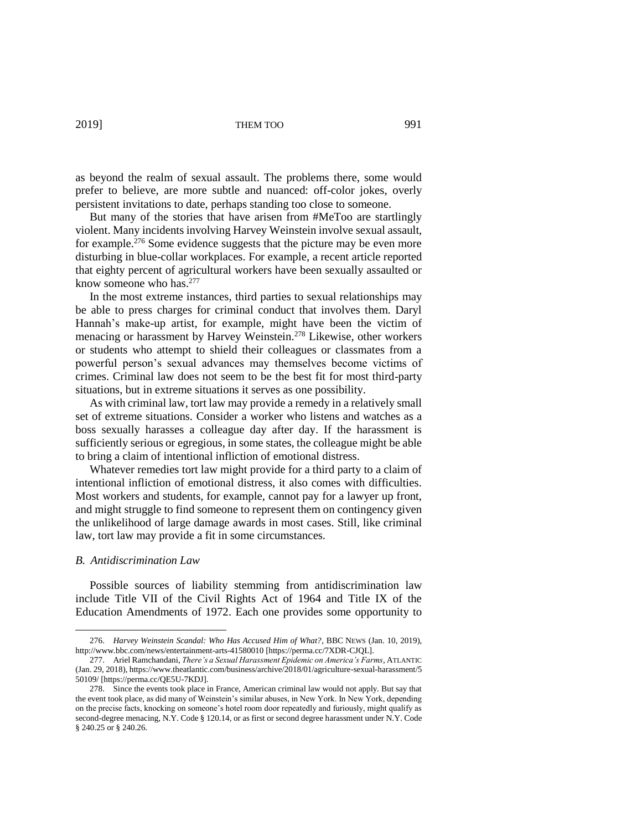as beyond the realm of sexual assault. The problems there, some would prefer to believe, are more subtle and nuanced: off-color jokes, overly persistent invitations to date, perhaps standing too close to someone.

But many of the stories that have arisen from #MeToo are startlingly violent. Many incidents involving Harvey Weinstein involve sexual assault, for example.<sup>276</sup> Some evidence suggests that the picture may be even more disturbing in blue-collar workplaces. For example, a recent article reported that eighty percent of agricultural workers have been sexually assaulted or know someone who has. 277

In the most extreme instances, third parties to sexual relationships may be able to press charges for criminal conduct that involves them. Daryl Hannah's make-up artist, for example, might have been the victim of menacing or harassment by Harvey Weinstein.<sup>278</sup> Likewise, other workers or students who attempt to shield their colleagues or classmates from a powerful person's sexual advances may themselves become victims of crimes. Criminal law does not seem to be the best fit for most third-party situations, but in extreme situations it serves as one possibility.

As with criminal law, tort law may provide a remedy in a relatively small set of extreme situations. Consider a worker who listens and watches as a boss sexually harasses a colleague day after day. If the harassment is sufficiently serious or egregious, in some states, the colleague might be able to bring a claim of intentional infliction of emotional distress.

Whatever remedies tort law might provide for a third party to a claim of intentional infliction of emotional distress, it also comes with difficulties. Most workers and students, for example, cannot pay for a lawyer up front, and might struggle to find someone to represent them on contingency given the unlikelihood of large damage awards in most cases. Still, like criminal law, tort law may provide a fit in some circumstances.

# *B. Antidiscrimination Law*

 $\overline{a}$ 

Possible sources of liability stemming from antidiscrimination law include Title VII of the Civil Rights Act of 1964 and Title IX of the Education Amendments of 1972. Each one provides some opportunity to

<sup>276.</sup> *Harvey Weinstein Scandal: Who Has Accused Him of What?*, BBC NEWS (Jan. 10, 2019), http://www.bbc.com/news/entertainment-arts-41580010 [https://perma.cc/7XDR-CJQL].

<sup>277.</sup> Ariel Ramchandani, *There's a Sexual Harassment Epidemic on America's Farms*, ATLANTIC (Jan. 29, 2018), https://www.theatlantic.com/business/archive/2018/01/agriculture-sexual-harassment/5 50109/ [https://perma.cc/QE5U-7KDJ].

<sup>278.</sup> Since the events took place in France, American criminal law would not apply. But say that the event took place, as did many of Weinstein's similar abuses, in New York. In New York, depending on the precise facts, knocking on someone's hotel room door repeatedly and furiously, might qualify as second-degree menacing, N.Y. Code § 120.14, or as first or second degree harassment under N.Y. Code § 240.25 or § 240.26.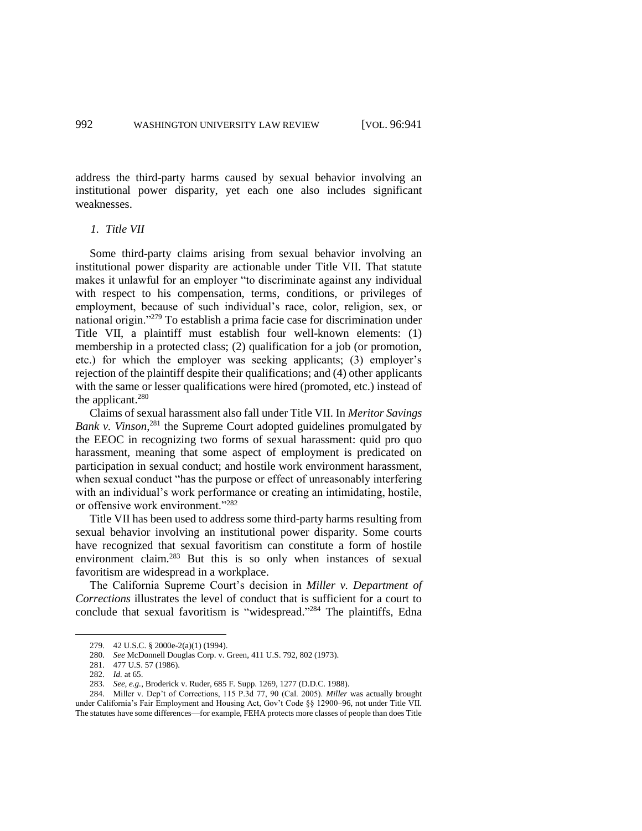address the third-party harms caused by sexual behavior involving an institutional power disparity, yet each one also includes significant weaknesses.

#### *1. Title VII*

Some third-party claims arising from sexual behavior involving an institutional power disparity are actionable under Title VII. That statute makes it unlawful for an employer "to discriminate against any individual with respect to his compensation, terms, conditions, or privileges of employment, because of such individual's race, color, religion, sex, or national origin."<sup>279</sup> To establish a prima facie case for discrimination under Title VII, a plaintiff must establish four well-known elements: (1) membership in a protected class; (2) qualification for a job (or promotion, etc.) for which the employer was seeking applicants; (3) employer's rejection of the plaintiff despite their qualifications; and (4) other applicants with the same or lesser qualifications were hired (promoted, etc.) instead of the applicant.<sup>280</sup>

Claims of sexual harassment also fall under Title VII. In *Meritor Savings*  Bank v. Vinson,<sup>281</sup> the Supreme Court adopted guidelines promulgated by the EEOC in recognizing two forms of sexual harassment: quid pro quo harassment, meaning that some aspect of employment is predicated on participation in sexual conduct; and hostile work environment harassment, when sexual conduct "has the purpose or effect of unreasonably interfering with an individual's work performance or creating an intimidating, hostile, or offensive work environment."<sup>282</sup>

Title VII has been used to address some third-party harms resulting from sexual behavior involving an institutional power disparity. Some courts have recognized that sexual favoritism can constitute a form of hostile environment claim.<sup>283</sup> But this is so only when instances of sexual favoritism are widespread in a workplace.

The California Supreme Court's decision in *Miller v. Department of Corrections* illustrates the level of conduct that is sufficient for a court to conclude that sexual favoritism is "widespread." <sup>284</sup> The plaintiffs, Edna

<sup>279.</sup> 42 U.S.C. § 2000e-2(a)(1) (1994).

<sup>280.</sup> *See* McDonnell Douglas Corp. v. Green, 411 U.S. 792, 802 (1973).

<sup>281.</sup> 477 U.S. 57 (1986).

<sup>282.</sup> *Id.* at 65.

<sup>283.</sup> *See, e.g.*, Broderick v. Ruder, 685 F. Supp. 1269, 1277 (D.D.C. 1988).

<sup>284.</sup> Miller v. Dep't of Corrections, 115 P.3d 77, 90 (Cal. 2005). *Miller* was actually brought under California's Fair Employment and Housing Act, Gov't Code §§ 12900–96, not under Title VII. The statutes have some differences—for example, FEHA protects more classes of people than does Title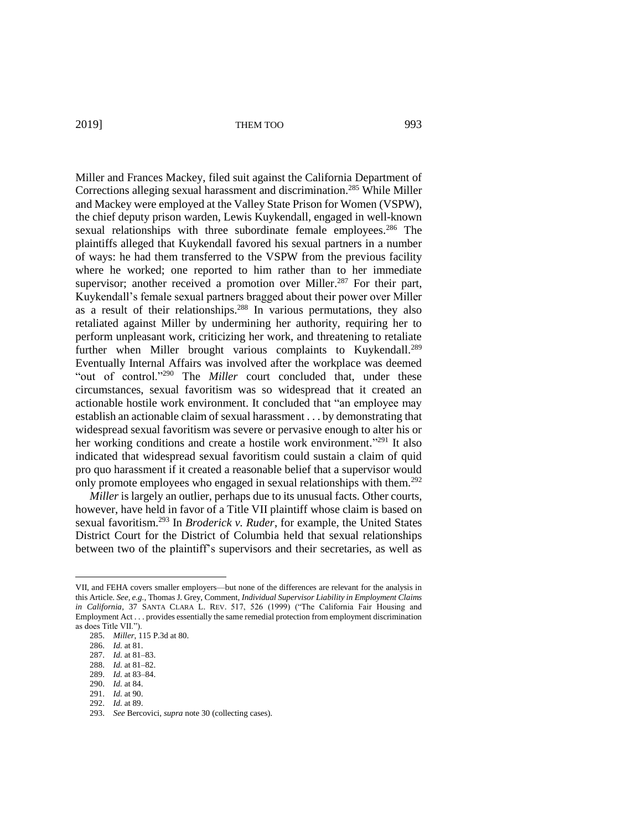Miller and Frances Mackey, filed suit against the California Department of Corrections alleging sexual harassment and discrimination.<sup>285</sup> While Miller and Mackey were employed at the Valley State Prison for Women (VSPW), the chief deputy prison warden, Lewis Kuykendall, engaged in well-known sexual relationships with three subordinate female employees.<sup>286</sup> The plaintiffs alleged that Kuykendall favored his sexual partners in a number of ways: he had them transferred to the VSPW from the previous facility where he worked; one reported to him rather than to her immediate supervisor; another received a promotion over Miller.<sup>287</sup> For their part, Kuykendall's female sexual partners bragged about their power over Miller as a result of their relationships.<sup>288</sup> In various permutations, they also retaliated against Miller by undermining her authority, requiring her to perform unpleasant work, criticizing her work, and threatening to retaliate further when Miller brought various complaints to Kuykendall.<sup>289</sup> Eventually Internal Affairs was involved after the workplace was deemed "out of control."<sup>290</sup> The *Miller* court concluded that, under these circumstances, sexual favoritism was so widespread that it created an actionable hostile work environment. It concluded that "an employee may establish an actionable claim of sexual harassment . . . by demonstrating that widespread sexual favoritism was severe or pervasive enough to alter his or her working conditions and create a hostile work environment."<sup>291</sup> It also indicated that widespread sexual favoritism could sustain a claim of quid pro quo harassment if it created a reasonable belief that a supervisor would only promote employees who engaged in sexual relationships with them.<sup>292</sup>

*Miller* is largely an outlier, perhaps due to its unusual facts. Other courts, however, have held in favor of a Title VII plaintiff whose claim is based on sexual favoritism.<sup>293</sup> In *Broderick v. Ruder*, for example, the United States District Court for the District of Columbia held that sexual relationships between two of the plaintiff's supervisors and their secretaries, as well as

VII, and FEHA covers smaller employers—but none of the differences are relevant for the analysis in this Article. *See, e.g.*, Thomas J. Grey, Comment, *Individual Supervisor Liability in Employment Claims in California*, 37 SANTA CLARA L. REV. 517, 526 (1999) ("The California Fair Housing and Employment Act . . . provides essentially the same remedial protection from employment discrimination as does Title VII.")

<sup>285.</sup> *Miller*, 115 P.3d at 80.

<sup>286.</sup> *Id.* at 81.

<sup>287.</sup> *Id.* at 81–83.

<sup>288.</sup> *Id.* at 81–82.

<sup>289.</sup> *Id.* at 83–84.

<sup>290.</sup> *Id.* at 84.

<sup>291.</sup> *Id.* at 90.

<sup>292.</sup> *Id.* at 89.

<sup>293.</sup> *See* Bercovici, *supra* note 30 (collecting cases).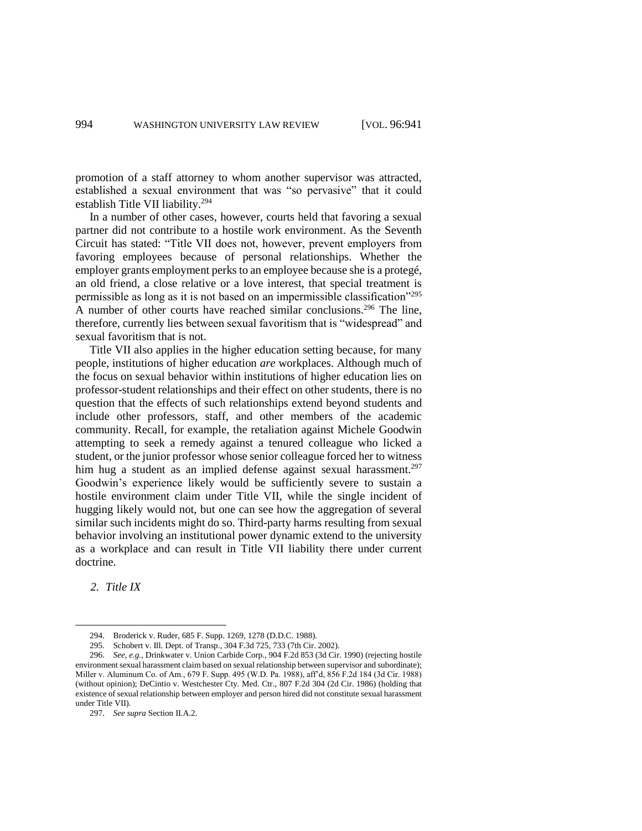promotion of a staff attorney to whom another supervisor was attracted, established a sexual environment that was "so pervasive" that it could establish Title VII liability.<sup>294</sup>

In a number of other cases, however, courts held that favoring a sexual partner did not contribute to a hostile work environment. As the Seventh Circuit has stated: "Title VII does not, however, prevent employers from favoring employees because of personal relationships. Whether the employer grants employment perks to an employee because she is a protegé, an old friend, a close relative or a love interest, that special treatment is permissible as long as it is not based on an impermissible classification"<sup>295</sup> A number of other courts have reached similar conclusions.<sup>296</sup> The line, therefore, currently lies between sexual favoritism that is "widespread" and sexual favoritism that is not.

Title VII also applies in the higher education setting because, for many people, institutions of higher education *are* workplaces. Although much of the focus on sexual behavior within institutions of higher education lies on professor-student relationships and their effect on other students, there is no question that the effects of such relationships extend beyond students and include other professors, staff, and other members of the academic community. Recall, for example, the retaliation against Michele Goodwin attempting to seek a remedy against a tenured colleague who licked a student, or the junior professor whose senior colleague forced her to witness him hug a student as an implied defense against sexual harassment.<sup>297</sup> Goodwin's experience likely would be sufficiently severe to sustain a hostile environment claim under Title VII, while the single incident of hugging likely would not, but one can see how the aggregation of several similar such incidents might do so. Third-party harms resulting from sexual behavior involving an institutional power dynamic extend to the university as a workplace and can result in Title VII liability there under current doctrine.

*2. Title IX*

 $\overline{a}$ 

297. *See supra* Section II.A.2.

<sup>294.</sup> Broderick v. Ruder, 685 F. Supp. 1269, 1278 (D.D.C. 1988).

<sup>295.</sup> Schobert v. Ill. Dept. of Transp., 304 F.3d 725, 733 (7th Cir. 2002).

<sup>296.</sup> *See, e.g.*, Drinkwater v. Union Carbide Corp., 904 F.2d 853 (3d Cir. 1990) (rejecting hostile environment sexual harassment claim based on sexual relationship between supervisor and subordinate); Miller v. Aluminum Co. of Am., 679 F. Supp. 495 (W.D. Pa. 1988), aff'd, 856 F.2d 184 (3d Cir. 1988) (without opinion); DeCintio v. Westchester Cty. Med. Ctr., 807 F.2d 304 (2d Cir. 1986) (holding that existence of sexual relationship between employer and person hired did not constitute sexual harassment under Title VII).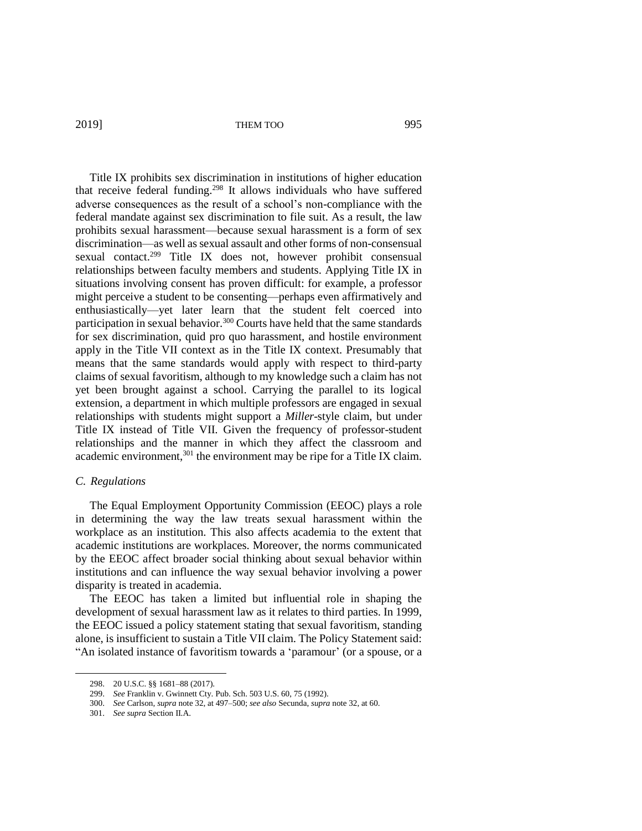Title IX prohibits sex discrimination in institutions of higher education that receive federal funding. <sup>298</sup> It allows individuals who have suffered adverse consequences as the result of a school's non-compliance with the federal mandate against sex discrimination to file suit. As a result, the law prohibits sexual harassment—because sexual harassment is a form of sex discrimination—as well as sexual assault and other forms of non-consensual sexual contact.<sup>299</sup> Title IX does not, however prohibit consensual relationships between faculty members and students. Applying Title IX in situations involving consent has proven difficult: for example, a professor might perceive a student to be consenting—perhaps even affirmatively and enthusiastically—yet later learn that the student felt coerced into participation in sexual behavior.<sup>300</sup> Courts have held that the same standards for sex discrimination, quid pro quo harassment, and hostile environment apply in the Title VII context as in the Title IX context. Presumably that means that the same standards would apply with respect to third-party claims of sexual favoritism, although to my knowledge such a claim has not yet been brought against a school. Carrying the parallel to its logical extension, a department in which multiple professors are engaged in sexual relationships with students might support a *Miller*-style claim, but under Title IX instead of Title VII. Given the frequency of professor-student relationships and the manner in which they affect the classroom and academic environment,<sup>301</sup> the environment may be ripe for a Title IX claim.

# *C. Regulations*

 $\overline{a}$ 

The Equal Employment Opportunity Commission (EEOC) plays a role in determining the way the law treats sexual harassment within the workplace as an institution. This also affects academia to the extent that academic institutions are workplaces. Moreover, the norms communicated by the EEOC affect broader social thinking about sexual behavior within institutions and can influence the way sexual behavior involving a power disparity is treated in academia.

The EEOC has taken a limited but influential role in shaping the development of sexual harassment law as it relates to third parties. In 1999, the EEOC issued a policy statement stating that sexual favoritism, standing alone, is insufficient to sustain a Title VII claim. The Policy Statement said: "An isolated instance of favoritism towards a 'paramour' (or a spouse, or a

<sup>298.</sup> 20 U.S.C. §§ 1681–88 (2017).

<sup>299.</sup> *See* Franklin v. Gwinnett Cty. Pub. Sch. 503 U.S. 60, 75 (1992).

<sup>300.</sup> *See* Carlson, *supra* note 32, at 497–500; *see also* Secunda, *supra* note 32, at 60.

<sup>301.</sup> *See supra* Section II.A.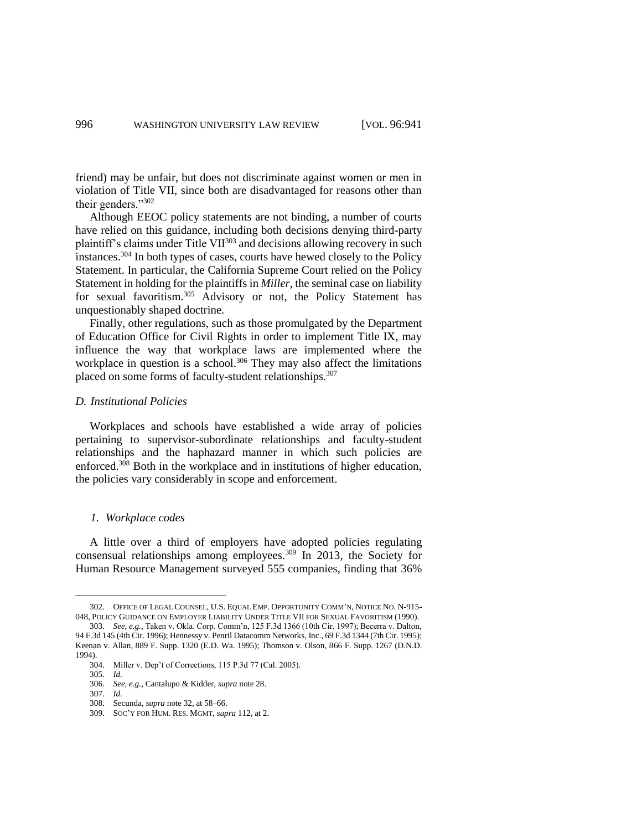friend) may be unfair, but does not discriminate against women or men in violation of Title VII, since both are disadvantaged for reasons other than their genders."<sup>302</sup>

Although EEOC policy statements are not binding, a number of courts have relied on this guidance, including both decisions denying third-party plaintiff's claims under Title VII<sup>303</sup> and decisions allowing recovery in such instances.<sup>304</sup> In both types of cases, courts have hewed closely to the Policy Statement. In particular, the California Supreme Court relied on the Policy Statement in holding for the plaintiffs in *Miller*, the seminal case on liability for sexual favoritism.<sup>305</sup> Advisory or not, the Policy Statement has unquestionably shaped doctrine.

Finally, other regulations, such as those promulgated by the Department of Education Office for Civil Rights in order to implement Title IX, may influence the way that workplace laws are implemented where the workplace in question is a school.<sup>306</sup> They may also affect the limitations placed on some forms of faculty-student relationships.<sup>307</sup>

#### *D. Institutional Policies*

Workplaces and schools have established a wide array of policies pertaining to supervisor-subordinate relationships and faculty-student relationships and the haphazard manner in which such policies are enforced.<sup>308</sup> Both in the workplace and in institutions of higher education, the policies vary considerably in scope and enforcement.

#### *1. Workplace codes*

A little over a third of employers have adopted policies regulating consensual relationships among employees.<sup>309</sup> In 2013, the Society for Human Resource Management surveyed 555 companies, finding that 36%

1994).

<sup>302.</sup> OFFICE OF LEGAL COUNSEL, U.S. EQUAL EMP. OPPORTUNITY COMM'N, NOTICE NO. N-915- 048, POLICY GUIDANCE ON EMPLOYER LIABILITY UNDER TITLE VII FOR SEXUAL FAVORITISM (1990). 303. *See, e.g.*, Taken v. Okla. Corp. Comm'n, 125 F.3d 1366 (10th Cir. 1997); Becerra v. Dalton, 94 F.3d 145 (4th Cir. 1996); Hennessy v. Penril Datacomm Networks, Inc., 69 F.3d 1344 (7th Cir. 1995); Keenan v. Allan, 889 F. Supp. 1320 (E.D. Wa. 1995); Thomson v. Olson, 866 F. Supp. 1267 (D.N.D.

<sup>304.</sup> Miller v. Dep't of Corrections, 115 P.3d 77 (Cal. 2005).

<sup>305.</sup> *Id.*

<sup>306.</sup> *See, e.g.*, Cantalupo & Kidder, *supra* note 28.

<sup>307.</sup> *Id.*

<sup>308.</sup> Secunda, *supra* note 32, at 58–66.

<sup>309.</sup> SOC'Y FOR HUM. RES. MGMT, *supra* 112, at 2.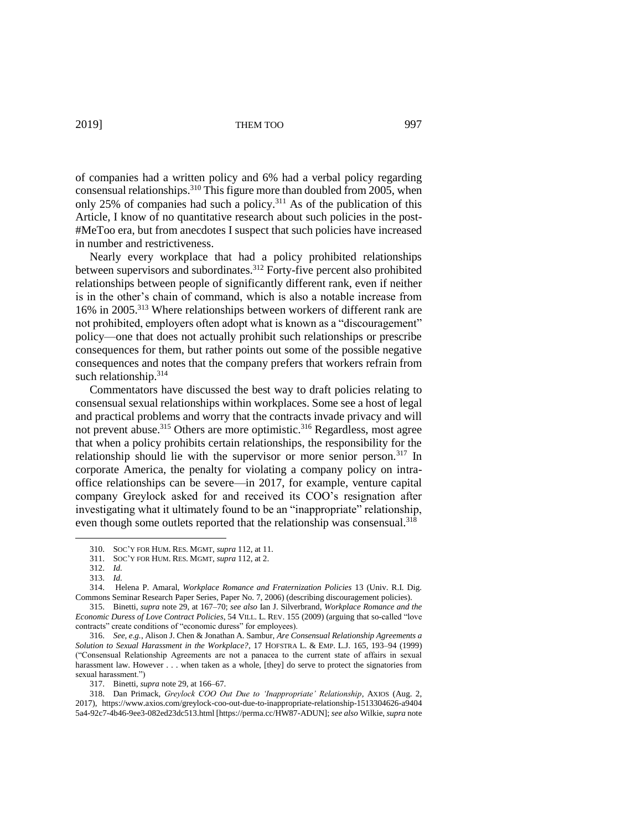of companies had a written policy and 6% had a verbal policy regarding consensual relationships.<sup>310</sup> This figure more than doubled from 2005, when only 25% of companies had such a policy.<sup>311</sup> As of the publication of this Article, I know of no quantitative research about such policies in the post- #MeToo era, but from anecdotes I suspect that such policies have increased in number and restrictiveness.

Nearly every workplace that had a policy prohibited relationships between supervisors and subordinates.<sup>312</sup> Forty-five percent also prohibited relationships between people of significantly different rank, even if neither is in the other's chain of command, which is also a notable increase from 16% in 2005.<sup>313</sup> Where relationships between workers of different rank are not prohibited, employers often adopt what is known as a "discouragement" policy—one that does not actually prohibit such relationships or prescribe consequences for them, but rather points out some of the possible negative consequences and notes that the company prefers that workers refrain from such relationship.<sup>314</sup>

Commentators have discussed the best way to draft policies relating to consensual sexual relationships within workplaces. Some see a host of legal and practical problems and worry that the contracts invade privacy and will not prevent abuse.<sup>315</sup> Others are more optimistic.<sup>316</sup> Regardless, most agree that when a policy prohibits certain relationships, the responsibility for the relationship should lie with the supervisor or more senior person.<sup>317</sup> In corporate America, the penalty for violating a company policy on intraoffice relationships can be severe—in 2017, for example, venture capital company Greylock asked for and received its COO's resignation after investigating what it ultimately found to be an "inappropriate" relationship, even though some outlets reported that the relationship was consensual.<sup>318</sup>

<sup>310.</sup> SOC'Y FOR HUM. RES. MGMT, *supra* 112, at 11.

<sup>311.</sup> SOC'Y FOR HUM. RES. MGMT, *supra* 112, at 2.

<sup>312.</sup> *Id.*

<sup>313.</sup> *Id.*

<sup>314.</sup> Helena P. Amaral, *Workplace Romance and Fraternization Policies* 13 (Univ. R.I. Dig. Commons Seminar Research Paper Series, Paper No. 7, 2006) (describing discouragement policies).

<sup>315.</sup> Binetti, *supra* note 29, at 167–70; *see also* Ian J. Silverbrand, *Workplace Romance and the Economic Duress of Love Contract Policies*, 54 VILL. L. REV. 155 (2009) (arguing that so-called "love contracts" create conditions of "economic duress" for employees).

<sup>316.</sup> *See, e.g.*, Alison J. Chen & Jonathan A. Sambur, *Are Consensual Relationship Agreements a Solution to Sexual Harassment in the Workplace?*, 17 HOFSTRA L. & EMP. L.J. 165, 193–94 (1999) ("Consensual Relationship Agreements are not a panacea to the current state of affairs in sexual harassment law. However . . . when taken as a whole, [they] do serve to protect the signatories from sexual harassment.")

<sup>317.</sup> Binetti, *supra* note 29, at 166–67.

<sup>318.</sup> Dan Primack, *Greylock COO Out Due to 'Inappropriate' Relationship*, AXIOS (Aug. 2, 2017), https://www.axios.com/greylock-coo-out-due-to-inappropriate-relationship-1513304626-a9404 5a4-92c7-4b46-9ee3-082ed23dc513.html [https://perma.cc/HW87-ADUN]; *see also* Wilkie, *supra* note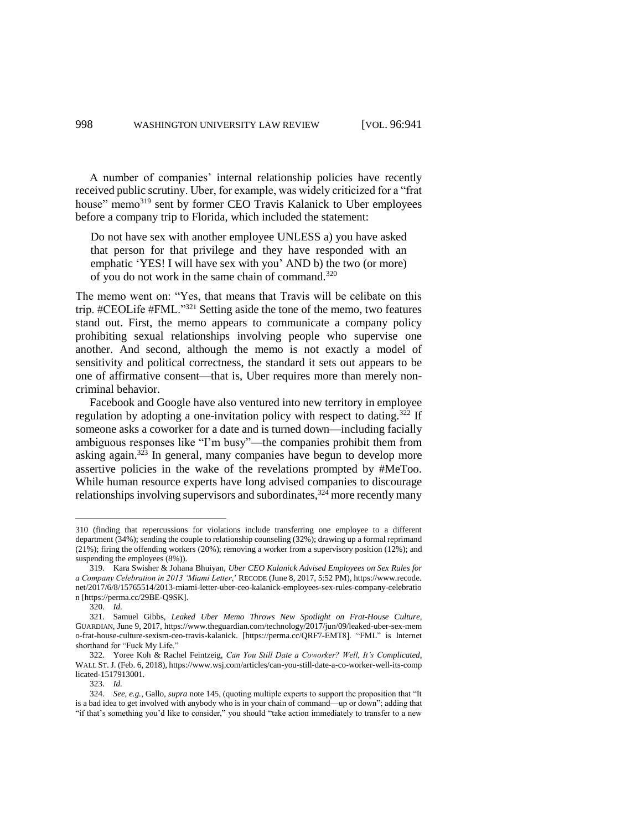A number of companies' internal relationship policies have recently received public scrutiny. Uber, for example, was widely criticized for a "frat house" memo<sup>319</sup> sent by former CEO Travis Kalanick to Uber employees before a company trip to Florida, which included the statement:

Do not have sex with another employee UNLESS a) you have asked that person for that privilege and they have responded with an emphatic 'YES! I will have sex with you' AND b) the two (or more) of you do not work in the same chain of command.<sup>320</sup>

The memo went on: "Yes, that means that Travis will be celibate on this trip. #CEOLife #FML."<sup>321</sup> Setting aside the tone of the memo, two features stand out. First, the memo appears to communicate a company policy prohibiting sexual relationships involving people who supervise one another. And second, although the memo is not exactly a model of sensitivity and political correctness, the standard it sets out appears to be one of affirmative consent—that is, Uber requires more than merely noncriminal behavior.

Facebook and Google have also ventured into new territory in employee regulation by adopting a one-invitation policy with respect to dating.<sup>322</sup> If someone asks a coworker for a date and is turned down—including facially ambiguous responses like "I'm busy"—the companies prohibit them from asking again.<sup>323</sup> In general, many companies have begun to develop more assertive policies in the wake of the revelations prompted by #MeToo. While human resource experts have long advised companies to discourage relationships involving supervisors and subordinates,  $32\overline{4}$  more recently many

<sup>310</sup> (finding that repercussions for violations include transferring one employee to a different department (34%); sending the couple to relationship counseling (32%); drawing up a formal reprimand (21%); firing the offending workers (20%); removing a worker from a supervisory position (12%); and suspending the employees (8%)).

<sup>319.</sup> Kara Swisher & Johana Bhuiyan, *Uber CEO Kalanick Advised Employees on Sex Rules for a Company Celebration in 2013 'Miami Letter*,' RECODE (June 8, 2017, 5:52 PM), https://www.recode. net/2017/6/8/15765514/2013-miami-letter-uber-ceo-kalanick-employees-sex-rules-company-celebratio n [https://perma.cc/29BE-Q9SK].

<sup>320.</sup> *Id.*

<sup>321.</sup> Samuel Gibbs, *Leaked Uber Memo Throws New Spotlight on Frat-House Culture*, GUARDIAN, June 9, 2017, https://www.theguardian.com/technology/2017/jun/09/leaked-uber-sex-mem o-frat-house-culture-sexism-ceo-travis-kalanick. [https://perma.cc/QRF7-EMT8]. "FML" is Internet shorthand for "Fuck My Life."

<sup>322.</sup> Yoree Koh & Rachel Feintzeig, *Can You Still Date a Coworker? Well, It's Complicated*, WALL ST. J. (Feb. 6, 2018), https://www.wsj.com/articles/can-you-still-date-a-co-worker-well-its-comp licated-1517913001.

<sup>323.</sup> *Id.*

<sup>324.</sup> *See, e.g.*, Gallo, *supra* note 145, (quoting multiple experts to support the proposition that "It is a bad idea to get involved with anybody who is in your chain of command—up or down"; adding that "if that's something you'd like to consider," you should "take action immediately to transfer to a new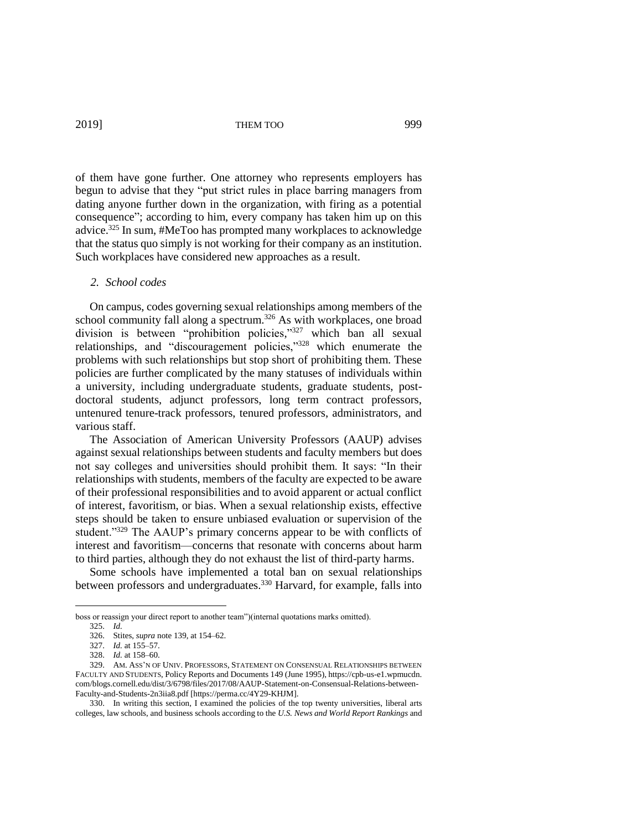of them have gone further. One attorney who represents employers has begun to advise that they "put strict rules in place barring managers from dating anyone further down in the organization, with firing as a potential consequence"; according to him, every company has taken him up on this advice.<sup>325</sup> In sum, #MeToo has prompted many workplaces to acknowledge that the status quo simply is not working for their company as an institution. Such workplaces have considered new approaches as a result.

#### *2. School codes*

On campus, codes governing sexual relationships among members of the school community fall along a spectrum.<sup>326</sup> As with workplaces, one broad division is between "prohibition policies," <sup>327</sup> which ban all sexual relationships, and "discouragement policies,"<sup>328</sup> which enumerate the problems with such relationships but stop short of prohibiting them. These policies are further complicated by the many statuses of individuals within a university, including undergraduate students, graduate students, postdoctoral students, adjunct professors, long term contract professors, untenured tenure-track professors, tenured professors, administrators, and various staff.

The Association of American University Professors (AAUP) advises against sexual relationships between students and faculty members but does not say colleges and universities should prohibit them. It says: "In their relationships with students, members of the faculty are expected to be aware of their professional responsibilities and to avoid apparent or actual conflict of interest, favoritism, or bias. When a sexual relationship exists, effective steps should be taken to ensure unbiased evaluation or supervision of the student."<sup>329</sup> The AAUP's primary concerns appear to be with conflicts of interest and favoritism—concerns that resonate with concerns about harm to third parties, although they do not exhaust the list of third-party harms.

Some schools have implemented a total ban on sexual relationships between professors and undergraduates.<sup>330</sup> Harvard, for example, falls into

boss or reassign your direct report to another team")(internal quotations marks omitted).

<sup>325.</sup> *Id.*

<sup>326.</sup> Stites, *supra* note 139, at 154–62.

<sup>327.</sup> *Id.* at 155–57.

<sup>328.</sup> *Id.* at 158–60.

<sup>329.</sup> AM. ASS'N OF UNIV. PROFESSORS, STATEMENT ON CONSENSUAL RELATIONSHIPS BETWEEN FACULTY AND STUDENTS, Policy Reports and Documents 149 (June 1995), https://cpb-us-e1.wpmucdn. com/blogs.cornell.edu/dist/3/6798/files/2017/08/AAUP-Statement-on-Consensual-Relations-between-Faculty-and-Students-2n3iia8.pdf [https://perma.cc/4Y29-KHJM].

<sup>330.</sup> In writing this section, I examined the policies of the top twenty universities, liberal arts colleges, law schools, and business schools according to the *U.S. News and World Report Rankings* and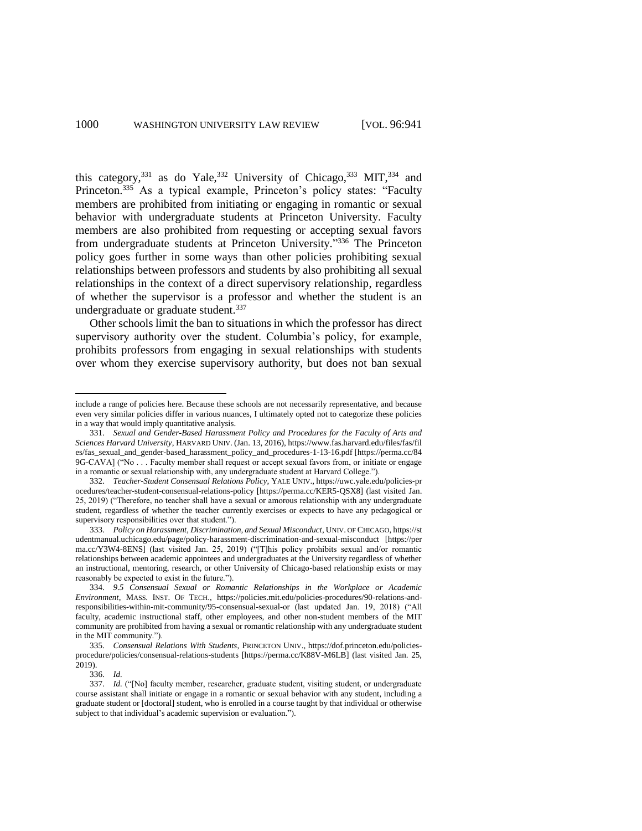this category,  $331$  as do Yale,  $332$  University of Chicago,  $333$  MIT,  $334$  and Princeton.<sup>335</sup> As a typical example, Princeton's policy states: "Faculty members are prohibited from initiating or engaging in romantic or sexual behavior with undergraduate students at Princeton University. Faculty members are also prohibited from requesting or accepting sexual favors from undergraduate students at Princeton University."<sup>336</sup> The Princeton policy goes further in some ways than other policies prohibiting sexual relationships between professors and students by also prohibiting all sexual relationships in the context of a direct supervisory relationship, regardless of whether the supervisor is a professor and whether the student is an undergraduate or graduate student.<sup>337</sup>

Other schools limit the ban to situations in which the professor has direct supervisory authority over the student. Columbia's policy, for example, prohibits professors from engaging in sexual relationships with students over whom they exercise supervisory authority, but does not ban sexual

336. *Id.*

include a range of policies here. Because these schools are not necessarily representative, and because even very similar policies differ in various nuances, I ultimately opted not to categorize these policies in a way that would imply quantitative analysis.

<sup>331.</sup> *Sexual and Gender-Based Harassment Policy and Procedures for the Faculty of Arts and Sciences Harvard University*, HARVARD UNIV. (Jan. 13, 2016), https://www.fas.harvard.edu/files/fas/fil es/fas\_sexual\_and\_gender-based\_harassment\_policy\_and\_procedures-1-13-16.pdf [https://perma.cc/84 9G-CAVA] ("No . . . Faculty member shall request or accept sexual favors from, or initiate or engage in a romantic or sexual relationship with, any undergraduate student at Harvard College.").

<sup>332.</sup> *Teacher-Student Consensual Relations Policy*, YALE UNIV., https://uwc.yale.edu/policies-pr ocedures/teacher-student-consensual-relations-policy [https://perma.cc/KER5-QSX8] (last visited Jan. 25, 2019) ("Therefore, no teacher shall have a sexual or amorous relationship with any undergraduate student, regardless of whether the teacher currently exercises or expects to have any pedagogical or supervisory responsibilities over that student.").

<sup>333.</sup> *Policy on Harassment, Discrimination, and Sexual Misconduct*, UNIV. OF CHICAGO, https://st udentmanual.uchicago.edu/page/policy-harassment-discrimination-and-sexual-misconduct [https://per ma.cc/Y3W4-8ENS] (last visited Jan. 25, 2019) ("[T]his policy prohibits sexual and/or romantic relationships between academic appointees and undergraduates at the University regardless of whether an instructional, mentoring, research, or other University of Chicago-based relationship exists or may reasonably be expected to exist in the future.").

<sup>334.</sup> *9.5 Consensual Sexual or Romantic Relationships in the Workplace or Academic Environment*, MASS. INST. OF TECH., https://policies.mit.edu/policies-procedures/90-relations-andresponsibilities-within-mit-community/95-consensual-sexual-or (last updated Jan. 19, 2018) ("All faculty, academic instructional staff, other employees, and other non-student members of the MIT community are prohibited from having a sexual or romantic relationship with any undergraduate student in the MIT community.").

<sup>335.</sup> *Consensual Relations With Students*, PRINCETON UNIV., https://dof.princeton.edu/policiesprocedure/policies/consensual-relations-students [https://perma.cc/K88V-M6LB] (last visited Jan. 25, 2019).

<sup>337.</sup> *Id.* ("[No] faculty member, researcher, graduate student, visiting student, or undergraduate course assistant shall initiate or engage in a romantic or sexual behavior with any student, including a graduate student or [doctoral] student, who is enrolled in a course taught by that individual or otherwise subject to that individual's academic supervision or evaluation.").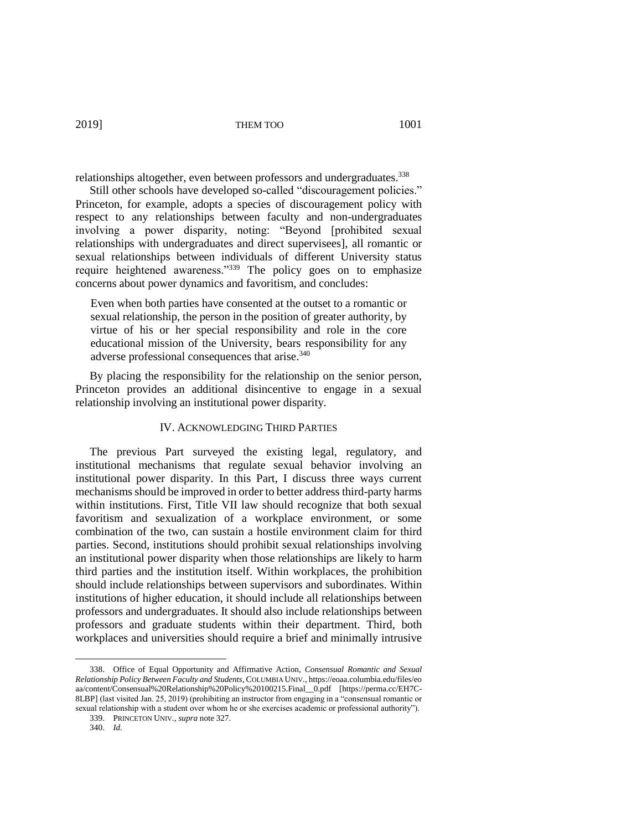relationships altogether, even between professors and undergraduates.<sup>338</sup>

Still other schools have developed so-called "discouragement policies." Princeton, for example, adopts a species of discouragement policy with respect to any relationships between faculty and non-undergraduates involving a power disparity, noting: "Beyond [prohibited sexual relationships with undergraduates and direct supervisees], all romantic or sexual relationships between individuals of different University status require heightened awareness."<sup>339</sup> The policy goes on to emphasize concerns about power dynamics and favoritism, and concludes:

Even when both parties have consented at the outset to a romantic or sexual relationship, the person in the position of greater authority, by virtue of his or her special responsibility and role in the core educational mission of the University, bears responsibility for any adverse professional consequences that arise.<sup>340</sup>

By placing the responsibility for the relationship on the senior person, Princeton provides an additional disincentive to engage in a sexual relationship involving an institutional power disparity.

# IV. ACKNOWLEDGING THIRD PARTIES

The previous Part surveyed the existing legal, regulatory, and institutional mechanisms that regulate sexual behavior involving an institutional power disparity. In this Part, I discuss three ways current mechanisms should be improved in order to better address third-party harms within institutions. First, Title VII law should recognize that both sexual favoritism and sexualization of a workplace environment, or some combination of the two, can sustain a hostile environment claim for third parties. Second, institutions should prohibit sexual relationships involving an institutional power disparity when those relationships are likely to harm third parties and the institution itself. Within workplaces, the prohibition should include relationships between supervisors and subordinates. Within institutions of higher education, it should include all relationships between professors and undergraduates. It should also include relationships between professors and graduate students within their department. Third, both workplaces and universities should require a brief and minimally intrusive

<sup>338.</sup> Office of Equal Opportunity and Affirmative Action, *Consensual Romantic and Sexual Relationship Policy Between Faculty and Students*, COLUMBIA UNIV., https://eoaa.columbia.edu/files/eo aa/content/Consensual%20Relationship%20Policy%20100215.Final\_\_0.pdf [https://perma.cc/EH7C-8LBP] (last visited Jan. 25, 2019) (prohibiting an instructor from engaging in a "consensual romantic or sexual relationship with a student over whom he or she exercises academic or professional authority").

<sup>339.</sup> PRINCETON UNIV.*, supra* note 327.

<sup>340.</sup> *Id.*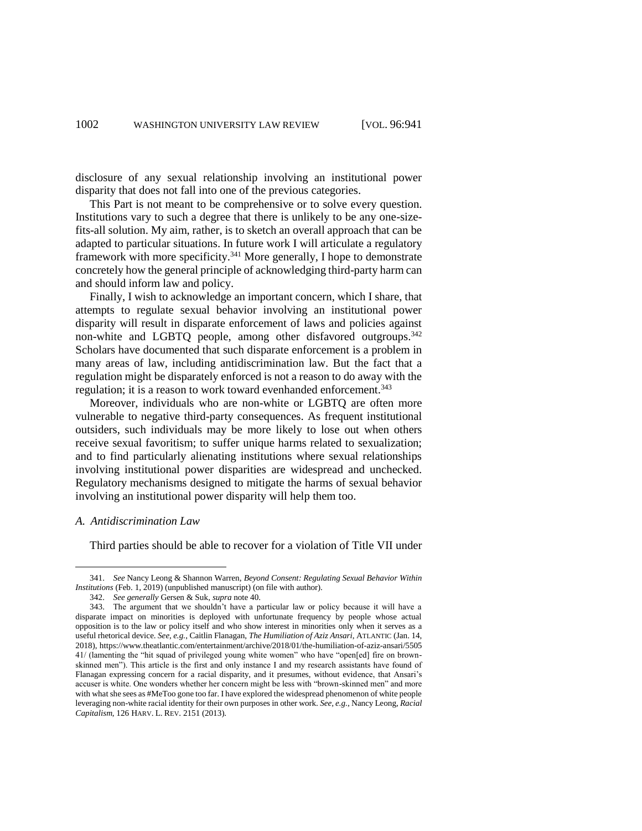disclosure of any sexual relationship involving an institutional power disparity that does not fall into one of the previous categories.

This Part is not meant to be comprehensive or to solve every question. Institutions vary to such a degree that there is unlikely to be any one-sizefits-all solution. My aim, rather, is to sketch an overall approach that can be adapted to particular situations. In future work I will articulate a regulatory framework with more specificity.<sup>341</sup> More generally, I hope to demonstrate concretely how the general principle of acknowledging third-party harm can and should inform law and policy.

Finally, I wish to acknowledge an important concern, which I share, that attempts to regulate sexual behavior involving an institutional power disparity will result in disparate enforcement of laws and policies against non-white and LGBTQ people, among other disfavored outgroups.<sup>342</sup> Scholars have documented that such disparate enforcement is a problem in many areas of law, including antidiscrimination law. But the fact that a regulation might be disparately enforced is not a reason to do away with the regulation; it is a reason to work toward evenhanded enforcement.<sup>343</sup>

Moreover, individuals who are non-white or LGBTQ are often more vulnerable to negative third-party consequences. As frequent institutional outsiders, such individuals may be more likely to lose out when others receive sexual favoritism; to suffer unique harms related to sexualization; and to find particularly alienating institutions where sexual relationships involving institutional power disparities are widespread and unchecked. Regulatory mechanisms designed to mitigate the harms of sexual behavior involving an institutional power disparity will help them too.

#### *A. Antidiscrimination Law*

 $\overline{a}$ 

Third parties should be able to recover for a violation of Title VII under

<sup>341.</sup> *See* Nancy Leong & Shannon Warren, *Beyond Consent: Regulating Sexual Behavior Within Institutions* (Feb. 1, 2019) (unpublished manuscript) (on file with author).

<sup>342.</sup> *See generally* Gersen & Suk, *supra* note 40.

<sup>343.</sup> The argument that we shouldn't have a particular law or policy because it will have a disparate impact on minorities is deployed with unfortunate frequency by people whose actual opposition is to the law or policy itself and who show interest in minorities only when it serves as a useful rhetorical device. *See, e.g.*, Caitlin Flanagan, *The Humiliation of Aziz Ansari*, ATLANTIC (Jan. 14, 2018), https://www.theatlantic.com/entertainment/archive/2018/01/the-humiliation-of-aziz-ansari/5505 41/ (lamenting the "hit squad of privileged young white women" who have "open[ed] fire on brownskinned men"). This article is the first and only instance I and my research assistants have found of Flanagan expressing concern for a racial disparity, and it presumes, without evidence, that Ansari's accuser is white. One wonders whether her concern might be less with "brown-skinned men" and more with what she sees as #MeToo gone too far. I have explored the widespread phenomenon of white people leveraging non-white racial identity for their own purposes in other work. *See, e.g.*, Nancy Leong, *Racial Capitalism*, 126 HARV. L. REV. 2151 (2013).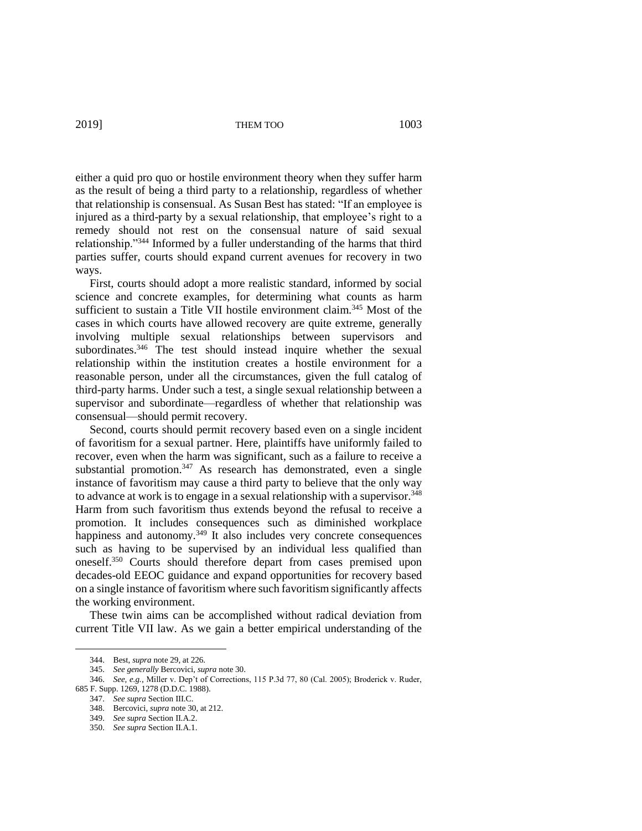either a quid pro quo or hostile environment theory when they suffer harm as the result of being a third party to a relationship, regardless of whether that relationship is consensual. As Susan Best has stated: "If an employee is injured as a third-party by a sexual relationship, that employee's right to a remedy should not rest on the consensual nature of said sexual relationship."<sup>344</sup> Informed by a fuller understanding of the harms that third parties suffer, courts should expand current avenues for recovery in two

First, courts should adopt a more realistic standard, informed by social science and concrete examples, for determining what counts as harm sufficient to sustain a Title VII hostile environment claim.<sup>345</sup> Most of the cases in which courts have allowed recovery are quite extreme, generally involving multiple sexual relationships between supervisors and subordinates.<sup>346</sup> The test should instead inquire whether the sexual relationship within the institution creates a hostile environment for a reasonable person, under all the circumstances, given the full catalog of third-party harms. Under such a test, a single sexual relationship between a supervisor and subordinate—regardless of whether that relationship was consensual—should permit recovery.

Second, courts should permit recovery based even on a single incident of favoritism for a sexual partner. Here, plaintiffs have uniformly failed to recover, even when the harm was significant, such as a failure to receive a substantial promotion. $347$  As research has demonstrated, even a single instance of favoritism may cause a third party to believe that the only way to advance at work is to engage in a sexual relationship with a supervisor.<sup>348</sup> Harm from such favoritism thus extends beyond the refusal to receive a promotion. It includes consequences such as diminished workplace happiness and autonomy.<sup>349</sup> It also includes very concrete consequences such as having to be supervised by an individual less qualified than oneself.<sup>350</sup> Courts should therefore depart from cases premised upon decades-old EEOC guidance and expand opportunities for recovery based on a single instance of favoritism where such favoritism significantly affects the working environment.

These twin aims can be accomplished without radical deviation from current Title VII law. As we gain a better empirical understanding of the

 $\overline{a}$ 

ways.

<sup>344.</sup> Best, *supra* note 29, at 226.

<sup>345.</sup> *See generally* Bercovici, *supra* note 30.

<sup>346.</sup> *See, e.g.*, Miller v. Dep't of Corrections, 115 P.3d 77, 80 (Cal. 2005); Broderick v. Ruder, 685 F. Supp. 1269, 1278 (D.D.C. 1988).

<sup>347.</sup> *See supra* Section III.C.

<sup>348.</sup> Bercovici, *supra* note 30, at 212.

<sup>349.</sup> *See supra* Section II.A.2.

<sup>350.</sup> *See supra* Section II.A.1.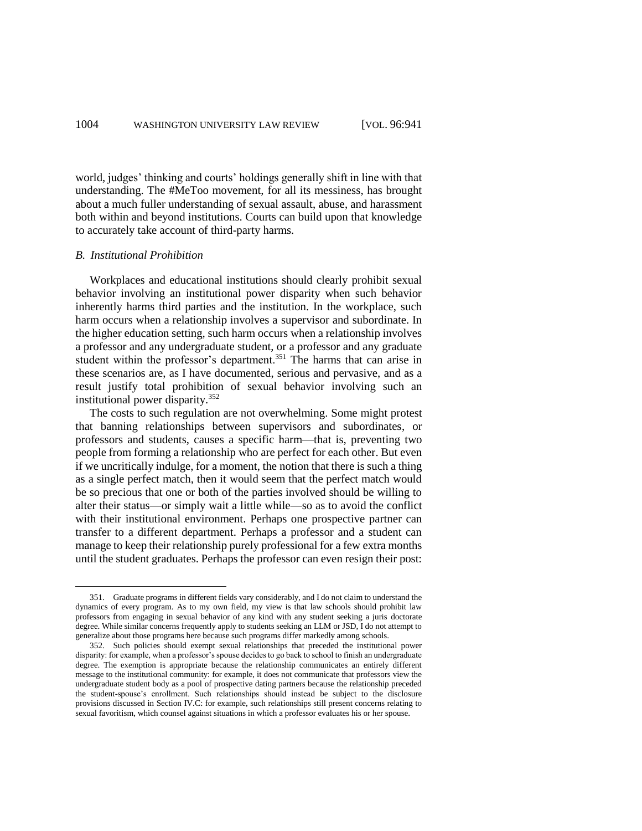world, judges' thinking and courts' holdings generally shift in line with that understanding. The #MeToo movement, for all its messiness, has brought about a much fuller understanding of sexual assault, abuse, and harassment both within and beyond institutions. Courts can build upon that knowledge to accurately take account of third-party harms.

#### *B. Institutional Prohibition*

 $\overline{a}$ 

Workplaces and educational institutions should clearly prohibit sexual behavior involving an institutional power disparity when such behavior inherently harms third parties and the institution. In the workplace, such harm occurs when a relationship involves a supervisor and subordinate. In the higher education setting, such harm occurs when a relationship involves a professor and any undergraduate student, or a professor and any graduate student within the professor's department.<sup>351</sup> The harms that can arise in these scenarios are, as I have documented, serious and pervasive, and as a result justify total prohibition of sexual behavior involving such an institutional power disparity. 352

The costs to such regulation are not overwhelming. Some might protest that banning relationships between supervisors and subordinates, or professors and students, causes a specific harm—that is, preventing two people from forming a relationship who are perfect for each other. But even if we uncritically indulge, for a moment, the notion that there is such a thing as a single perfect match, then it would seem that the perfect match would be so precious that one or both of the parties involved should be willing to alter their status—or simply wait a little while—so as to avoid the conflict with their institutional environment. Perhaps one prospective partner can transfer to a different department. Perhaps a professor and a student can manage to keep their relationship purely professional for a few extra months until the student graduates. Perhaps the professor can even resign their post:

<sup>351.</sup> Graduate programs in different fields vary considerably, and I do not claim to understand the dynamics of every program. As to my own field, my view is that law schools should prohibit law professors from engaging in sexual behavior of any kind with any student seeking a juris doctorate degree. While similar concerns frequently apply to students seeking an LLM or JSD, I do not attempt to generalize about those programs here because such programs differ markedly among schools.

<sup>352.</sup> Such policies should exempt sexual relationships that preceded the institutional power disparity: for example, when a professor's spouse decides to go back to school to finish an undergraduate degree. The exemption is appropriate because the relationship communicates an entirely different message to the institutional community: for example, it does not communicate that professors view the undergraduate student body as a pool of prospective dating partners because the relationship preceded the student-spouse's enrollment. Such relationships should instead be subject to the disclosure provisions discussed in Section IV.C: for example, such relationships still present concerns relating to sexual favoritism, which counsel against situations in which a professor evaluates his or her spouse.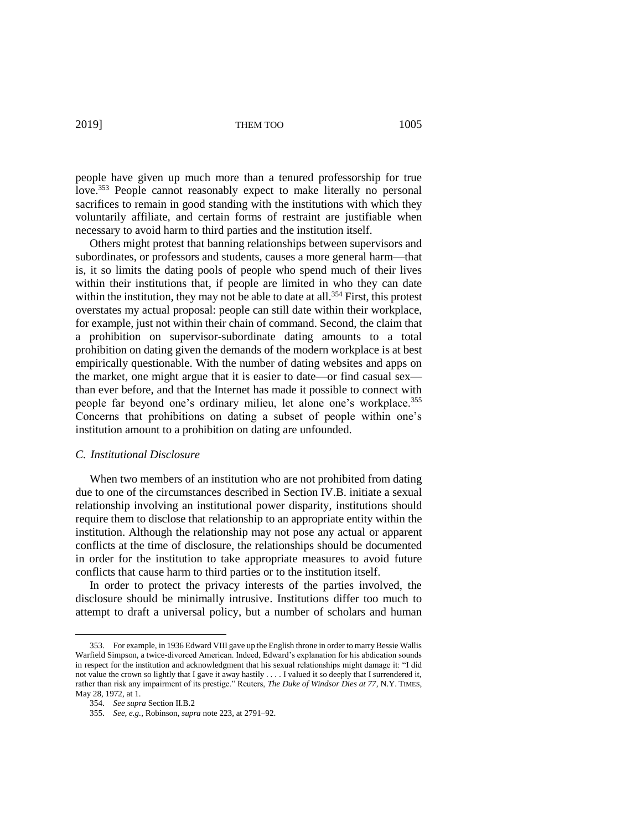people have given up much more than a tenured professorship for true love.<sup>353</sup> People cannot reasonably expect to make literally no personal sacrifices to remain in good standing with the institutions with which they voluntarily affiliate, and certain forms of restraint are justifiable when necessary to avoid harm to third parties and the institution itself.

Others might protest that banning relationships between supervisors and subordinates, or professors and students, causes a more general harm—that is, it so limits the dating pools of people who spend much of their lives within their institutions that, if people are limited in who they can date within the institution, they may not be able to date at all.<sup>354</sup> First, this protest overstates my actual proposal: people can still date within their workplace, for example, just not within their chain of command. Second, the claim that a prohibition on supervisor-subordinate dating amounts to a total prohibition on dating given the demands of the modern workplace is at best empirically questionable. With the number of dating websites and apps on the market, one might argue that it is easier to date—or find casual sex than ever before, and that the Internet has made it possible to connect with people far beyond one's ordinary milieu, let alone one's workplace.<sup>355</sup> Concerns that prohibitions on dating a subset of people within one's institution amount to a prohibition on dating are unfounded.

# *C. Institutional Disclosure*

When two members of an institution who are not prohibited from dating due to one of the circumstances described in Section IV.B. initiate a sexual relationship involving an institutional power disparity, institutions should require them to disclose that relationship to an appropriate entity within the institution. Although the relationship may not pose any actual or apparent conflicts at the time of disclosure, the relationships should be documented in order for the institution to take appropriate measures to avoid future conflicts that cause harm to third parties or to the institution itself.

In order to protect the privacy interests of the parties involved, the disclosure should be minimally intrusive. Institutions differ too much to attempt to draft a universal policy, but a number of scholars and human

<sup>353.</sup> For example, in 1936 Edward VIII gave up the English throne in order to marry Bessie Wallis Warfield Simpson, a twice-divorced American. Indeed, Edward's explanation for his abdication sounds in respect for the institution and acknowledgment that his sexual relationships might damage it: "I did not value the crown so lightly that I gave it away hastily . . . . I valued it so deeply that I surrendered it, rather than risk any impairment of its prestige." Reuters, *The Duke of Windsor Dies at 77*, N.Y. TIMES, May 28, 1972, at 1.

<sup>354.</sup> *See supra* Section II.B.2

<sup>355.</sup> *See, e.g.*, Robinson, *supra* note 223, at 2791–92.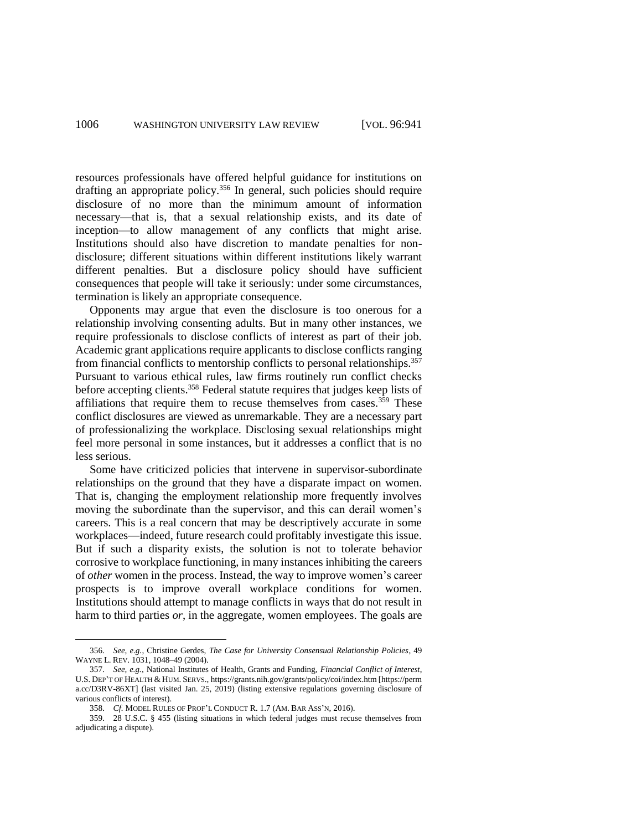resources professionals have offered helpful guidance for institutions on drafting an appropriate policy. <sup>356</sup> In general, such policies should require disclosure of no more than the minimum amount of information necessary—that is, that a sexual relationship exists, and its date of inception—to allow management of any conflicts that might arise. Institutions should also have discretion to mandate penalties for nondisclosure; different situations within different institutions likely warrant different penalties. But a disclosure policy should have sufficient consequences that people will take it seriously: under some circumstances, termination is likely an appropriate consequence.

Opponents may argue that even the disclosure is too onerous for a relationship involving consenting adults. But in many other instances, we require professionals to disclose conflicts of interest as part of their job. Academic grant applications require applicants to disclose conflicts ranging from financial conflicts to mentorship conflicts to personal relationships.<sup>357</sup> Pursuant to various ethical rules, law firms routinely run conflict checks before accepting clients.<sup>358</sup> Federal statute requires that judges keep lists of affiliations that require them to recuse themselves from cases.<sup>359</sup> These conflict disclosures are viewed as unremarkable. They are a necessary part of professionalizing the workplace. Disclosing sexual relationships might feel more personal in some instances, but it addresses a conflict that is no less serious.

Some have criticized policies that intervene in supervisor-subordinate relationships on the ground that they have a disparate impact on women. That is, changing the employment relationship more frequently involves moving the subordinate than the supervisor, and this can derail women's careers. This is a real concern that may be descriptively accurate in some workplaces—indeed, future research could profitably investigate this issue. But if such a disparity exists, the solution is not to tolerate behavior corrosive to workplace functioning, in many instances inhibiting the careers of *other* women in the process. Instead, the way to improve women's career prospects is to improve overall workplace conditions for women. Institutions should attempt to manage conflicts in ways that do not result in harm to third parties *or*, in the aggregate, women employees. The goals are

<sup>356.</sup> *See, e.g.*, Christine Gerdes, *The Case for University Consensual Relationship Policies*, 49 WAYNE L. REV. 1031, 1048–49 (2004).

<sup>357.</sup> *See, e.g.*, National Institutes of Health, Grants and Funding, *Financial Conflict of Interest*, U.S. DEP'T OF HEALTH & HUM. SERVS., https://grants.nih.gov/grants/policy/coi/index.htm [https://perm a.cc/D3RV-86XT] (last visited Jan. 25, 2019) (listing extensive regulations governing disclosure of various conflicts of interest).

<sup>358.</sup> *Cf.* MODEL RULES OF PROF'L CONDUCT R. 1.7 (AM. BAR ASS'N, 2016).

<sup>359.</sup> 28 U.S.C. § 455 (listing situations in which federal judges must recuse themselves from adjudicating a dispute).